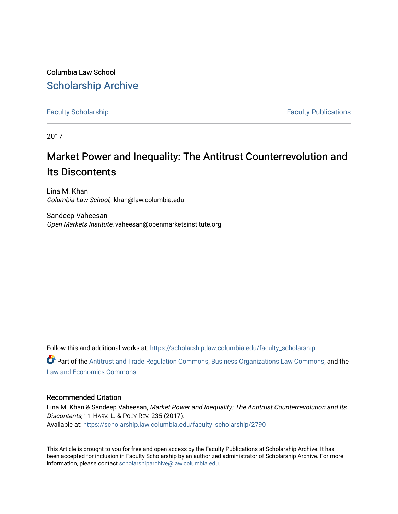Columbia Law School [Scholarship Archive](https://scholarship.law.columbia.edu/) 

[Faculty Scholarship](https://scholarship.law.columbia.edu/faculty_scholarship) **Faculty Scholarship Faculty Publications** 

2017

# Market Power and Inequality: The Antitrust Counterrevolution and Its Discontents

Lina M. Khan Columbia Law School, lkhan@law.columbia.edu

Sandeep Vaheesan Open Markets Institute, vaheesan@openmarketsinstitute.org

Follow this and additional works at: [https://scholarship.law.columbia.edu/faculty\\_scholarship](https://scholarship.law.columbia.edu/faculty_scholarship?utm_source=scholarship.law.columbia.edu%2Ffaculty_scholarship%2F2790&utm_medium=PDF&utm_campaign=PDFCoverPages) Part of the [Antitrust and Trade Regulation Commons,](http://network.bepress.com/hgg/discipline/911?utm_source=scholarship.law.columbia.edu%2Ffaculty_scholarship%2F2790&utm_medium=PDF&utm_campaign=PDFCoverPages) [Business Organizations Law Commons](http://network.bepress.com/hgg/discipline/900?utm_source=scholarship.law.columbia.edu%2Ffaculty_scholarship%2F2790&utm_medium=PDF&utm_campaign=PDFCoverPages), and the [Law and Economics Commons](http://network.bepress.com/hgg/discipline/612?utm_source=scholarship.law.columbia.edu%2Ffaculty_scholarship%2F2790&utm_medium=PDF&utm_campaign=PDFCoverPages) 

### Recommended Citation

Lina M. Khan & Sandeep Vaheesan, Market Power and Inequality: The Antitrust Counterrevolution and Its Discontents, 11 HARV. L. & POL'Y REV. 235 (2017). Available at: [https://scholarship.law.columbia.edu/faculty\\_scholarship/2790](https://scholarship.law.columbia.edu/faculty_scholarship/2790?utm_source=scholarship.law.columbia.edu%2Ffaculty_scholarship%2F2790&utm_medium=PDF&utm_campaign=PDFCoverPages)

This Article is brought to you for free and open access by the Faculty Publications at Scholarship Archive. It has been accepted for inclusion in Faculty Scholarship by an authorized administrator of Scholarship Archive. For more information, please contact [scholarshiparchive@law.columbia.edu.](mailto:scholarshiparchive@law.columbia.edu)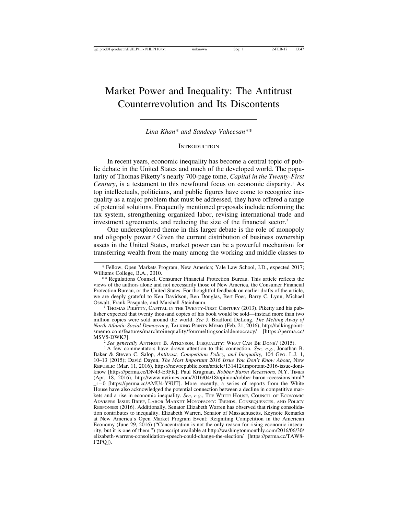## Market Power and Inequality: The Antitrust Counterrevolution and Its Discontents

*Lina Khan\* and Sandeep Vaheesan\*\**

**INTRODUCTION** 

In recent years, economic inequality has become a central topic of public debate in the United States and much of the developed world. The popularity of Thomas Piketty's nearly 700-page tome, *Capital in the Twenty-First Century*, is a testament to this newfound focus on economic disparity.<sup>1</sup> As top intellectuals, politicians, and public figures have come to recognize inequality as a major problem that must be addressed, they have offered a range of potential solutions. Frequently mentioned proposals include reforming the tax system, strengthening organized labor, revising international trade and investment agreements, and reducing the size of the financial sector.2

One underexplored theme in this larger debate is the role of monopoly and oligopoly power.3 Given the current distribution of business ownership assets in the United States, market power can be a powerful mechanism for transferring wealth from the many among the working and middle classes to

\* Fellow, Open Markets Program, New America; Yale Law School, J.D., expected 2017; Williams College, B.A., 2010.

lisher expected that twenty thousand copies of his book would be sold—instead more than two million copies were sold around the world. *See* J. Bradford DeLong, *The Melting Away of North Atlantic Social Democracy*, TALKING POINTS MEMO (Feb. 21, 2016), http://talkingpointsmemo.com/features/marchtoinequality/fourmeltingsocialdemocracy/ [https://perma.cc/ MSV5-DWK7].

<sup>\*\*</sup> Regulations Counsel, Consumer Financial Protection Bureau. This article reflects the views of the authors alone and not necessarily those of New America, the Consumer Financial Protection Bureau, or the United States. For thoughtful feedback on earlier drafts of the article, we are deeply grateful to Ken Davidson, Ben Douglas, Bert Foer, Barry C. Lynn, Michael Oswalt, Frank Pasquale, and Marshall Steinbaum.<br><sup>1</sup> THOMAS PIKETTY, CAPITAL IN THE TWENTY-FIRST CENTURY (2013). Piketty and his pub-

<sup>2</sup> *See generally* ANTHONY B. ATKINSON, INEQUALITY: WHAT CAN BE DONE? (2015). <sup>3</sup> A few commentators have drawn attention to this connection. *See, e.g.*, Jonathan B. Baker & Steven C. Salop, *Antitrust, Competition Policy, and Inequality*, 104 GEO. L.J. 1, 10–13 (2015); David Dayen, *The Most Important 2016 Issue You Don't Know About*, NEW REPUBLIC (Mar. 11, 2016), https://newrepublic.com/article/131412/important-2016-issue-dontknow [https://perma.cc/DN43-E3FK]; Paul Krugman, *Robber Baron Recessions*, N.Y. TIMES (Apr. 18, 2016), http://www.nytimes.com/2016/04/18/opinion/robber-baron-recessions.html? \_r=0 [https://perma.cc/AMU4-Y9UT]. More recently, a series of reports from the White House have also acknowledged the potential connection between a decline in competitive markets and a rise in economic inequality. *See, e.g.*, THE WHITE HOUSE, COUNCIL OF ECONOMIC ADVISERS ISSUE BRIEF, LABOR MARKET MONOPSONY: TRENDS, CONSEQUENCES, AND POLICY RESPONSES (2016). Additionally, Senator Elizabeth Warren has observed that rising consolidation contributes to inequality. Elizabeth Warren, Senator of Massachusetts, Keynote Remarks at New America's Open Market Program Event: Reigniting Competition in the American Economy (June 29, 2016) ("Concentration is not the only reason for rising economic insecurity, but it is one of them.") (transcript available at http://washingtonmonthly.com/2016/06/30/ elizabeth-warrens-consolidation-speech-could-change-the-election/ [https://perma.cc/TAW8- F2PQ]).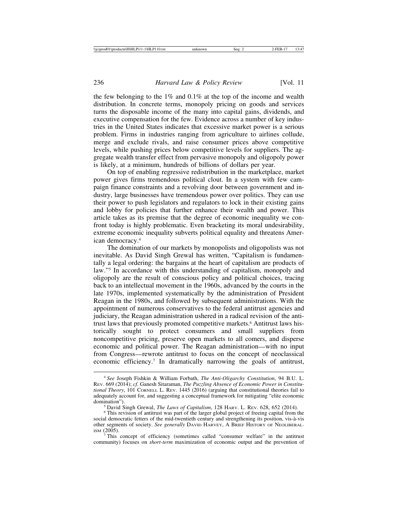the few belonging to the  $1\%$  and  $0.1\%$  at the top of the income and wealth distribution. In concrete terms, monopoly pricing on goods and services turns the disposable income of the many into capital gains, dividends, and executive compensation for the few. Evidence across a number of key industries in the United States indicates that excessive market power is a serious problem. Firms in industries ranging from agriculture to airlines collude, merge and exclude rivals, and raise consumer prices above competitive levels, while pushing prices below competitive levels for suppliers. The aggregate wealth transfer effect from pervasive monopoly and oligopoly power is likely, at a minimum, hundreds of billions of dollars per year.

On top of enabling regressive redistribution in the marketplace, market power gives firms tremendous political clout. In a system with few campaign finance constraints and a revolving door between government and industry, large businesses have tremendous power over politics. They can use their power to push legislators and regulators to lock in their existing gains and lobby for policies that further enhance their wealth and power. This article takes as its premise that the degree of economic inequality we confront today is highly problematic. Even bracketing its moral undesirability, extreme economic inequality subverts political equality and threatens American democracy.4

The domination of our markets by monopolists and oligopolists was not inevitable. As David Singh Grewal has written, "Capitalism is fundamentally a legal ordering: the bargains at the heart of capitalism are products of law."5 In accordance with this understanding of capitalism, monopoly and oligopoly are the result of conscious policy and political choices, tracing back to an intellectual movement in the 1960s, advanced by the courts in the late 1970s, implemented systematically by the administration of President Reagan in the 1980s, and followed by subsequent administrations. With the appointment of numerous conservatives to the federal antitrust agencies and judiciary, the Reagan administration ushered in a radical revision of the antitrust laws that previously promoted competitive markets.<sup>6</sup> Antitrust laws historically sought to protect consumers and small suppliers from noncompetitive pricing, preserve open markets to all comers, and disperse economic and political power. The Reagan administration—with no input from Congress—rewrote antitrust to focus on the concept of neoclassical economic efficiency.7 In dramatically narrowing the goals of antitrust,

<sup>4</sup> *See* Joseph Fishkin & William Forbath, *The Anti-Oligarchy Constitution*, 94 B.U. L. REV. 669 (2014); *cf.* Ganesh Sitaraman, *The Puzzling Absence of Economic Power in Constitutional Theory*, 101 CORNELL L. REV. 1445 (2016) (arguing that constitutional theories fail to adequately account for, and suggesting a conceptual framework for mitigating "elite economic

<sup>&</sup>lt;sup>5</sup> David Singh Grewal, *The Laws of Capitalism*, 128 HARV. L. REV. 628, 652 (2014). <sup>6</sup> This revision of antitrust was part of the larger global project of freeing capital from the

social democratic fetters of the mid-twentieth century and strengthening its position, vis-à-vis other segments of society. *See generally* DAVID HARVEY, A BRIEF HISTORY OF NEOLIBERAL-ISM  $(2005)$ .

 $\overline{7}$  This concept of efficiency (sometimes called "consumer welfare" in the antitrust community) focuses on *short-term* maximization of economic output and the prevention of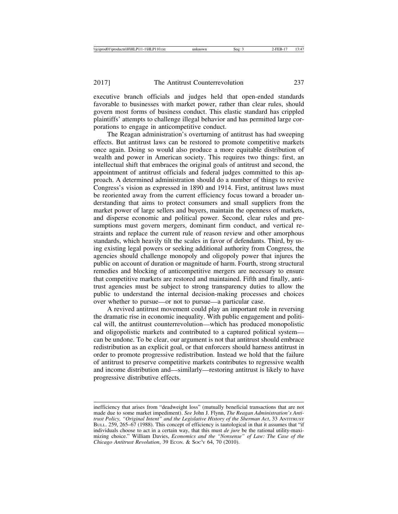executive branch officials and judges held that open-ended standards favorable to businesses with market power, rather than clear rules, should govern most forms of business conduct. This elastic standard has crippled plaintiffs' attempts to challenge illegal behavior and has permitted large corporations to engage in anticompetitive conduct.

The Reagan administration's overturning of antitrust has had sweeping effects. But antitrust laws can be restored to promote competitive markets once again. Doing so would also produce a more equitable distribution of wealth and power in American society. This requires two things: first, an intellectual shift that embraces the original goals of antitrust and second, the appointment of antitrust officials and federal judges committed to this approach. A determined administration should do a number of things to revive Congress's vision as expressed in 1890 and 1914. First, antitrust laws must be reoriented away from the current efficiency focus toward a broader understanding that aims to protect consumers and small suppliers from the market power of large sellers and buyers, maintain the openness of markets, and disperse economic and political power. Second, clear rules and presumptions must govern mergers, dominant firm conduct, and vertical restraints and replace the current rule of reason review and other amorphous standards, which heavily tilt the scales in favor of defendants. Third, by using existing legal powers or seeking additional authority from Congress, the agencies should challenge monopoly and oligopoly power that injures the public on account of duration or magnitude of harm. Fourth, strong structural remedies and blocking of anticompetitive mergers are necessary to ensure that competitive markets are restored and maintained. Fifth and finally, antitrust agencies must be subject to strong transparency duties to allow the public to understand the internal decision-making processes and choices over whether to pursue—or not to pursue—a particular case.

A revived antitrust movement could play an important role in reversing the dramatic rise in economic inequality. With public engagement and political will, the antitrust counterrevolution—which has produced monopolistic and oligopolistic markets and contributed to a captured political system can be undone. To be clear, our argument is not that antitrust should embrace redistribution as an explicit goal, or that enforcers should harness antitrust in order to promote progressive redistribution. Instead we hold that the failure of antitrust to preserve competitive markets contributes to regressive wealth and income distribution and—similarly—restoring antitrust is likely to have progressive distributive effects.

inefficiency that arises from "deadweight loss" (mutually beneficial transactions that are not made due to some market impediment). *See* John J. Flynn, *The Reagan Administration's Antitrust Policy, "Original Intent" and the Legislative History of the Sherman Act*, 33 ANTITRUST BULL. 259, 265–67 (1988). This concept of efficiency is tautological in that it assumes that "if individuals choose to act in a certain way, that this must *de jure* be the rational utility-maximizing choice." William Davies, *Economics and the "Nonsense" of Law: The Case of the Chicago Antitrust Revolution*, 39 Econ. & Soc'y 64, 70 (2010).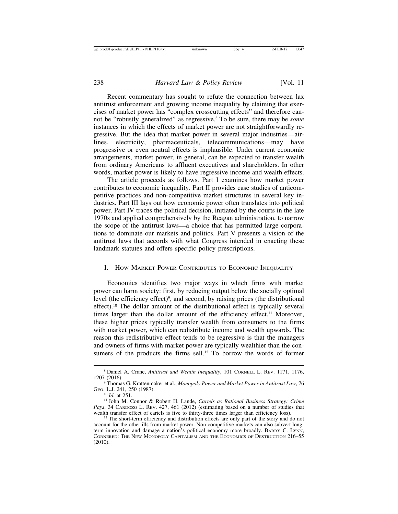Recent commentary has sought to refute the connection between lax antitrust enforcement and growing income inequality by claiming that exercises of market power has "complex crosscutting effects" and therefore cannot be "robustly generalized" as regressive.8 To be sure, there may be *some* instances in which the effects of market power are not straightforwardly regressive. But the idea that market power in several major industries—airlines, electricity, pharmaceuticals, telecommunications—may have progressive or even neutral effects is implausible. Under current economic arrangements, market power, in general, can be expected to transfer wealth from ordinary Americans to affluent executives and shareholders. In other words, market power is likely to have regressive income and wealth effects.

The article proceeds as follows. Part I examines how market power contributes to economic inequality. Part II provides case studies of anticompetitive practices and non-competitive market structures in several key industries. Part III lays out how economic power often translates into political power. Part IV traces the political decision, initiated by the courts in the late 1970s and applied comprehensively by the Reagan administration, to narrow the scope of the antitrust laws—a choice that has permitted large corporations to dominate our markets and politics. Part V presents a vision of the antitrust laws that accords with what Congress intended in enacting these landmark statutes and offers specific policy prescriptions.

#### I. HOW MARKET POWER CONTRIBUTES TO ECONOMIC INEQUALITY

Economics identifies two major ways in which firms with market power can harm society: first, by reducing output below the socially optimal level (the efficiency effect)<sup>9</sup>, and second, by raising prices (the distributional effect).10 The dollar amount of the distributional effect is typically several times larger than the dollar amount of the efficiency effect.<sup>11</sup> Moreover, these higher prices typically transfer wealth from consumers to the firms with market power, which can redistribute income and wealth upwards. The reason this redistributive effect tends to be regressive is that the managers and owners of firms with market power are typically wealthier than the consumers of the products the firms sell.<sup>12</sup> To borrow the words of former

<sup>8</sup> Daniel A. Crane, *Antitrust and Wealth Inequality*, 101 CORNELL L. REV. 1171, 1176,

<sup>1207 (2016).</sup> <sup>9</sup> Thomas G. Krattenmaker et al., *Monopoly Power and Market Power in Antitrust Law*, 76

<sup>&</sup>lt;sup>10</sup> *Id.* at 251. <br><sup>11</sup> John M. Connor & Robert H. Lande, *Cartels as Rational Business Strategy: Crime Pays*, 34 CARDOZO L. REV. 427, 461 (2012) (estimating based on a number of studies that wealth transfer effect of cartels is five to thirty-three times larger than efficiency loss).

<sup>&</sup>lt;sup>12</sup> The short-term efficiency and distribution effects are only part of the story and do not account for the other ills from market power. Non-competitive markets can also subvert longterm innovation and damage a nation's political economy more broadly. BARRY C. LYNN, CORNERED: THE NEW MONOPOLY CAPITALISM AND THE ECONOMICS OF DESTRUCTION 216–55 (2010).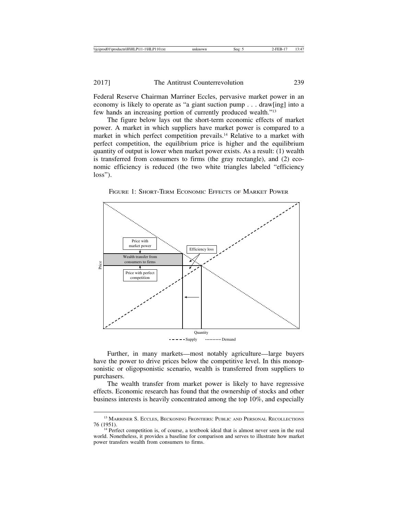Federal Reserve Chairman Marriner Eccles, pervasive market power in an economy is likely to operate as "a giant suction pump . . . draw[ing] into a few hands an increasing portion of currently produced wealth."13

The figure below lays out the short-term economic effects of market power. A market in which suppliers have market power is compared to a market in which perfect competition prevails.<sup>14</sup> Relative to a market with perfect competition, the equilibrium price is higher and the equilibrium quantity of output is lower when market power exists. As a result: (1) wealth is transferred from consumers to firms (the gray rectangle), and (2) economic efficiency is reduced (the two white triangles labeled "efficiency  $loss$ ").



FIGURE 1: SHORT-TERM ECONOMIC EFFECTS OF MARKET POWER

Further, in many markets—most notably agriculture—large buyers have the power to drive prices below the competitive level. In this monopsonistic or oligopsonistic scenario, wealth is transferred from suppliers to purchasers.

The wealth transfer from market power is likely to have regressive effects. Economic research has found that the ownership of stocks and other business interests is heavily concentrated among the top 10%, and especially

<sup>&</sup>lt;sup>13</sup> MARRINER S. ECCLES, BECKONING FRONTIERS: PUBLIC AND PERSONAL RECOLLECTIONS 76 (1951). <sup>14</sup> Perfect competition is, of course, a textbook ideal that is almost never seen in the real

world. Nonetheless, it provides a baseline for comparison and serves to illustrate how market power transfers wealth from consumers to firms.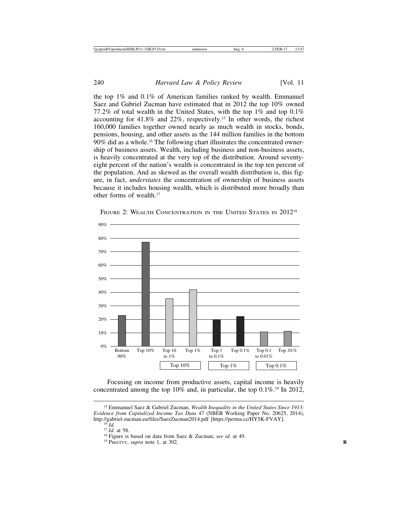the top 1% and 0.1% of American families ranked by wealth. Emmanuel Saez and Gabriel Zucman have estimated that in 2012 the top 10% owned 77.2% of total wealth in the United States, with the top 1% and top 0.1% accounting for 41.8% and 22%, respectively.15 In other words, the richest 160,000 families together owned nearly as much wealth in stocks, bonds, pensions, housing, and other assets as the 144 million families in the bottom 90% did as a whole.16 The following chart illustrates the concentrated ownership of business assets. Wealth, including business and non-business assets, is heavily concentrated at the very top of the distribution. Around seventyeight percent of the nation's wealth is concentrated in the top ten percent of the population. And as skewed as the overall wealth distribution is, this figure, in fact, *understates* the concentration of ownership of business assets because it includes housing wealth, which is distributed more broadly than other forms of wealth.17



FIGURE 2: WEALTH CONCENTRATION IN THE UNITED STATES IN 2012<sup>18</sup>

Focusing on income from productive assets, capital income is heavily concentrated among the top 10% and, in particular, the top 0.1%.19 In 2012,

<sup>15</sup> Emmanuel Saez & Gabriel Zucman, *Wealth Inequality in the United States Since 1913: Evidence from Capitalized Income Tax Data* 47 (NBER Working Paper No. 20625, 2014), http://gabriel-zucman.eu/files/SaezZucman2014.pdf [https://perma.cc/HY5K-FVAY].<br><sup>16</sup> *Id.*<br><sup>17</sup> *Id.* at 58.<br><sup>18</sup> Figure is based on data from Saez & Zucman, *see id.* at 49.<br><sup>19</sup> PIKETTY, *supra* note 1, at 302.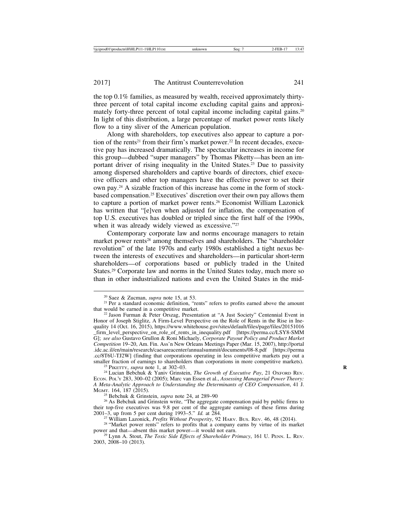the top 0.1% families, as measured by wealth, received approximately thirtythree percent of total capital income excluding capital gains and approximately forty-three percent of total capital income including capital gains.<sup>20</sup> In light of this distribution, a large percentage of market power rents likely flow to a tiny sliver of the American population.

Along with shareholders, top executives also appear to capture a portion of the rents<sup>21</sup> from their firm's market power.<sup>22</sup> In recent decades, executive pay has increased dramatically. The spectacular increases in income for this group—dubbed "super managers" by Thomas Piketty—has been an important driver of rising inequality in the United States.23 Due to passivity among dispersed shareholders and captive boards of directors, chief executive officers and other top managers have the effective power to set their own pay.24 A sizable fraction of this increase has come in the form of stockbased compensation.25 Executives' discretion over their own pay allows them to capture a portion of market power rents.26 Economist William Lazonick has written that "[e]ven when adjusted for inflation, the compensation of top U.S. executives has doubled or tripled since the first half of the 1990s, when it was already widely viewed as excessive."<sup>27</sup>

Contemporary corporate law and norms encourage managers to retain market power rents<sup>28</sup> among themselves and shareholders. The "shareholder revolution" of the late 1970s and early 1980s established a tight nexus between the interests of executives and shareholders—in particular short-term shareholders—of corporations based or publicly traded in the United States.29 Corporate law and norms in the United States today, much more so than in other industrialized nations and even the United States in the mid-

<sup>&</sup>lt;sup>20</sup> Saez & Zucman, *supra* note 15, at 53. <sup>21</sup> Per a standard economic definition, "rents" refers to profits earned above the amount that would be earned in a competitive market.

<sup>&</sup>lt;sup>22</sup> Jason Furman & Peter Orszag, Presentation at "A Just Society" Centennial Event in Honor of Joseph Stiglitz, A Firm-Level Perspective on the Role of Rents in the Rise in Inequality 14 (Oct. 16, 2015), https://www.whitehouse.gov/sites/default/files/page/files/20151016 \_firm\_level\_perspective\_on\_role\_of\_rents\_in\_inequality.pdf [https://perma.cc/LSY8-SMM G]; *see also* Gustavo Grullon & Roni Michaely, *Corporate Payout Policy and Product Market Competition* 19–20, Am. Fin. Ass'n New Orleans Meetings Paper (Mar. 15, 2007), http://portal .idc.ac.il/en/main/research/caesareacenter/annualsummit/documents/08-8.pdf [https://perma .cc/8T6U-TJ2W] (finding that corporations operating in less competitive markets pay out a

<sup>&</sup>lt;sup>23</sup> PIKETTY, *supra* note 1, at 302–03.<br><sup>24</sup> Lucian Bebchuk & Yaniv Grinstein, *The Growth of Executive Pay*, 21 OXFORD REV. ECON. POL'Y 283, 300–02 (2005); Marc van Essen et al., *Assessing Managerial Power Theory: A Meta-Analytic Approach to Understanding the Determinants of CEO Compensation*, 41 J.

<sup>&</sup>lt;sup>25</sup> Bebchuk & Grinstein, *supra* note 24, at 289–90  $^{26}$  As Bebchuk and Grinstein write, "The aggregate compensation paid by public firms to their top-five executives was 9.8 per cent of the aggregate earnings of these firms during  $2001-3$ , up from 5 per cent during  $1993-5$ ." *Id.* at 284.

<sup>&</sup>lt;sup>27</sup> William Lazonick, *Profits Without Prosperity*, 92 HARV. Bus. REV. 46, 48 (2014).<br><sup>28</sup> "Market power rents" refers to profits that a company earns by virtue of its market power and that—absent this market power—it wo

<sup>&</sup>lt;sup>29</sup> Lynn A. Stout, *The Toxic Side Effects of Shareholder Primacy*, 161 U. PENN. L. REV. 2003, 2008–10 (2013).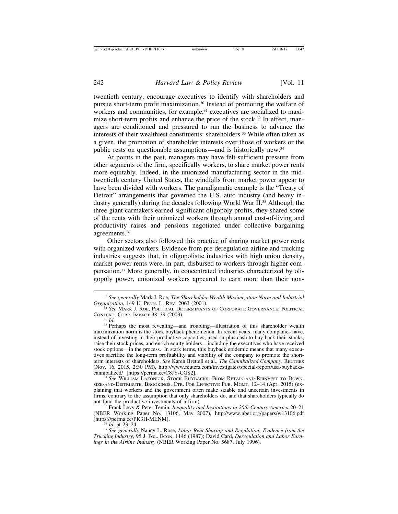twentieth century, encourage executives to identify with shareholders and pursue short-term profit maximization.30 Instead of promoting the welfare of workers and communities, for example,<sup>31</sup> executives are socialized to maximize short-term profits and enhance the price of the stock.<sup>32</sup> In effect, managers are conditioned and pressured to run the business to advance the interests of their wealthiest constituents: shareholders.33 While often taken as a given, the promotion of shareholder interests over those of workers or the public rests on questionable assumptions—and is historically new.34

At points in the past, managers may have felt sufficient pressure from other segments of the firm, specifically workers, to share market power rents more equitably. Indeed, in the unionized manufacturing sector in the midtwentieth century United States, the windfalls from market power appear to have been divided with workers. The paradigmatic example is the "Treaty of Detroit" arrangements that governed the U.S. auto industry (and heavy industry generally) during the decades following World War II.35 Although the three giant carmakers earned significant oligopoly profits, they shared some of the rents with their unionized workers through annual cost-of-living and productivity raises and pensions negotiated under collective bargaining agreements.36

Other sectors also followed this practice of sharing market power rents with organized workers. Evidence from pre-deregulation airline and trucking industries suggests that, in oligopolistic industries with high union density, market power rents were, in part, disbursed to workers through higher compensation.37 More generally, in concentrated industries characterized by oligopoly power, unionized workers appeared to earn more than their non-

<sup>35</sup> Frank Levy & Peter Temin, *Inequality and Institutions in 20th Century America* 20–21 (NBER Working Paper No. 13106, May 2007), http://www.nber.org/papers/w13106.pdf

<sup>36</sup> *Id.* at 23–24. **36** *Id.* at 23–24. **36** *Id.* Nancy L. Rose, *Labor Rent-Sharing and Regulation: Evidence from the Trucking Industry*, 95 J. POL. ECON. 1146 (1987); David Card, *Deregulation and Labor Earnings in the Airline Industry* (NBER Working Paper No. 5687, July 1996).

<sup>30</sup> *See generally* Mark J. Roe, *The Shareholder Wealth Maximization Norm and Industrial*

<sup>&</sup>lt;sup>31</sup> *See* Mark J. Roe, Political Determinants of Corporate Governance: Political Context, Corp. Impact 38–39 (2003).

<sup>&</sup>lt;sup>32</sup> *Id.* 33 Perhaps the most revealing—and troubling—illustration of this shareholder wealth maximization norm is the stock buyback phenomenon. In recent years, many companies have, instead of investing in their productive capacities, used surplus cash to buy back their stocks, raise their stock prices, and enrich equity holders—including the executives who have received stock options—in the process. In stark terms, this buyback epidemic means that many executives sacrifice the long-term profitability and viability of the company to promote the shortterm interests of shareholders. *See* Karen Brettell et al., *The Cannibalized Company*, REUTERS (Nov. 16, 2015, 2:30 PM), http://www.reuters.com/investigates/special-report/usa-buybacks-

<sup>&</sup>lt;sup>34</sup> See WILLIAM LAZONICK, STOCK BUYBACKS: FROM RETAIN-AND-REINVEST TO DOWN-SIZE-AND-DISTRIBUTE, BROOKINGS, CTR. FOR EFFECTIVE PUB. MGMT. 12–14 (Apr. 2015) (explaining that workers and the government often make sizable and uncertain investments in firms, contrary to the assumption that only shareholders do, and that shareholders typically do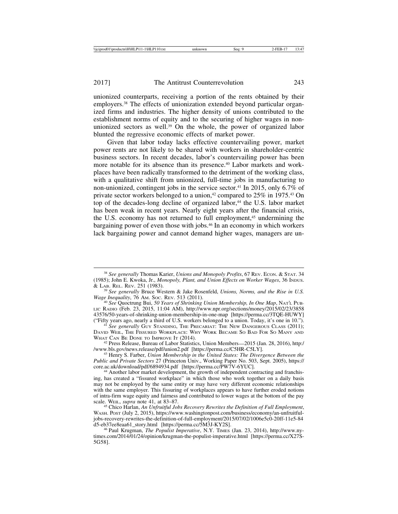unionized counterparts, receiving a portion of the rents obtained by their employers.<sup>38</sup> The effects of unionization extended beyond particular organized firms and industries. The higher density of unions contributed to the establishment norms of equity and to the securing of higher wages in nonunionized sectors as well.39 On the whole, the power of organized labor blunted the regressive economic effects of market power.

Given that labor today lacks effective countervailing power, market power rents are not likely to be shared with workers in shareholder-centric business sectors. In recent decades, labor's countervailing power has been more notable for its absence than its presence.40 Labor markets and workplaces have been radically transformed to the detriment of the working class, with a qualitative shift from unionized, full-time jobs in manufacturing to non-unionized, contingent jobs in the service sector.41 In 2015, only 6.7% of private sector workers belonged to a union,<sup>42</sup> compared to  $25\%$  in 1975.<sup>43</sup> On top of the decades-long decline of organized labor,<sup>44</sup> the U.S. labor market has been weak in recent years. Nearly eight years after the financial crisis, the U.S. economy has not returned to full employment,<sup>45</sup> undermining the bargaining power of even those with jobs.46 In an economy in which workers lack bargaining power and cannot demand higher wages, managers are un-

<sup>&</sup>lt;sup>38</sup> See generally Thomas Karier, *Unions and Monopoly Profits*, 67 Rev. Econ. & Stat. 34 (1985); John E. Kwoka, Jr., *Monopoly, Plant, and Union Effects on Worker Wages*, 36 INDUS. & LAB. REL. REV. 251 (1983).

<sup>&</sup>lt;sup>39</sup> See generally Bruce Western & Jake Rosenfeld, *Unions, Norms, and the Rise in U.S. Wage Inequality*, 76 AM. SOC. REV. 513 (2011). <sup>40</sup> *See* Quoctrung Bui, *50 Years of Shrinking Union Membership, In One Map*, NAT'L PUB-

LIC RADIO (Feb. 23, 2015, 11:04 AM), http://www.npr.org/sections/money/2015/02/23/3858 43576/50-years-of-shrinking-union-membership-in-one-map [https://perma.cc/3TQE-HUWY] ("Fifty years ago, nearly a third of U.S. workers belonged to a union. Today, it's one in 10.").

<sup>&</sup>lt;sup>41</sup> See generally GUY STANDING, THE PRECARIAT: THE NEW DANGEROUS CLASS (2011); DAVID WEIL, THE FISSURED WORKPLACE: WHY WORK BECAME SO BAD FOR SO MANY AND

WHAT CAN BE DONE TO IMPROVE IT (2014).<br><sup>42</sup> Press Release, Bureau of Labor Statistics, Union Members—2015 (Jan. 28, 2016), http://www.bls.gov/news.release/pdf/union2.pdf [https://perma.cc/C5HR-C5LY].

<sup>&</sup>lt;sup>43</sup> Henry S. Farber, Union Membership in the United States: The Divergence Between the *Public and Private Sectors* 27 (Princeton Univ., Working Paper No. 503, Sept. 2005), https://

<sup>&</sup>lt;sup>44</sup> Another labor market development, the growth of independent contracting and franchising, has created a "fissured workplace" in which those who work together on a daily basis may not be employed by the same entity or may have very different economic relationships with the same employer. This fissuring of workplaces appears to have further eroded notions of intra-firm wage equity and fairness and contributed to lower wages at the bottom of the pay scale. WEIL, *supra* note 41, at 83–87.

scale. WEIL, *supra* note 41, at 83–87. <sup>45</sup> Chico Harlan, *An Unfruitful Jobs Recovery Rewrites the Definition of Full Employment*, WASH. POST (July 2, 2015), https://www.washingtonpost.com/business/economy/an-unfruitfuljobs-recovery-rewrites-the-definition-of-full-employment/2015/07/02/1006e5c0-20ff-11e5-84<br>d5-eb37ee8eaa61\_story.html [https://perma.cc/5M3J-KY2S].

<sup>&</sup>lt;sup>46</sup> Paul Krugman, *The Populist Imperative*, N.Y. TIMES (Jan. 23, 2014), http://www.nytimes.com/2014/01/24/opinion/krugman-the-populist-imperative.html [https://perma.cc/X27S-5G58].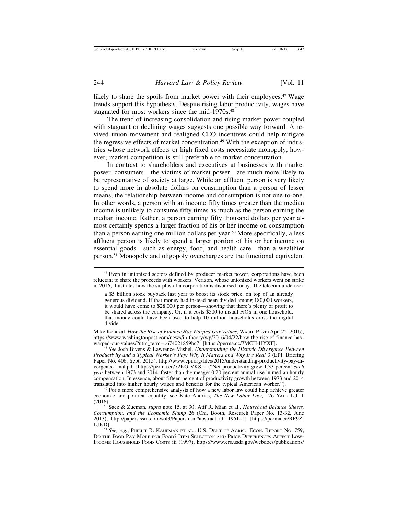likely to share the spoils from market power with their employees.<sup>47</sup> Wage trends support this hypothesis. Despite rising labor productivity, wages have stagnated for most workers since the mid-1970s.<sup>48</sup>

The trend of increasing consolidation and rising market power coupled with stagnant or declining wages suggests one possible way forward. A revived union movement and realigned CEO incentives could help mitigate the regressive effects of market concentration.<sup>49</sup> With the exception of industries whose network effects or high fixed costs necessitate monopoly, however, market competition is still preferable to market concentration.

In contrast to shareholders and executives at businesses with market power, consumers—the victims of market power—are much more likely to be representative of society at large. While an affluent person is very likely to spend more in absolute dollars on consumption than a person of lesser means, the relationship between income and consumption is not one-to-one. In other words, a person with an income fifty times greater than the median income is unlikely to consume fifty times as much as the person earning the median income. Rather, a person earning fifty thousand dollars per year almost certainly spends a larger fraction of his or her income on consumption than a person earning one million dollars per year.50 More specifically, a less affluent person is likely to spend a larger portion of his or her income on essential goods—such as energy, food, and health care—than a wealthier person.51 Monopoly and oligopoly overcharges are the functional equivalent

Mike Konczal, *How the Rise of Finance Has Warped Our Values*, WASH. POST (Apr. 22, 2016), https://www.washingtonpost.com/news/in-theory/wp/2016/04/22/how-the-rise-of-finance-has-

<sup>8</sup> See Josh Bivens & Lawrence Mishel, *Understanding the Historic Divergence Between Productivity and a Typical Worker's Pay: Why It Matters and Why It's Real* 3 (EPI, Briefing Paper No. 406, Sept. 2015), http://www.epi.org/files/2015/understanding-productivity-pay-divergence-final.pdf [https://perma.cc/72KG-VKSL] ("Net productivity grew 1.33 percent *each year* between 1973 and 2014, faster than the meager 0.20 percent annual rise in median hourly compensation. In essence, about fifteen percent of productivity growth between 1973 and 2014 translated into higher hourly wages and benefits for the typical American worker.").

<sup>49</sup> For a more comprehensive analysis of how a new labor law could help achieve greater. economic and political equality, see Kate Andrias, *The New Labor Law*, 126 YALE L.J. 1

(2016). <sup>50</sup> Saez & Zucman, *supra* note 15, at 30; Atif R. Mian et al., *Household Balance Sheets, Consumption, and the Economic Slump* 26 (Chi. Booth, Research Paper No. 13-32, June 2013), http://papers.ssrn.com/sol3/Papers.cfm?abstract\_id=1961211 [https://perma.cc/RE9Z-LJKD1.

<sup>51</sup> *See, e.g.*, PHILLIP R. KAUFMAN ET AL., U.S. DEP'T OF AGRIC., ECON. REPORT NO. 759, DO THE POOR PAY MORE FOR FOOD? ITEM SELECTION AND PRICE DIFFERENCES AFFECT LOW-INCOME HOUSEHOLD FOOD COSTS iii (1997), https://www.ers.usda.gov/webdocs/publications/

<sup>&</sup>lt;sup>47</sup> Even in unionized sectors defined by producer market power, corporations have been reluctant to share the proceeds with workers. Verizon, whose unionized workers went on strike in 2016, illustrates how the surplus of a corporation is disbursed today. The telecom undertook

a \$5 billion stock buyback last year to boost its stock price, on top of an already generous dividend. If that money had instead been divided among 180,000 workers, it would have come to \$28,000 per person—showing that there's plenty of profit to be shared across the company. Or, if it costs \$500 to install FiOS in one household, that money could have been used to help 10 million households cross the digital divide.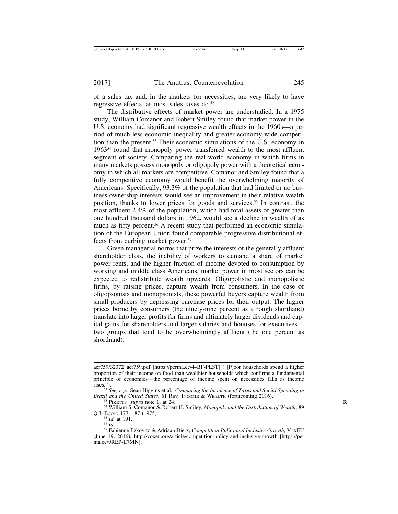of a sales tax and, in the markets for necessities, are very likely to have regressive effects, as most sales taxes do.52

The distributive effects of market power are understudied. In a 1975 study, William Comanor and Robert Smiley found that market power in the U.S. economy had significant regressive wealth effects in the 1960s—a period of much less economic inequality and greater economy-wide competition than the present.53 Their economic simulations of the U.S. economy in 196354 found that monopoly power transferred wealth to the most affluent segment of society. Comparing the real-world economy in which firms in many markets possess monopoly or oligopoly power with a theoretical economy in which all markets are competitive, Comanor and Smiley found that a fully competitive economy would benefit the overwhelming majority of Americans. Specifically, 93.3% of the population that had limited or no business ownership interests would see an improvement in their relative wealth position, thanks to lower prices for goods and services.55 In contrast, the most affluent 2.4% of the population, which had total assets of greater than one hundred thousand dollars in 1962, would see a decline in wealth of as much as fifty percent.<sup>56</sup> A recent study that performed an economic simulation of the European Union found comparable progressive distributional effects from curbing market power.57

Given managerial norms that prize the interests of the generally affluent shareholder class, the inability of workers to demand a share of market power rents, and the higher fraction of income devoted to consumption by working and middle class Americans, market power in most sectors can be expected to redistribute wealth upwards. Oligopolistic and monopolistic firms, by raising prices, capture wealth from consumers. In the case of oligopsonists and monopsonists, these powerful buyers capture wealth from small producers by depressing purchase prices for their output. The higher prices borne by consumers (the ninety-nine percent as a rough shorthand) translate into larger profits for firms and ultimately larger dividends and capital gains for shareholders and larger salaries and bonuses for executives two groups that tend to be overwhelmingly affluent (the one percent as shorthand).

aer759/32372\_aer759.pdf [https://perma.cc/44BF-PLST] ("[P]oor households spend a higher proportion of their income on food than wealthier households which confirms a fundamental principle of economics—the percentage of income spent on necessities falls as income

<sup>&</sup>lt;sup>52</sup> *See, e.g.*, Sean Higgins et al., *Comparing the Incidence of Taxes and Social Spending in Brazil and the United States, 61 REV. INCOME & WEALTH (forthcoming 2016).* 

<sup>&</sup>lt;sup>53</sup> PIKETTY, *supra* note 1, at 24.<br><sup>54</sup> William S. Comanor & Robert H. Smiley, *Monopoly and the Distribution of Wealth*, 89 Q.J. Econ. 177, 187 (1975).<br><sup>55</sup> *Id.* at 191.<br><sup>56</sup> *Id.* 57 Fabienne Ilzkovitz & Adriaan Dierx, *Competition Policy and Inclusive Growth*, VoxEU

<sup>(</sup>June 19, 2016), http://voxeu.org/article/competition-policy-and-inclusive-growth [https://per ma.cc/9REP-E7MN].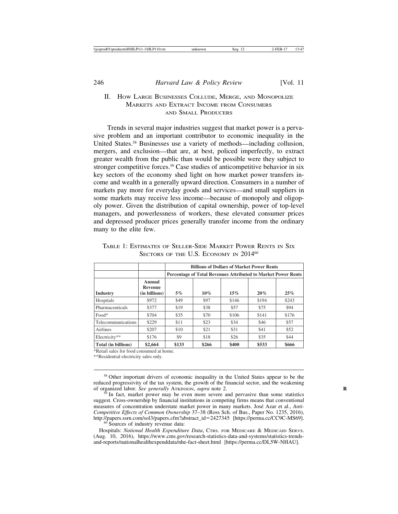#### II. HOW LARGE BUSINESSES COLLUDE, MERGE, AND MONOPOLIZE MARKETS AND EXTRACT INCOME FROM CONSUMERS AND SMALL PRODUCERS

Trends in several major industries suggest that market power is a pervasive problem and an important contributor to economic inequality in the United States.58 Businesses use a variety of methods—including collusion, mergers, and exclusion—that are, at best, policed imperfectly, to extract greater wealth from the public than would be possible were they subject to stronger competitive forces.<sup>59</sup> Case studies of anticompetitive behavior in six key sectors of the economy shed light on how market power transfers income and wealth in a generally upward direction. Consumers in a number of markets pay more for everyday goods and services—and small suppliers in some markets may receive less income—because of monopoly and oligopoly power. Given the distribution of capital ownership, power of top-level managers, and powerlessness of workers, these elevated consumer prices and depressed producer prices generally transfer income from the ordinary many to the elite few.

| TABLE 1: ESTIMATES OF SELLER-SIDE MARKET POWER RENTS IN SIX |  |  |  |  |  |  |  |  |
|-------------------------------------------------------------|--|--|--|--|--|--|--|--|
| SECTORS OF THE U.S. ECONOMY IN 2014 <sup>60</sup>           |  |  |  |  |  |  |  |  |

|                     |                                    | <b>Billions of Dollars of Market Power Rents</b>                     |       |       |       |       |  |  |
|---------------------|------------------------------------|----------------------------------------------------------------------|-------|-------|-------|-------|--|--|
|                     |                                    | <b>Percentage of Total Revenues Attributed to Market Power Rents</b> |       |       |       |       |  |  |
| Industry            | Annual<br>Revenue<br>(in billions) | 5%                                                                   | 10%   | 15%   | 20%   | 25%   |  |  |
| Hospitals           | \$972                              | \$49                                                                 | \$97  | \$146 | \$194 | \$243 |  |  |
| Pharmaceuticals     | \$377                              | \$19                                                                 | \$38  | \$57  | \$75  | \$94  |  |  |
| $Food*$             | \$704                              | \$35                                                                 | \$70  | \$106 | \$141 | \$176 |  |  |
| Telecommunications  | \$229                              | \$11                                                                 | \$23  | \$34  | \$46  | \$57  |  |  |
| Airlines            | \$207                              | \$10                                                                 | \$21  | \$31  | \$41  | \$52  |  |  |
| Electricity**       | \$176                              | \$9                                                                  | \$18  | \$26  | \$35  | \$44  |  |  |
| Total (in billions) | \$2,664                            | \$133                                                                | \$266 | \$400 | \$533 | \$666 |  |  |

\*Retail sales for food consumed at home.

\*\*Residential electricity sales only.

<sup>58</sup> Other important drivers of economic inequality in the United States appear to be the reduced progressivity of the tax system, the growth of the financial sector, and the weakening of organized labor. See generally ATKINSON, supra note 2.

<sup>&</sup>lt;sup>59</sup> In fact, market power may be even more severe and pervasive than some statistics suggest. Cross-ownership by financial institutions in competing firms means that conventional measures of concentration understate market power in many markets. José Azar et al., *Anti-Competitive Effects of Common Ownership* 37–38 (Ross Sch. of Bus., Paper No. 1235, 2016), http://papers.ssrn.com/sol3/papers.cfm?abstract\_id=2427345 [https://perma.cc/CC9C-MS69].<br><sup>60</sup> Sources of industry revenue data:

Hospitals: *National Health Expenditure Data*, CTRS. FOR MEDICARE & MEDICAID SERVS. (Aug. 10, 2016), https://www.cms.gov/research-statistics-data-and-systems/statistics-trendsand-reports/nationalhealthexpenddata/nhe-fact-sheet.html [https://perma.cc/DL5W-NHAU].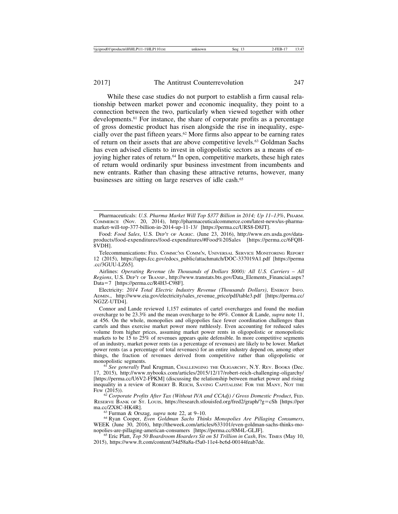While these case studies do not purport to establish a firm causal relationship between market power and economic inequality, they point to a connection between the two, particularly when viewed together with other developments.61 For instance, the share of corporate profits as a percentage of gross domestic product has risen alongside the rise in inequality, especially over the past fifteen years.62 More firms also appear to be earning rates of return on their assets that are above competitive levels.63 Goldman Sachs has even advised clients to invest in oligopolistic sectors as a means of enjoying higher rates of return.<sup>64</sup> In open, competitive markets, these high rates of return would ordinarily spur business investment from incumbents and new entrants. Rather than chasing these attractive returns, however, many businesses are sitting on large reserves of idle cash.<sup>65</sup>

Airlines: *Operating Revenue (In Thousands of Dollars \$000): All U.S. Carriers* – *All Regions*, U.S. DEP'T OF TRANSP., http://www.transtats.bts.gov/Data\_Elements\_Financial.aspx? Data=7 [https://perma.cc/R4H3-C98F].

Electricity: *2014 Total Electric Industry Revenue (Thousands Dollars)*, ENERGY INFO. ADMIN., http://www.eia.gov/electricity/sales\_revenue\_price/pdf/table3.pdf [https://perma.cc/ NG2Z-UTD4].

Connor and Lande reviewed 1,157 estimates of cartel overcharges and found the median overcharge to be 23.3% and the mean overcharge to be 49%. Connor & Lande, *supra* note 11, at 456. On the whole, monopolies and oligopolies face fewer coordination challenges than cartels and thus exercise market power more ruthlessly. Even accounting for reduced sales volume from higher prices, assuming market power rents in oligopolistic or monopolistic markets to be 15 to 25% of revenues appears quite defensible. In more competitive segments of an industry, market power rents (as a percentage of revenues) are likely to be lower. Market power rents (as a percentage of total revenues) for an entire industry depend on, among other things, the fraction of revenues derived from competitive rather than oligopolistic or monopolistic segments.<br><sup>61</sup> *See generally* Paul Krugman, CHALLENGING THE OLIGARCHY, N.Y. REV. BOOKS (Dec.

17, 2015), http://www.nybooks.com/articles/2015/12/17/robert-reich-challenging-oligarchy/ [https://perma.cc/U6V2-FPKM] (discussing the relationship between market power and rising inequality in a review of ROBERT B. REICH, SAVING CAPITALISM: FOR THE MANY, NOT THE FEW (2015)).

<sup>62</sup> *Corporate Profits After Tax (Without IVA and CCAdj) / Gross Domestic Product*, FED. RESERVE BANK OF ST. LOUIS, https://research.stlouisfed.org/fred2/graph/?g=cSh [https://per ma.cc/ZX8C-HK4R].

<sup>63</sup> Furman & Orszag, *supra* note 22, at 9–10.<br><sup>64</sup> Ryan Cooper, *Even Goldman Sachs Thinks Monopolies Are Pillaging Consumers*, WEEK (June 30, 2016), http://theweek.com/articles/633101/even-goldman-sachs-thinks-mo-<br>nopolies-are-pillaging-american-consumers [https://perma.cc/8M4L-GLJF].

<sup>65</sup> Eric Platt, *Top 50 Boardroom Hoarders Sit on \$1 Trillion in Cash*, FIN. TIMES (May 10, 2015), https://www.ft.com/content/34d58a8a-f5a0-11e4-bc6d-00144feab7de.

Pharmaceuticals: *U.S. Pharma Market Will Top \$377 Billion in 2014; Up 11*–*13%*, PHARM. COMMERCE (Nov. 20, 2014), http://pharmaceuticalcommerce.com/latest-news/us-pharmamarket-will-top-377-billion-in-2014-up-11-13/ [https://perma.cc/URS8-D8JT].

Food: *Food Sales*, U.S. DEP'T OF AGRIC. (June 23, 2016), http://www.ers.usda.gov/dataproducts/food-expenditures/food-expenditures/#Food%20Sales [https://perma.cc/6FQH-8VDH].

Telecommunications: FED. COMMC'NS COMM'N, UNIVERSAL SERVICE MONITORING REPORT 12 (2015), https://apps.fcc.gov/edocs\_public/attachmatch/DOC-337019A1.pdf [https://perma .cc/3GUU-LZ65].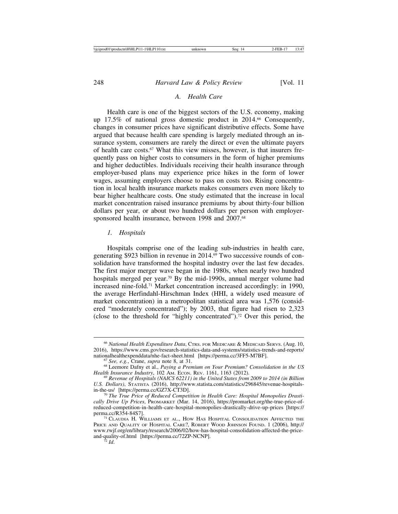#### *A. Health Care*

Health care is one of the biggest sectors of the U.S. economy, making up 17.5% of national gross domestic product in 2014.66 Consequently, changes in consumer prices have significant distributive effects. Some have argued that because health care spending is largely mediated through an insurance system, consumers are rarely the direct or even the ultimate payers of health care costs.67 What this view misses, however, is that insurers frequently pass on higher costs to consumers in the form of higher premiums and higher deductibles. Individuals receiving their health insurance through employer-based plans may experience price hikes in the form of lower wages, assuming employers choose to pass on costs too. Rising concentration in local health insurance markets makes consumers even more likely to bear higher healthcare costs. One study estimated that the increase in local market concentration raised insurance premiums by about thirty-four billion dollars per year, or about two hundred dollars per person with employersponsored health insurance, between 1998 and 2007.<sup>68</sup>

#### *1. Hospitals*

Hospitals comprise one of the leading sub-industries in health care, generating \$923 billion in revenue in 2014.<sup>69</sup> Two successive rounds of consolidation have transformed the hospital industry over the last few decades. The first major merger wave began in the 1980s, when nearly two hundred hospitals merged per year.<sup>70</sup> By the mid-1990s, annual merger volume had increased nine-fold.71 Market concentration increased accordingly: in 1990, the average Herfindahl-Hirschman Index (HHI, a widely used measure of market concentration) in a metropolitan statistical area was 1,576 (considered "moderately concentrated"); by 2003, that figure had risen to 2,323 (close to the threshold for "highly concentrated").<sup>72</sup> Over this period, the

<sup>66</sup> *National Health Expenditure Data*, CTRS. FOR MEDICARE & MEDICAID SERVS. (Aug. 10, 2016), https://www.cms.gov/research-statistics-data-and-systems/statistics-trends-and-reports/

<sup>&</sup>lt;sup>67</sup> See, e.g., Crane, *supra* note 8, at 31. <sup>68</sup> Leemore Dafny et al., *Paying a Premium on Your Premium? Consolidation in the US Health Insurance Industry*, 102 AM. Econ. Rev. 1161, 1163 (2012).

<sup>&</sup>lt;sup>69</sup> Revenue of Hospitals (NAICS 62211) in the United States from 2009 to 2014 (in Billion *U.S. Dollars)*, STATISTA (2016), http://www.statista.com/statistics/296845/revenue-hospitals-

<sup>&</sup>lt;sup>70</sup> The True Price of Reduced Competition in Health Care: Hospital Monopolies Drasti*cally Drive Up Prices*, PROMARKET (Mar. 14, 2016), https://promarket.org/the-true-price-ofreduced-competition-in-health-care-hospital-monopolies-drastically-drive-up-prices [https://

 $\frac{71}{71}$  Claudia H. Williams et al., How Has Hospital Consolidation Affected the PRICE AND QUALITY OF HOSPITAL CARE?, ROBERT WOOD JOHNSON FOUND. 1 (2006), http:// www.rwjf.org/en/library/research/2006/02/how-has-hospital-consolidation-affected-the-priceand-quality-of.html [https://perma.cc/72ZP-NCNP]. <sup>72</sup> *Id*.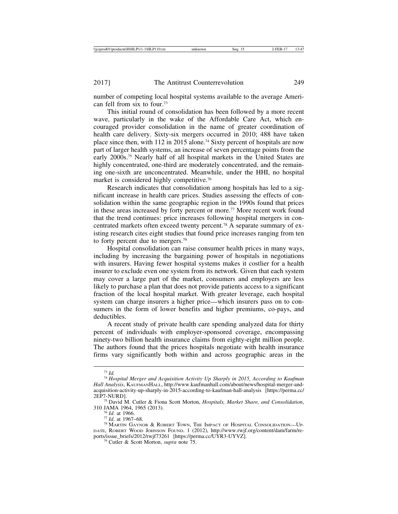number of competing local hospital systems available to the average American fell from six to four.73

This initial round of consolidation has been followed by a more recent wave, particularly in the wake of the Affordable Care Act, which encouraged provider consolidation in the name of greater coordination of health care delivery. Sixty-six mergers occurred in 2010; 488 have taken place since then, with 112 in 2015 alone.74 Sixty percent of hospitals are now part of larger health systems, an increase of seven percentage points from the early 2000s.75 Nearly half of all hospital markets in the United States are highly concentrated, one-third are moderately concentrated, and the remaining one-sixth are unconcentrated. Meanwhile, under the HHI, no hospital market is considered highly competitive.<sup>76</sup>

Research indicates that consolidation among hospitals has led to a significant increase in health care prices. Studies assessing the effects of consolidation within the same geographic region in the 1990s found that prices in these areas increased by forty percent or more.77 More recent work found that the trend continues: price increases following hospital mergers in concentrated markets often exceed twenty percent.78 A separate summary of existing research cites eight studies that found price increases ranging from ten to forty percent due to mergers.79

Hospital consolidation can raise consumer health prices in many ways, including by increasing the bargaining power of hospitals in negotiations with insurers. Having fewer hospital systems makes it costlier for a health insurer to exclude even one system from its network. Given that each system may cover a large part of the market, consumers and employers are less likely to purchase a plan that does not provide patients access to a significant fraction of the local hospital market. With greater leverage, each hospital system can charge insurers a higher price—which insurers pass on to consumers in the form of lower benefits and higher premiums, co-pays, and deductibles.

A recent study of private health care spending analyzed data for thirty percent of individuals with employer-sponsored coverage, encompassing ninety-two billion health insurance claims from eighty-eight million people. The authors found that the prices hospitals negotiate with health insurance firms vary significantly both within and across geographic areas in the

<sup>73</sup> *Id.* <sup>74</sup> *Hospital Merger and Acquisition Activity Up Sharply in 2015, According to Kaufman Hall Analysis*, KAUFMANHALL, http://www.kaufmanhall.com/about/news/hospital-merger-andacquisition-activity-up-sharply-in-2015-according-to-kaufman-hall-analysis [https://perma.cc/

<sup>&</sup>lt;sup>75</sup> David M. Cutler & Fiona Scott Morton, *Hospitals, Market Share, and Consolidation*, 310 JAMA 1964, 1965 (2013).

<sup>&</sup>lt;sup>76</sup> Id. at 1966.<br><sup>77</sup> Id. at 1967–68.<br><sup>78</sup> Martin Gaynor & Robert Town, The Impact of Hospital Consolidation—Up-DATE, ROBERT WOOD JOHNSON FOUND. 1 (2012), http://www.rwjf.org/content/dam/farm/reports/issue\_briefs/2012/rwjf73261 [https://perma.cc/UYR3-UYVZ]. <sup>79</sup> Cutler & Scott Morton, *supra* note 75.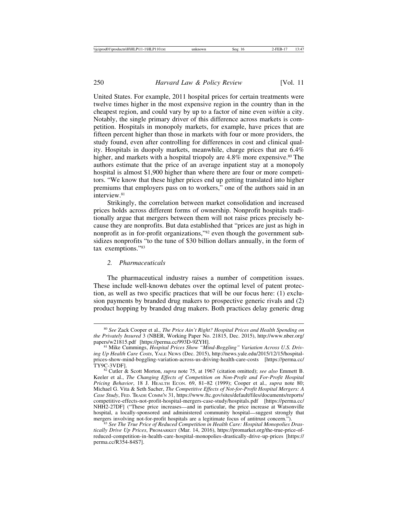United States. For example, 2011 hospital prices for certain treatments were twelve times higher in the most expensive region in the country than in the cheapest region, and could vary by up to a factor of nine even *within* a city. Notably, the single primary driver of this difference across markets is competition. Hospitals in monopoly markets, for example, have prices that are fifteen percent higher than those in markets with four or more providers, the study found, even after controlling for differences in cost and clinical quality. Hospitals in duopoly markets, meanwhile, charge prices that are 6.4% higher, and markets with a hospital triopoly are 4.8% more expensive.<sup>80</sup> The authors estimate that the price of an average inpatient stay at a monopoly hospital is almost \$1,900 higher than where there are four or more competitors. "We know that these higher prices end up getting translated into higher premiums that employers pass on to workers," one of the authors said in an interview.<sup>81</sup>

Strikingly, the correlation between market consolidation and increased prices holds across different forms of ownership. Nonprofit hospitals traditionally argue that mergers between them will not raise prices precisely because they are nonprofits. But data established that "prices are just as high in nonprofit as in for-profit organizations,"82 even though the government subsidizes nonprofits "to the tune of \$30 billion dollars annually, in the form of tax exemptions."83

#### *2. Pharmaceuticals*

The pharmaceutical industry raises a number of competition issues. These include well-known debates over the optimal level of patent protection, as well as two specific practices that will be our focus here: (1) exclusion payments by branded drug makers to prospective generic rivals and (2) product hopping by branded drug makers. Both practices delay generic drug

<sup>80</sup> *See* Zack Cooper et al., *The Price Ain't Right? Hospital Prices and Health Spending on the Privately Insured* 3 (NBER, Working Paper No. 21815, Dec. 2015), http://www.nber.org/ papers/w21815.pdf [https://perma.cc/993D-9ZYH]. <sup>81</sup> Mike Cummings, *Hospital Prices Show "Mind-Boggling" Variation Across U.S. Driv-*

*ing Up Health Care Costs*, YALE NEWS (Dec. 2015), http://news.yale.edu/2015/12/15/hospitalprices-show-mind-boggling-variation-across-us-driving-health-care-costs [https://perma.cc/<br>TY9C-3VDF].

<sup>&</sup>lt;sup>82</sup> Cutler & Scott Morton, *supra* note 75, at 1967 (citation omitted); *see also* Emmett B. Keeler et al., *The Changing Effects of Competition on Non-Profit and For-Profit Hospital Pricing Behavior*, 18 J. HEALTH ECON. 69, 81–82 (1999); Cooper et al., *supra* note 80; Michael G. Vita & Seth Sacher, *The Competitive Effects of Not-for-Profit Hospital Mergers: A Case Study*, FED. TRADE COMM'N 31, https://www.ftc.gov/sites/default/files/documents/reports/ competitive-effects-not-profit-hospital-mergers-case-study/hospitals.pdf [https://perma.cc/ NHH2-27DF] ("These price increases—and in particular, the price increase at Watsonville hospital, a locally-sponsored and administered community hospital—suggest strongly that mergers involving not-for-profit hospitals are a legitimate focus of antitrust concern.").

<sup>&</sup>lt;sup>83</sup> See The True Price of Reduced Competition in Health Care: Hospital Monopolies Dras*tically Drive Up Prices*, PROMARKET (Mar. 14, 2016), https://promarket.org/the-true-price-ofreduced-competition-in-health-care-hospital-monopolies-drastically-drive-up-prices [https:// perma.cc/R354-84S7].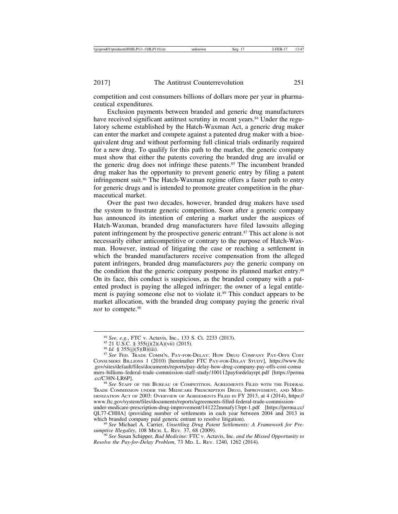competition and cost consumers billions of dollars more per year in pharmaceutical expenditures.

Exclusion payments between branded and generic drug manufacturers have received significant antitrust scrutiny in recent years.<sup>84</sup> Under the regulatory scheme established by the Hatch-Waxman Act, a generic drug maker can enter the market and compete against a patented drug maker with a bioequivalent drug and without performing full clinical trials ordinarily required for a new drug. To qualify for this path to the market, the generic company must show that either the patents covering the branded drug are invalid or the generic drug does not infringe these patents.<sup>85</sup> The incumbent branded drug maker has the opportunity to prevent generic entry by filing a patent infringement suit.<sup>86</sup> The Hatch-Waxman regime offers a faster path to entry for generic drugs and is intended to promote greater competition in the pharmaceutical market.

Over the past two decades, however, branded drug makers have used the system to frustrate generic competition. Soon after a generic company has announced its intention of entering a market under the auspices of Hatch-Waxman, branded drug manufacturers have filed lawsuits alleging patent infringement by the prospective generic entrant.87 This act alone is not necessarily either anticompetitive or contrary to the purpose of Hatch-Waxman. However, instead of litigating the case or reaching a settlement in which the branded manufacturers receive compensation from the alleged patent infringers, branded drug manufacturers *pay* the generic company on the condition that the generic company postpone its planned market entry.<sup>88</sup> On its face, this conduct is suspicious, as the branded company with a patented product is paying the alleged infringer; the owner of a legal entitlement is paying someone else not to violate it.<sup>89</sup> This conduct appears to be market allocation, with the branded drug company paying the generic rival *not* to compete.<sup>90</sup>

<sup>&</sup>lt;sup>84</sup> *See, e.g.*, FTC v. Actavis, Inc., 133 S. Ct. 2233 (2013).<br><sup>85</sup> 21 U.S.C. § 355(j)(2)(A)(vii) (2015).<br><sup>86</sup> *Id.* § 355(j)(5)(B)(iii). 87 *See* FED. TRADE COMM'N, PAY-FOR-DELAY: HOW DRUG COMPANY PAY-OFFS COST CONSUMERS BILLIONS 1 (2010) [hereinafter FTC PAY-FOR-DELAY STUDY], https://www.ftc .gov/sites/default/files/documents/reports/pay-delay-how-drug-company-pay-offs-cost-consu mers-billions-federal-trade-commission-staff-study/100112payfordelayrpt.pdf [https://perma

<sup>88</sup> See STAFF OF THE BUREAU OF COMPETITION, AGREEMENTS FILED WITH THE FEDERAL TRADE COMMISSION UNDER THE MEDICARE PRESCRIPTION DRUG, IMPROVEMENT, AND MOD-ERNIZATION ACT OF 2003: OVERVIEW OF AGREEMENTS FILED IN FY 2013, at 4 (2014), https:// www.ftc.gov/system/files/documents/reports/agreements-filled-federal-trade-commission-

under-medicare-prescription-drug-improvement/141222mmafy13rpt-1.pdf [https://perma.cc/ QL77-CHHA] (providing number of settlements in each year between 2004 and 2013 in

which branded company paid generic entrant to resolve litigation).<br><sup>89</sup> *See* Michael A. Carrier, *Unsettling Drug Patent Settlements: A Framework for Pre-*<br>*sumptive Illegality*, 108 Mich. L. Rev. 37, 68 (2009).

<sup>&</sup>lt;sup>90</sup> See Susan Schipper, *Bad Medicine: FTC v. Actavis, Inc. and the Missed Opportunity to Resolve the Pay-for-Delay Problem*, 73 MD. L. REV. 1240, 1262 (2014).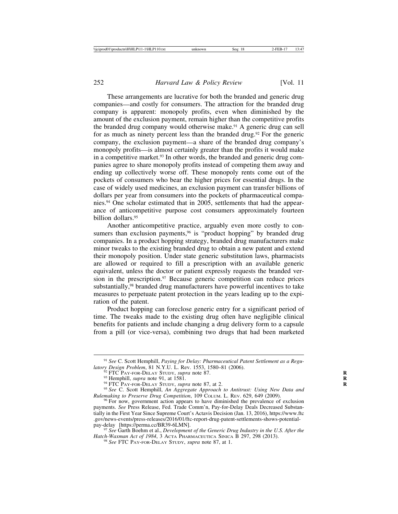These arrangements are lucrative for both the branded and generic drug companies—and costly for consumers. The attraction for the branded drug company is apparent: monopoly profits, even when diminished by the amount of the exclusion payment, remain higher than the competitive profits the branded drug company would otherwise make.91 A generic drug can sell for as much as ninety percent less than the branded drug.<sup>92</sup> For the generic company, the exclusion payment—a share of the branded drug company's monopoly profits—is almost certainly greater than the profits it would make in a competitive market.<sup>93</sup> In other words, the branded and generic drug companies agree to share monopoly profits instead of competing them away and ending up collectively worse off. These monopoly rents come out of the pockets of consumers who bear the higher prices for essential drugs. In the case of widely used medicines, an exclusion payment can transfer billions of dollars per year from consumers into the pockets of pharmaceutical companies.94 One scholar estimated that in 2005, settlements that had the appearance of anticompetitive purpose cost consumers approximately fourteen billion dollars.95

Another anticompetitive practice, arguably even more costly to consumers than exclusion payments,<sup>96</sup> is "product hopping" by branded drug companies. In a product hopping strategy, branded drug manufacturers make minor tweaks to the existing branded drug to obtain a new patent and extend their monopoly position. Under state generic substitution laws, pharmacists are allowed or required to fill a prescription with an available generic equivalent, unless the doctor or patient expressly requests the branded version in the prescription.<sup>97</sup> Because generic competition can reduce prices substantially,<sup>98</sup> branded drug manufacturers have powerful incentives to take measures to perpetuate patent protection in the years leading up to the expiration of the patent.

Product hopping can foreclose generic entry for a significant period of time. The tweaks made to the existing drug often have negligible clinical benefits for patients and include changing a drug delivery form to a capsule from a pill (or vice-versa), combining two drugs that had been marketed

<sup>&</sup>lt;sup>91</sup> *See* C. Scott Hemphill, *Paying for Delay: Pharmaceutical Patent Settlement as a Regulatory Design Problem, 81 N.Y.U. L. Rev. 1553, 1580–81 (2006).* 

<sup>&</sup>lt;sup>92</sup> FTC PAY-FOR-DELAY STUDY, *supra* note 87.<br><sup>92</sup> FTC PAY-FOR-DELAY STUDY, *supra* note 87.<br><sup>94</sup> FTC PAY-FOR-DELAY STUDY, *supra* note 87, at 2.<br><sup>95</sup> See C. Scott Hemphill, *An Aggregate Approach to Antitrust: Using New Rulemaking to Preserve Drug Competition*, 109 COLUM. L. REV. 629, 649 (2009).<br><sup>96</sup> For now, government action appears to have diminished the prevalence of exclusion

payments. *See* Press Release, Fed. Trade Comm'n, Pay-for-Delay Deals Decreased Substantially in the First Year Since Supreme Court's Actavis Decision (Jan. 13, 2016), https://www.ftc .gov/news-events/press-releases/2016/01/ftc-report-drug-patent-settlements-shows-potential-

<sup>&</sup>lt;sup>97</sup> See Garth Boehm et al., *Development of the Generic Drug Industry in the U.S. After the Hatch-Waxman Act of 1984*, 3 ACTA PHARMACEUTICA SINICA B 297, 298 (2013). <sup>98</sup> *See* FTC PAY-FOR-DELAY STUDY, *supra* note 87, at 1.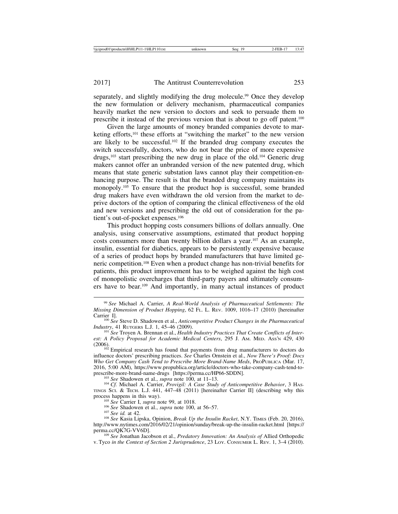separately, and slightly modifying the drug molecule.<sup>99</sup> Once they develop the new formulation or delivery mechanism, pharmaceutical companies heavily market the new version to doctors and seek to persuade them to prescribe it instead of the previous version that is about to go off patent.100

Given the large amounts of money branded companies devote to marketing efforts,101 these efforts at "switching the market" to the new version are likely to be successful.102 If the branded drug company executes the switch successfully, doctors, who do not bear the price of more expensive drugs,103 start prescribing the new drug in place of the old.104 Generic drug makers cannot offer an unbranded version of the new patented drug, which means that state generic substation laws cannot play their competition-enhancing purpose. The result is that the branded drug company maintains its monopoly.105 To ensure that the product hop is successful, some branded drug makers have even withdrawn the old version from the market to deprive doctors of the option of comparing the clinical effectiveness of the old and new versions and prescribing the old out of consideration for the patient's out-of-pocket expenses.<sup>106</sup>

This product hopping costs consumers billions of dollars annually. One analysis, using conservative assumptions, estimated that product hopping costs consumers more than twenty billion dollars a year.107 As an example, insulin, essential for diabetics, appears to be persistently expensive because of a series of product hops by branded manufacturers that have limited generic competition.108 Even when a product change has non-trivial benefits for patients, this product improvement has to be weighed against the high cost of monopolistic overcharges that third-party payers and ultimately consumers have to bear.109 And importantly, in many actual instances of product

 $102$  Empirical research has found that payments from drug manufacturers to doctors do influence doctors' prescribing practices. *See* Charles Ornstein et al., *Now There's Proof: Docs Who Get Company Cash Tend to Prescribe More Brand-Name Meds*, PROPUBLICA (Mar. 17, 2016, 5:00 AM), https://www.propublica.org/article/doctors-who-take-company-cash-tend-to-

<sup>103</sup> See Shadowen et al., supra note 100, at  $11-13$ .<br><sup>104</sup> Cf. Michael A. Carrier, *Provigil: A Case Study of Anticompetitive Behavior*, 3 HAs-TINGS SCI. & TECH. L.J. 441, 447–48 (2011) [hereinafter Carrier II] (describing why this process happens in this way).

<sup>99</sup> *See* Michael A. Carrier, *A Real-World Analysis of Pharmaceutical Settlements: The Missing Dimension of Product Hopping*, 62 FL. L. REV. 1009, 1016–17 (2010) [hereinafter

Carrier I].<br><sup>100</sup> *See* Steve D. Shadowen et al., *Anticompetitive Product Changes in the Pharmaceutical Industry*, 41 RUTGERS L.J. 1, 45–46 (2009).

<sup>&</sup>lt;sup>101</sup> See Troyen A. Brennan et al., *Health Industry Practices That Create Conflicts of Interest: A Policy Proposal for Academic Medical Centers*, 295 J. Am. MED. Ass<sup>3</sup>N 429, 430 (2006).

<sup>&</sup>lt;sup>105</sup> See Carrier I, *supra* note 99, at 1018.<br><sup>106</sup> See Shadowen et al., *supra* note 100, at 56–57.<br><sup>107</sup> See id. at 42.<br><sup>107</sup> See Kasia Lipska, Opinion, *Break Up the Insulin Racket*, N.Y. TIMES (Feb. 20, 2016), http://www.nytimes.com/2016/02/21/opinion/sunday/break-up-the-insulin-racket.html [https://

<sup>&</sup>lt;sup>109</sup> See Jonathan Jacobson et al., *Predatory Innovation: An Analysis of Allied Orthopedic* v. Tyco *in the Context of Section 2 Jurisprudence*, 23 LOY. CONSUMER L. REV. 1, 3–4 (2010).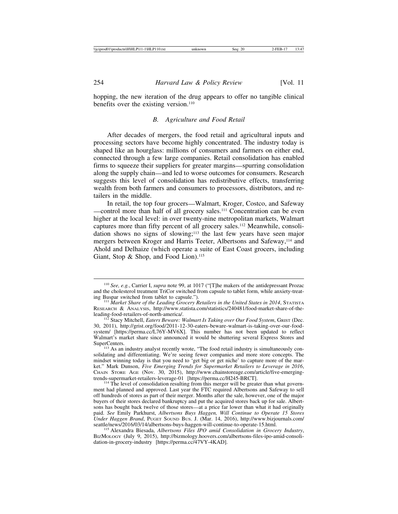hopping, the new iteration of the drug appears to offer no tangible clinical benefits over the existing version.<sup>110</sup>

#### *B. Agriculture and Food Retail*

After decades of mergers, the food retail and agricultural inputs and processing sectors have become highly concentrated. The industry today is shaped like an hourglass: millions of consumers and farmers on either end, connected through a few large companies. Retail consolidation has enabled firms to squeeze their suppliers for greater margins—spurring consolidation along the supply chain—and led to worse outcomes for consumers. Research suggests this level of consolidation has redistributive effects, transferring wealth from both farmers and consumers to processors, distributors, and retailers in the middle.

In retail, the top four grocers—Walmart, Kroger, Costco, and Safeway —control more than half of all grocery sales.111 Concentration can be even higher at the local level: in over twenty-nine metropolitan markets, Walmart captures more than fifty percent of all grocery sales.112 Meanwhile, consolidation shows no signs of slowing;<sup>113</sup> the last few years have seen major mergers between Kroger and Harris Teeter, Albertsons and Safeway,<sup>114</sup> and Ahold and Delhaize (which operate a suite of East Coast grocers, including Giant, Stop  $\&$  Shop, and Food Lion).<sup>115</sup>

<sup>110</sup> *See, e.g.*, Carrier I, *supra* note 99, at 1017 ("[T]he makers of the antidepressant Prozac and the cholesterol treatment TriCor switched from capsule to tablet form, while anxiety-treat-<br>ing Buspar switched from tablet to capsule.").

<sup>&</sup>lt;sup>111</sup> Market Share of the Leading Grocery Retailers in the United States in 2014, STATISTA RESEARCH & ANALYSIS, http://www.statista.com/statistics/240481/food-market-share-of-the-leading-food-retailers-of-north-america/.

<sup>&</sup>lt;sup>112</sup> Stacy Mitchell, *Eaters Beware: Walmart Is Taking over Our Food System*, GRIST (Dec. 30, 2011), http://grist.org/food/2011-12-30-eaters-beware-walmart-is-taking-over-our-foodsystem/ [https://perma.cc/L76Y-MV6X]. This number has not been updated to reflect Walmart's market share since announced it would be shuttering several Express Stores and SuperCenters.

<sup>&</sup>lt;sup>113</sup> As an industry analyst recently wrote, "The food retail industry is simultaneously consolidating and differentiating. We're seeing fewer companies and more store concepts. The mindset winning today is that you need to 'get big or get niche' to capture more of the market." Mark Dunson, *Five Emerging Trends for Supermarket Retailers to Leverage in 2016*, CHAIN STORE AGE (Nov. 30, 2015), http://www.chainstoreage.com/article/five-emerging-<br>trends-supermarket-retailers-leverage-01 [https://perma.cc/H245-BRCT]. trends-supermarket-retailers-leverage-01 [https://perma.cc/H245-BRCT]. <sup>114</sup> The level of consolidation resulting from this merger will be greater than what govern-

ment had planned and approved. Last year the FTC required Albertsons and Safeway to sell off hundreds of stores as part of their merger. Months after the sale, however, one of the major buyers of their stores declared bankruptcy and put the acquired stores back up for sale. Albertsons has bought back twelve of those stores—at a price far lower than what it had originally paid. *See* Emily Parkhurst, *Albertsons Buys Haggen, Will Continue to Operate 15 Stores Under Haggen Brand*, PUGET SOUND BUS. J. (Mar. 14, 2016), http://www.bizjournals.com/

<sup>&</sup>lt;sup>115</sup> Alexandra Biesada, *Albertsons-Files IPO amid Consolidation in Grocery Industry*, BIZMOLOGY (July 9, 2015), http://bizmology.hoovers.com/albertsons-files-ipo-amid-consolidation-in-grocery-industry [https://perma.cc/47VY-4KAD].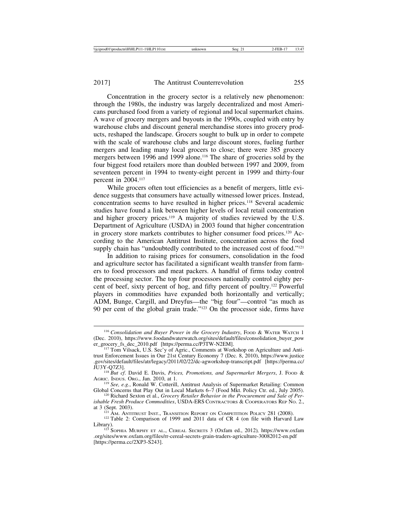Concentration in the grocery sector is a relatively new phenomenon: through the 1980s, the industry was largely decentralized and most Americans purchased food from a variety of regional and local supermarket chains. A wave of grocery mergers and buyouts in the 1990s, coupled with entry by warehouse clubs and discount general merchandise stores into grocery products, reshaped the landscape. Grocers sought to bulk up in order to compete with the scale of warehouse clubs and large discount stores, fueling further mergers and leading many local grocers to close; there were 385 grocery mergers between 1996 and 1999 alone.<sup>116</sup> The share of groceries sold by the four biggest food retailers more than doubled between 1997 and 2009, from seventeen percent in 1994 to twenty-eight percent in 1999 and thirty-four percent in 2004.117

While grocers often tout efficiencies as a benefit of mergers, little evidence suggests that consumers have actually witnessed lower prices. Instead, concentration seems to have resulted in higher prices.118 Several academic studies have found a link between higher levels of local retail concentration and higher grocery prices.119 A majority of studies reviewed by the U.S. Department of Agriculture (USDA) in 2003 found that higher concentration in grocery store markets contributes to higher consumer food prices.120 According to the American Antitrust Institute, concentration across the food supply chain has "undoubtedly contributed to the increased cost of food."<sup>121</sup>

In addition to raising prices for consumers, consolidation in the food and agriculture sector has facilitated a significant wealth transfer from farmers to food processors and meat packers. A handful of firms today control the processing sector. The top four processors nationally control eighty percent of beef, sixty percent of hog, and fifty percent of poultry.122 Powerful players in commodities have expanded both horizontally and vertically; ADM, Bunge, Cargill, and Dreyfus—the "big four"—control "as much as 90 per cent of the global grain trade."123 On the processor side, firms have

<sup>&</sup>lt;sup>116</sup> Consolidation and Buyer Power in the Grocery Industry, FOOD & WATER WATCH 1 (Dec. 2010), https://www.foodandwaterwatch.org/sites/default/files/consolidation\_buyer\_pow

 $^{117}$  Tom Vilsack, U.S. Sec'y of Agric., Comments at Workshop on Agriculture and Antitrust Enforcement Issues in Our 21st Century Economy 7 (Dec. 8, 2010), https://www.justice .gov/sites/default/files/atr/legacy/2011/02/22/dc-agworkshop-transcript.pdf [https://perma.cc/

<sup>&</sup>lt;sup>118</sup> *But cf.* David E. Davis, *Prices, Promotions, and Supermarket Mergers*, J. Food & AGRIC. INDUS. OrG., Jan. 2010, at 1.

<sup>&</sup>lt;sup>119</sup> *See, e.g.*, Ronald W. Cotterill, Antitrust Analysis of Supermarket Retailing: Common Global Concerns that Play Out in Local Markets 6–7 (Food Mkt. Policy Ctr. ed., July 2005).

<sup>&</sup>lt;sup>120</sup> Richard Sexton et al., *Grocery Retailer Behavior in the Procurement and Sale of Perishable Fresh Produce Commodities*, USDA-ERS CONTRACTORS & COOPERATORS REP NO. 2., at 3 (Sept. 2003).

<sup>&</sup>lt;sup>121</sup> AM. ANTITRUST INST., TRANSITION REPORT ON COMPETITION POLICY 281 (2008). <sup>122</sup> Table 2: Comparison of 1999 and 2011 data of CR 4 (on file with Harvard Law Library).

<sup>&</sup>lt;sup>123</sup> SOPHIA MURPHY ET AL., CEREAL SECRETS 3 (Oxfam ed., 2012), https://www.oxfam .org/sites/www.oxfam.org/files/rr-cereal-secrets-grain-traders-agriculture-30082012-en.pdf [https://perma.cc/2XP3-S243].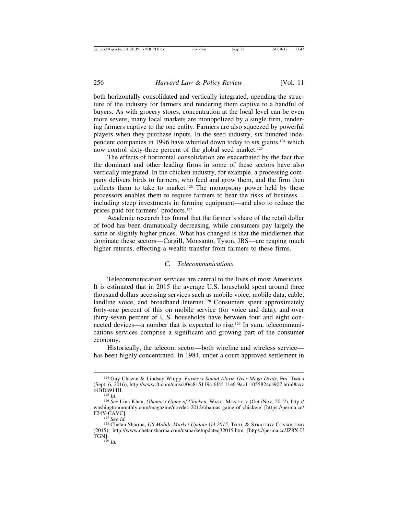both horizontally consolidated and vertically integrated, upending the structure of the industry for farmers and rendering them captive to a handful of buyers. As with grocery stores, concentration at the local level can be even more severe; many local markets are monopolized by a single firm, rendering farmers captive to the one entity. Farmers are also squeezed by powerful players when they purchase inputs. In the seed industry, six hundred independent companies in 1996 have whittled down today to six giants,124 which now control sixty-three percent of the global seed market.<sup>125</sup>

The effects of horizontal consolidation are exacerbated by the fact that the dominant and other leading firms in some of these sectors have also vertically integrated. In the chicken industry, for example, a processing company delivers birds to farmers, who feed and grow them, and the firm then collects them to take to market.<sup>126</sup> The monopsony power held by these processors enables them to require farmers to bear the risks of business including steep investments in farming equipment—and also to reduce the prices paid for farmers' products.127

Academic research has found that the farmer's share of the retail dollar of food has been dramatically decreasing, while consumers pay largely the same or slightly higher prices. What has changed is that the middlemen that dominate these sectors—Cargill, Monsanto, Tyson, JBS—are reaping much higher returns, effecting a wealth transfer from farmers to these firms.

#### *C. Telecommunications*

Telecommunication services are central to the lives of most Americans. It is estimated that in 2015 the average U.S. household spent around three thousand dollars accessing services such as mobile voice, mobile data, cable, landline voice, and broadband Internet.<sup>128</sup> Consumers spent approximately forty-one percent of this on mobile service (for voice and data), and over thirty-seven percent of U.S. households have between four and eight connected devices—a number that is expected to rise.129 In sum, telecommunications services comprise a significant and growing part of the consumer economy.

Historically, the telecom sector—both wireline and wireless service has been highly concentrated. In 1984, under a court-approved settlement in

<sup>&</sup>lt;sup>124</sup> Guy Chazan & Lindsay Whipp, *Farmers Sound Alarm Over Mega Deals*, Fin. TIMES (Sept. 6, 2016), http://www.ft.com/cms/s/0/c815119c-6f4f-11e6-9ac1-1055824ca907.html#axz

<sup>&</sup>lt;sup>125</sup> *Id.* 126 *Id.* 126 *Id.* 126 *See Lina Khan, <i>Obama's Game of Chicken*, WASH. MONTHLY (Oct./Nov. 2012), http:// washingtonmonthly.com/magazine/novdec-2012/obamas-game-of-chicken/ [https://perma.cc/

F24Y-CAVC]. <sup>127</sup> *See id.* <sup>128</sup> Chetan Sharma, *US Mobile Market Update Q3 2015*, TECH. & STRATEGY CONSULTING (2015), http://www.chetansharma.com/usmarketupdateq32015.htm [https://perma.cc/JZ8X-U  $TGN$ ].<br> $^{129}$  *Id.*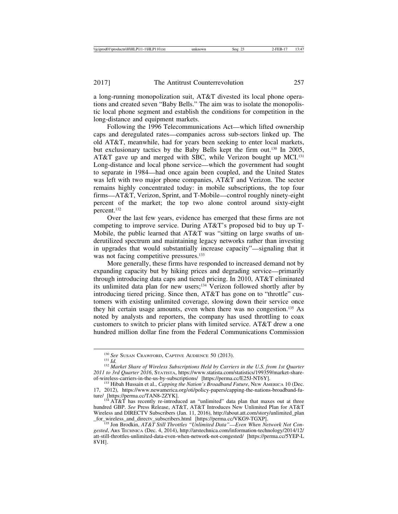a long-running monopolization suit, AT&T divested its local phone operations and created seven "Baby Bells." The aim was to isolate the monopolistic local phone segment and establish the conditions for competition in the long-distance and equipment markets.

Following the 1996 Telecommunications Act—which lifted ownership caps and deregulated rates—companies across sub-sectors linked up. The old AT&T, meanwhile, had for years been seeking to enter local markets, but exclusionary tactics by the Baby Bells kept the firm out.130 In 2005, AT&T gave up and merged with SBC, while Verizon bought up MCI.<sup>131</sup> Long-distance and local phone service—which the government had sought to separate in 1984—had once again been coupled, and the United States was left with two major phone companies, AT&T and Verizon. The sector remains highly concentrated today: in mobile subscriptions, the top four firms—AT&T, Verizon, Sprint, and T-Mobile—control roughly ninety-eight percent of the market; the top two alone control around sixty-eight percent.132

Over the last few years, evidence has emerged that these firms are not competing to improve service. During AT&T's proposed bid to buy up T-Mobile, the public learned that AT&T was "sitting on large swaths of underutilized spectrum and maintaining legacy networks rather than investing in upgrades that would substantially increase capacity"—signaling that it was not facing competitive pressures.<sup>133</sup>

More generally, these firms have responded to increased demand not by expanding capacity but by hiking prices and degrading service—primarily through introducing data caps and tiered pricing. In 2010, AT&T eliminated its unlimited data plan for new users;134 Verizon followed shortly after by introducing tiered pricing. Since then, AT&T has gone on to "throttle" customers with existing unlimited coverage, slowing down their service once they hit certain usage amounts, even when there was no congestion.135 As noted by analysts and reporters, the company has used throttling to coax customers to switch to pricier plans with limited service. AT&T drew a one hundred million dollar fine from the Federal Communications Commission

<sup>130</sup> *See* SUSAN CRAWFORD, CAPTIVE AUDIENCE 50 (2013). <sup>131</sup> *Id.* <sup>132</sup> *Market Share of Wireless Subscriptions Held by Carriers in the U.S. from 1st Quarter* 2011 to 3rd Quarter 2016, STATISTA, https://www.statista.com/statistics/199359/market-share-<br>of-wireless-carriers-in-the-us-by-subscriptions/ [https://perma.cc/E25J-NT6Y].

<sup>&</sup>lt;sup>133</sup> Hibah Hussain et al., *Capping the Nation's Broadband Future*, NEW AMERICA 10 (Dec. 17, 2012), https://www.newamerica.org/oti/policy-papers/capping-the-nations-broadband-fu-<br>ture/ [https://perma.cc/TAN8-2ZYK].

 $AT&T$  has recently re-introduced an "unlimited" data plan that maxes out at three hundred GBP. *See* Press Release, AT&T, AT&T Introduces New Unlimited Plan for AT&T Wireless and DIRECTV Subscribers (Jan. 11, 2016), http://about.att.com/story/unlimited\_plan\_for\_wireless\_and\_directv\_subscribers.html [https://perma.cc/VKG9-TGXP].

 $\frac{d}{dt}$  Ion Brodkin, *AT&T Still Throttles "Unlimited Data"—Even When Network Not Congested*, ARS TECHNICA (Dec. 4, 2014), http://arstechnica.com/information-technology/2014/12/ att-still-throttles-unlimited-data-even-when-network-not-congested/ [https://perma.cc/5YEP-L 8VH].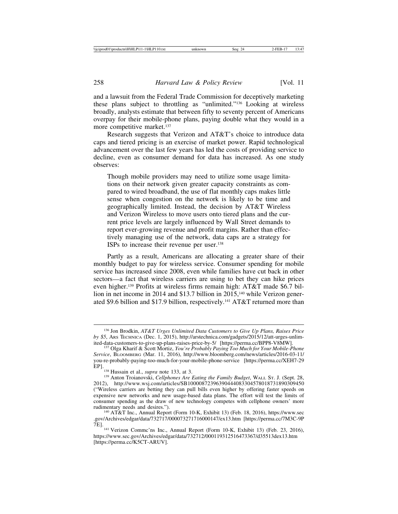and a lawsuit from the Federal Trade Commission for deceptively marketing these plans subject to throttling as "unlimited."136 Looking at wireless broadly, analysts estimate that between fifty to seventy percent of Americans overpay for their mobile-phone plans, paying double what they would in a more competitive market.<sup>137</sup>

Research suggests that Verizon and AT&T's choice to introduce data caps and tiered pricing is an exercise of market power. Rapid technological advancement over the last few years has led the costs of providing service to decline, even as consumer demand for data has increased. As one study observes:

Though mobile providers may need to utilize some usage limitations on their network given greater capacity constraints as compared to wired broadband, the use of flat monthly caps makes little sense when congestion on the network is likely to be time and geographically limited. Instead, the decision by AT&T Wireless and Verizon Wireless to move users onto tiered plans and the current price levels are largely influenced by Wall Street demands to report ever-growing revenue and profit margins. Rather than effectively managing use of the network, data caps are a strategy for ISPs to increase their revenue per user.138

Partly as a result, Americans are allocating a greater share of their monthly budget to pay for wireless service. Consumer spending for mobile service has increased since 2008, even while families have cut back in other sectors—a fact that wireless carriers are using to bet they can hike prices even higher.139 Profits at wireless firms remain high: AT&T made \$6.7 billion in net income in 2014 and \$13.7 billion in 2015,<sup>140</sup> while Verizon generated \$9.6 billion and \$17.9 billion, respectively.141 AT&T returned more than

<sup>136</sup> Jon Brodkin, *AT&T Urges Unlimited Data Customers to Give Up Plans, Raises Price by \$5*, ARS TECHNICA (Dec. 1, 2015), http://arstechnica.com/gadgets/2015/12/att-urges-unlim-

<sup>&</sup>lt;sup>137</sup> Olga Kharif & Scott Mortiz, *You're Probably Paying Too Much for Your Mobile-Phone Service*, BLOOMBERG (Mar. 11, 2016), http://www.bloomberg.com/news/articles/2016-03-11/ you-re-probably-paying-too-much-for-your-mobile-phone-service [https://perma.cc/XEH7-29 EP].<br><sup>138</sup> Hussain et al., *supra* note 133, at 3.<br><sup>139</sup> Anton Troianovski, *Cellphones Are Eating the Family Budget*, WALL St. J. (Sept. 28,

<sup>2012),</sup> http://www.wsj.com/articles/SB10000872396390444083304578018731890309450 ("Wireless carriers are betting they can pull bills even higher by offering faster speeds on expensive new networks and new usage-based data plans. The effort will test the limits of consumer spending as the draw of new technology competes with cellphone owners' more rudimentary needs and desires.").

<sup>&</sup>lt;sup>140</sup> AT&T Inc., Annual Report (Form 10-K, Exhibit 13) (Feb. 18, 2016), https://www.sec .gov/Archives/edgar/data/732717/000073271716000147/ex13.htm [https://perma.cc/7M3C-9P

<sup>7</sup>E].141 Verizon Commc'ns Inc., Annual Report (Form 10-K, Exhibit 13) (Feb. 23, 2016), https://www.sec.gov/Archives/edgar/data/732712/000119312516473367/d35513dex13.htm [https://perma.cc/K5CT-ARUV].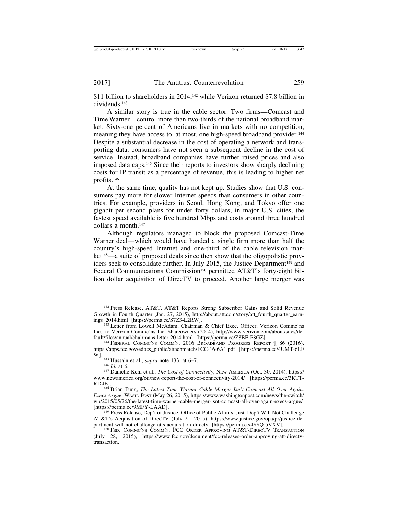\$11 billion to shareholders in 2014,<sup>142</sup> while Verizon returned \$7.8 billion in dividends.143

A similar story is true in the cable sector. Two firms—Comcast and Time Warner—control more than two-thirds of the national broadband market. Sixty-one percent of Americans live in markets with no competition, meaning they have access to, at most, one high-speed broadband provider.<sup>144</sup> Despite a substantial decrease in the cost of operating a network and transporting data, consumers have not seen a subsequent decline in the cost of service. Instead, broadband companies have further raised prices and also imposed data caps.145 Since their reports to investors show sharply declining costs for IP transit as a percentage of revenue, this is leading to higher net profits.146

At the same time, quality has not kept up. Studies show that U.S. consumers pay more for slower Internet speeds than consumers in other countries. For example, providers in Seoul, Hong Kong, and Tokyo offer one gigabit per second plans for under forty dollars; in major U.S. cities, the fastest speed available is five hundred Mbps and costs around three hundred dollars a month.<sup>147</sup>

Although regulators managed to block the proposed Comcast-Time Warner deal—which would have handed a single firm more than half the country's high-speed Internet and one-third of the cable television market148—a suite of proposed deals since then show that the oligopolistic providers seek to consolidate further. In July 2015, the Justice Department<sup>149</sup> and Federal Communications Commission<sup>150</sup> permitted AT&T's forty-eight billion dollar acquisition of DirecTV to proceed. Another large merger was

<sup>142</sup> Press Release, AT&T, AT&T Reports Strong Subscriber Gains and Solid Revenue Growth in Fourth Quarter (Jan. 27, 2015), http://about.att.com/story/att\_fourth\_quarter\_earn-<br>ings 2014.html [https://perma.cc/S7Z3-L2RW].

<sup>&</sup>lt;sup>143</sup> Letter from Lowell McAdam, Chairman & Chief Exec. Officer, Verizon Commc'ns Inc., to Verizon Commc'ns Inc. Shareowners (2014), http://www.verizon.com/about/sites/de-<br>fault/files/annual/chairmans-letter-2014.html [https://perma.cc/Z8BE-P8GZ].

<sup>&</sup>lt;sup>144</sup> FEDERAL COMMC'NS COMM'N, 2016 BROADBAND PROGRESS REPORT **[ 86 (2016)**, https://apps.fcc.gov/edocs\_public/attachmatch/FCC-16-6A1.pdf [https://perma.cc/4UMT-6LF W].<br><sup>145</sup> Hussain et al., *supra* note 133, at 6–7.<br><sup>146</sup> *Id.* at 6.<br><sup>147</sup> Danielle Kehl et al., *The Cost of Connectivity*, New AMERICA (Oct. 30, 2014), https://

www.newamerica.org/oti/new-report-the-cost-of-connectivity-2014/ [https://perma.cc/3KTT-

<sup>&</sup>lt;sup>148</sup> Brian Fung, *The Latest Time Warner Cable Merger Isn't Comcast All Over Again, Execs Argue*, WASH. POST (May 26, 2015), https://www.washingtonpost.com/news/the-switch/ wp/2015/05/26/the-latest-time-warner-cable-merger-isnt-comcast-all-over-again-execs-argue/ [https://perma.cc/9MFY-LAAD].<br><sup>149</sup> Press Release, Dep't of Justice, Office of Public Affairs, Just. Dep't Will Not Challenge

AT&T's Acquisition of DirecTV (July 21, 2015), https://www.justice.gov/opa/pr/justice-de-

<sup>&</sup>lt;sup>150</sup> FED. COMMC'NS COMM'N, FCC ORDER APPROVING AT&T-DIRECTV TRANSACTION (July 28, 2015), https://www.fcc.gov/document/fcc-releases-order-approving-att-directvtransaction.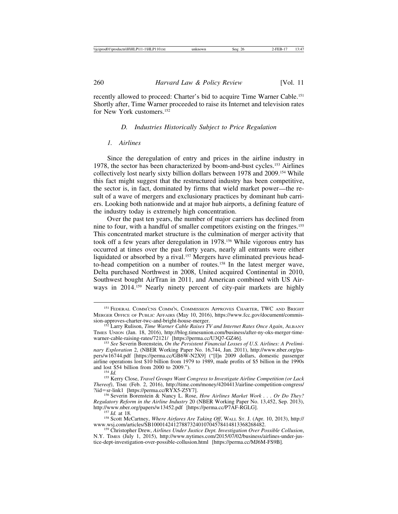recently allowed to proceed: Charter's bid to acquire Time Warner Cable.151 Shortly after, Time Warner proceeded to raise its Internet and television rates for New York customers.152

#### *D. Industries Historically Subject to Price Regulation*

#### *1. Airlines*

Since the deregulation of entry and prices in the airline industry in 1978, the sector has been characterized by boom-and-bust cycles.153 Airlines collectively lost nearly sixty billion dollars between 1978 and 2009.154 While this fact might suggest that the restructured industry has been competitive, the sector is, in fact, dominated by firms that wield market power—the result of a wave of mergers and exclusionary practices by dominant hub carriers. Looking both nationwide and at major hub airports, a defining feature of the industry today is extremely high concentration.

Over the past ten years, the number of major carriers has declined from nine to four, with a handful of smaller competitors existing on the fringes.155 This concentrated market structure is the culmination of merger activity that took off a few years after deregulation in 1978.156 While vigorous entry has occurred at times over the past forty years, nearly all entrants were either liquidated or absorbed by a rival.157 Mergers have eliminated previous headto-head competition on a number of routes.158 In the latest merger wave, Delta purchased Northwest in 2008, United acquired Continental in 2010, Southwest bought AirTran in 2011, and American combined with US Airways in 2014.159 Nearly ninety percent of city-pair markets are highly

<sup>151</sup> FEDERAL COMM'CNS COMM'N, COMMISSION APPROVES CHARTER, TWC AND BRIGHT MERGER OFFICE OF PUBLIC AFFAIRS (May 10, 2016), https://www.fcc.gov/document/commission-approves-charter-twc-and-bright-house-merger. <sup>152</sup> Larry Rulison, *Time Warner Cable Raises TV and Internet Rates Once Again*, ALBANY

TIMES UNION (Jan. 18, 2016), http://blog.timesunion.com/business/after-ny-oks-merger-time-warner-cable-raising-rates/72121/ [https://perma.cc/U3Q7-GZ46].

<sup>&</sup>lt;sup>153</sup> See Severin Borenstein, *On the Persistent Financial Losses of U.S. Airlines: A Preliminary Exploration* 2, (NBER Working Paper No. 16,744, Jan. 2011), http://www.nber.org/papers/w16744.pdf [https://perma.cc/GB6W-N2X9] ("[I]n 2009 dollars, domestic passenger airline operations lost  $$10$  billion from 1979 to 1989, made profits of  $$5$  billion in the 1990s and lost  $$54$  billion from 2000 to 2009.").

<sup>&</sup>lt;sup>154</sup> Id.<br><sup>155</sup> Kerry Close, *Travel Groups Want Congress to Investigate Airline Competition (or Lack Thereof)*, TIME (Feb. 2, 2016), http://time.com/money/4204413/airline-competition-congress/ ?iid=sr-link1 [https://perma.cc/RYX5-Z5Y7]. <sup>156</sup> Severin Borenstein & Nancy L. Rose, *How Airlines Market Work . . . Or Do They?*

*Regulatory Reform in the Airline Industry* 20 (NBER Working Paper No. 13,452, Sep. 2013), http://www.nber.org/papers/w13452.pdf [https://perma.cc/P7AF-RGLG].

<sup>&</sup>lt;sup>157</sup> *Id.* at 18. 158 Scott McCartney, *Where Airfares Are Taking Off*, WALL ST. J. (Apr. 10, 2013), http://<br>www.wsj.com/articles/SB10001424127887324010704578414813368268482.

<sup>&</sup>lt;sup>159</sup> Christopher Drew, Airlines Under Justice Dept. Investigation Over Possible Collusion, N.Y. TIMES (July 1, 2015), http://www.nytimes.com/2015/07/02/business/airlines-under-justice-dept-investigation-over-possible-collusion.html [https://perma.cc/MJ6M-FS9B].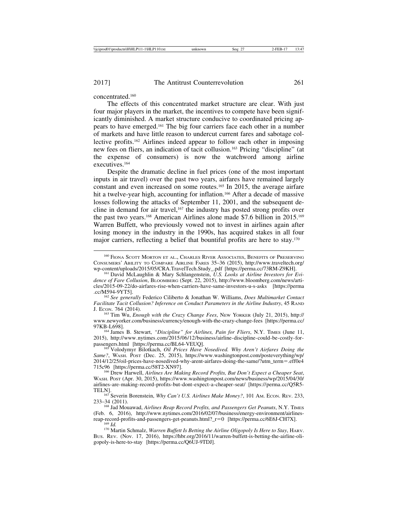concentrated.160

The effects of this concentrated market structure are clear. With just four major players in the market, the incentives to compete have been significantly diminished. A market structure conducive to coordinated pricing appears to have emerged.161 The big four carriers face each other in a number of markets and have little reason to undercut current fares and sabotage collective profits.162 Airlines indeed appear to follow each other in imposing new fees on fliers, an indication of tacit collusion.163 Pricing "discipline" (at the expense of consumers) is now the watchword among airline executives.164

Despite the dramatic decline in fuel prices (one of the most important inputs in air travel) over the past two years, airfares have remained largely constant and even increased on some routes.<sup>165</sup> In 2015, the average airfare hit a twelve-year high, accounting for inflation.<sup>166</sup> After a decade of massive losses following the attacks of September 11, 2001, and the subsequent decline in demand for air travel, $167$  the industry has posted strong profits over the past two years.<sup>168</sup> American Airlines alone made \$7.6 billion in 2015.<sup>169</sup> Warren Buffett, who previously vowed not to invest in airlines again after losing money in the industry in the 1990s, has acquired stakes in all four major carriers, reflecting a belief that bountiful profits are here to stay.170

<sup>163</sup> Tim Wu, *Enough with the Crazy Change Fees*, New Yorker (July 21, 2015), http:// www.newyorker.com/business/currency/enough-with-the-crazy-change-fees [https://perma.cc/

<sup>164</sup> James B. Stewart, *"Discipline" for Airlines, Pain for Fliers*, N.Y. TIMES (June 11, 2015), http://www.nytimes.com/2015/06/12/business/airline-discipline-could-be-costly-for-<br>passengers.html [https://perma.cc/BL64-VEUO].

<sup>165</sup> Volodymyr Bilotkach, *Oil Prices Have Nosedived. Why Aren't Airfares Doing the Same?*, WASH. POST (Dec. 25, 2015), https://www.washingtonpost.com/posteverything/wp/ 2014/12/25/oil-prices-have-nosedived-why-arent-airfares-doing-the-same/?utm\_term=.eff0e4 715c96 [https://perma.cc/58T2-XN97]. <sup>166</sup> Drew Harwell, *Airlines Are Making Record Profits, But Don't Expect a Cheaper Seat*,

233–34 (2011).

<sup>168</sup> Jad Mouawad, *Airlines Reap Record Profits, and Passengers Get Peanuts*, N.Y. TIMES (Feb. 6, 2016), http://www.nytimes.com/2016/02/07/business/energy-environment/airlines-<br>reap-record-profits-and-passengers-get-peanuts.html?\_r=0 [https://perma.cc/6E6J-CH7X].

record-profits-and-passengers-get-pearuts.<br><sup>170</sup> Martin Schmalz, *Warren Buffett Is Betting the Airline Oligopoly Is Here to Stay*, HARV.

BUS. REV. (Nov. 17, 2016), https://hbr.org/2016/11/warren-buffett-is-betting-the-airline-oligopoly-is-here-to-stay [https://perma.cc/Q6UJ-9TDJ].

<sup>160</sup> FIONA SCOTT MORTON ET AL., CHARLES RIVER ASSOCIATES, BENEFITS OF PRESERVING CONSUMERS' ABILITY TO COMPARE AIRLINE FARES 35–36 (2015), http://www.traveltech.org/ wp-content/uploads/2015/05/CRA.TravelTech.Study\_.pdf [https://perma.cc/73RM-Z9KH]. <sup>161</sup> David McLaughlin & Mary Schlangenstein, *U.S. Looks at Airline Investors for Evi-*

*dence of Fare Collusion*, BLOOMBERG (Sept. 22, 2015), http://www.bloomberg.com/news/articles/2015-09-22/do-airfares-rise-when-carriers-have-same-investors-u-s-asks [https://perma

<sup>&</sup>lt;sup>162</sup> See generally Federico Ciliberto & Jonathan W. Williams, *Does Multimarket Contact Facilitate Tacit Collusion? Inference on Conduct Parameters in the Airline Industry*, 45 RAND J. Econ. 764 (2014).

WASH. POST (Apr. 30, 2015), https://www.washingtonpost.com/news/business/wp/2015/04/30/ airlines-are-making-record-profits-but-dont-expect-a-cheaper-seat/ [https://perma.cc/Q5R5- TELN]. <sup>167</sup> Severin Borenstein, *Why Can't U.S. Airlines Make Money?*, 101 AM. ECON. REV. 233,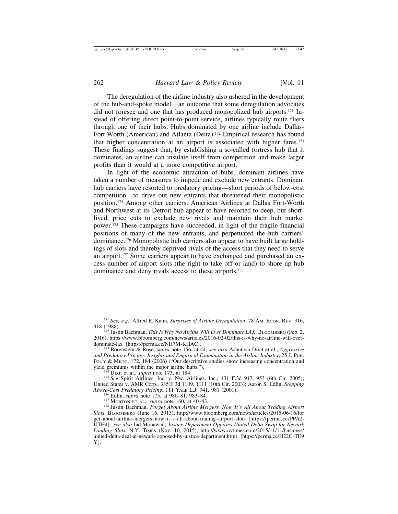The deregulation of the airline industry also ushered in the development of the hub-and-spoke model—an outcome that some deregulation advocates did not foresee and one that has produced monopolized hub airports.171 Instead of offering direct point-to-point service, airlines typically route fliers through one of their hubs. Hubs dominated by one airline include Dallas-Fort Worth (American) and Atlanta (Delta).<sup>172</sup> Empirical research has found that higher concentration at an airport is associated with higher fares.173 These findings suggest that, by establishing a so-called fortress hub that it dominates, an airline can insulate itself from competition and make larger profits than it would at a more competitive airport.

In light of the economic attraction of hubs, dominant airlines have taken a number of measures to impede and exclude new entrants. Dominant hub carriers have resorted to predatory pricing—short periods of below-cost competition—to drive out new entrants that threatened their monopolistic position.174 Among other carriers, American Airlines at Dallas Fort-Worth and Northwest at its Detroit hub appear to have resorted to deep, but shortlived, price cuts to exclude new rivals and maintain their hub market power.175 These campaigns have succeeded, in light of the fragile financial positions of many of the new entrants, and perpetuated the hub carriers' dominance.176 Monopolistic hub carriers also appear to have built large holdings of slots and thereby deprived rivals of the access that they need to serve an airport.177 Some carriers appear to have exchanged and purchased an excess number of airport slots (the right to take off or land) to shore up hub dominance and deny rivals access to these airports.178

<sup>171</sup> *See, e.g.*, Alfred E. Kahn, *Surprises of Airline Deregulation*, 78 AM. ECON. REV. 316, 318 (1988). <sup>172</sup> Justin Bachman, *This Is Why No Airline Will Ever Dominate LAX*, BLOOMBERG (Feb. 2,

<sup>2016),</sup> https://www.bloomberg.com/news/articles/2016-02-02/this-is-why-no-airline-will-ever-<br>dominate-lax [https://perma.cc/NH7M-KHAC].

<sup>&</sup>lt;sup>173</sup> Borenstein & Rose, *supra* note 156, at 44; *see also* Ashutosh Dixit et al., *Aggressive and Predatory Pricing: Insights and Empirical Examination in the Airline Industry*, 25 J. PUB. POL'Y & MKTG. 172, 184 (2006) ("Our descriptive studies show increasing concentration and yield premiums within the major airline hubs.").

<sup>&</sup>lt;sup>174</sup> Dixit et al., *supra* note 173, at 184. 175 *See* Spirit Airlines, Inc. v. Nw. Airlines, Inc., 431 F.3d 917, 953 (6th Cir. 2005); United States v. AMR Corp., 335 F.3d 1109, 1111 (10th Cir. 2003); Aaron S. Edlin, *Stopping*

<sup>&</sup>lt;sup>176</sup> Edlin, *supra* note 175, at 980–81, 983–84.<br><sup>177</sup> MORTON ET AL., *supra* note 160, at 40–43.<br><sup>178</sup> Justin Bachman, *Forget About Airline Mergers. Now It's All About Trading Airport Slots*, BLOOMBERG (June 16, 2015), http://www.bloomberg.com/news/articles/2015-06-16/for get-about-airline-mergers-now-it-s-all-about-trading-airport-slots [https://perma.cc/PPA2- UTH4]; *see also* Jad Mouawad, *Justice Department Opposes United-Delta Swap for Newark Landing Slots*, N.Y. TIMES (Nov. 10, 2015), http://www.nytimes.com/2015/11/11/business/ united-delta-deal-at-newark-opposed-by-justice-department.html [https://perma.cc/H22G-TE9 Y].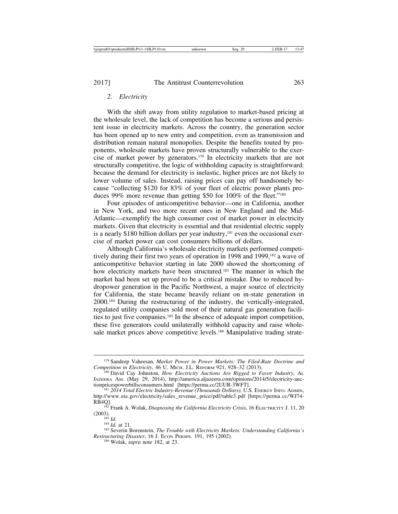#### *2. Electricity*

With the shift away from utility regulation to market-based pricing at the wholesale level, the lack of competition has become a serious and persistent issue in electricity markets. Across the country, the generation sector has been opened up to new entry and competition, even as transmission and distribution remain natural monopolies. Despite the benefits touted by proponents, wholesale markets have proven structurally vulnerable to the exercise of market power by generators.179 In electricity markets that are not structurally competitive, the logic of withholding capacity is straightforward: because the demand for electricity is inelastic, higher prices are not likely to lower volume of sales. Instead, raising prices can pay off handsomely because "collecting \$120 for 83% of your fleet of electric power plants produces 99% more revenue than getting \$50 for 100% of the fleet."<sup>180</sup>

Four episodes of anticompetitive behavior—one in California, another in New York, and two more recent ones in New England and the Mid-Atlantic—exemplify the high consumer cost of market power in electricity markets. Given that electricity is essential and that residential electric supply is a nearly \$180 billion dollars per year industry, $181$  even the occasional exercise of market power can cost consumers billions of dollars.

Although California's wholesale electricity markets performed competitively during their first two years of operation in 1998 and 1999,<sup>182</sup> a wave of anticompetitive behavior starting in late 2000 showed the shortcoming of how electricity markets have been structured.<sup>183</sup> The manner in which the market had been set up proved to be a critical mistake. Due to reduced hydropower generation in the Pacific Northwest, a major source of electricity for California, the state became heavily reliant on in-state generation in 2000.184 During the restructuring of the industry, the vertically-integrated, regulated utility companies sold most of their natural gas generation facilities to just five companies.185 In the absence of adequate import competition, these five generators could unilaterally withhold capacity and raise wholesale market prices above competitive levels.<sup>186</sup> Manipulative trading strate-

<sup>179</sup> Sandeep Vaheesan, *Market Power in Power Markets: The Filed-Rate Doctrine and*

<sup>&</sup>lt;sup>80</sup> David Cay Johnston, *How Electricity Auctions Are Rigged to Favor Industry*, AL JAZEERA AM. (May 29, 2014), http://america.aljazeera.com/opinions/2014/5/electricity-auc-<br>tionpricespowerbillsconsumers.html [https://perma.cc/2UUR-3WFT].

<sup>&</sup>lt;sup>181</sup> 2014 Total Electric Industry-Revenue (Thousands Dollars), U.S. ENERGY INFO. ADMIN, http://www.eia.gov/electricity/sales\_revenue\_price/pdf/table3.pdf [https://perma.cc/WJ74-

<sup>&</sup>lt;sup>182</sup> Frank A. Wolak, *Diagnosing the California Electricity Crisis*, 16 ELECTRICITY J. 11, 20 (2003).

<sup>&</sup>lt;sup>184</sup> *Id.* at 21. 185 *Id.* at 21. 185 Severin Borenstein, *The Trouble with Electricity Markets: Understanding California's Restructuring Disaster*, 16 J. ECON PERSPS. 191, 195 (2002). <sup>186</sup> Wolak, *supra* note 182, at 23.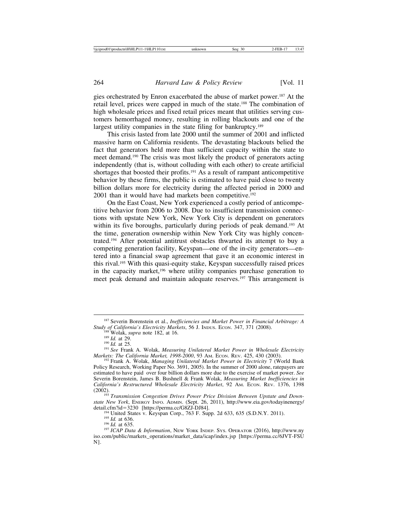gies orchestrated by Enron exacerbated the abuse of market power.187 At the retail level, prices were capped in much of the state.188 The combination of high wholesale prices and fixed retail prices meant that utilities serving customers hemorrhaged money, resulting in rolling blackouts and one of the largest utility companies in the state filing for bankruptcy.<sup>189</sup>

This crisis lasted from late 2000 until the summer of 2001 and inflicted massive harm on California residents. The devastating blackouts belied the fact that generators held more than sufficient capacity within the state to meet demand.190 The crisis was most likely the product of generators acting independently (that is, without colluding with each other) to create artificial shortages that boosted their profits.<sup>191</sup> As a result of rampant anticompetitive behavior by these firms, the public is estimated to have paid close to twenty billion dollars more for electricity during the affected period in 2000 and 2001 than it would have had markets been competitive.<sup>192</sup>

On the East Coast, New York experienced a costly period of anticompetitive behavior from 2006 to 2008. Due to insufficient transmission connections with upstate New York, New York City is dependent on generators within its five boroughs, particularly during periods of peak demand.<sup>193</sup> At the time, generation ownership within New York City was highly concentrated.194 After potential antitrust obstacles thwarted its attempt to buy a competing generation facility, Keyspan—one of the in-city generators—entered into a financial swap agreement that gave it an economic interest in this rival.195 With this quasi-equity stake, Keyspan successfully raised prices in the capacity market,<sup>196</sup> where utility companies purchase generation to meet peak demand and maintain adequate reserves.<sup>197</sup> This arrangement is

<sup>&</sup>lt;sup>187</sup> Severin Borenstein et al., *Inefficiencies and Market Power in Financial Arbitrage: A Study of California's Electricity Markets, 56 J. INDUS. ECON. 347, 371 (2008).* 

<sup>&</sup>lt;sup>188</sup> Wolak, *supra* note 182, at 16.<br><sup>189</sup> Id. at 29.<br><sup>190</sup> Id. at 25.<br><sup>191</sup> See Frank A. Wolak, *Measuring Unilateral Market Power in Wholesale Electricity Markets: The California Market, 1998-2000*, 93 AM. ECON. REV. 425, 430 (2003). <sup>192</sup> Frank A. Wolak, *Managing Unilateral Market Power in Electricity* 7 (World Bank

Policy Research, Working Paper No. 3691, 2005). In the summer of 2000 alone, ratepayers are estimated to have paid over four billion dollars more due to the exercise of market power. *See* Severin Borenstein, James B. Bushnell & Frank Wolak, *Measuring Market Inefficiencies in* California's Restructured Wholesale Electricity Market, 92 Am. ECON. REV. 1376, 1398 (2002).

<sup>&</sup>lt;sup>193</sup> Transmission Congestion Drives Power Price Division Between Upstate and Down*state New York*, ENERGY INFO. ADMIN. (Sept. 26, 2011), http://www.eia.gov/todayinenergy/

<sup>&</sup>lt;sup>194</sup> United States v. Keyspan Corp., 763 F. Supp. 2d 633, 635 (S.D.N.Y. 2011).<br><sup>195</sup> *Id.* at 636.<br><sup>196</sup> *Id.* at 635.<br><sup>196</sup> *Id.* at 635.<br><sup>197</sup> *ICAP Data & Information*, New York INDEP. Sys. OPERATOR (2016), http://www

iso.com/public/markets\_operations/market\_data/icap/index.jsp [https://perma.cc/6JVT-FSU N].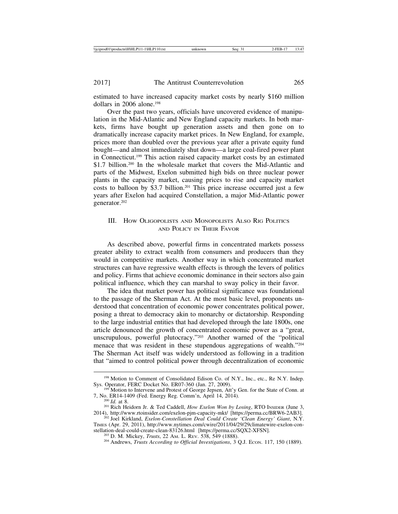estimated to have increased capacity market costs by nearly \$160 million dollars in 2006 alone.<sup>198</sup>

Over the past two years, officials have uncovered evidence of manipulation in the Mid-Atlantic and New England capacity markets. In both markets, firms have bought up generation assets and then gone on to dramatically increase capacity market prices. In New England, for example, prices more than doubled over the previous year after a private equity fund bought—and almost immediately shut down—a large coal-fired power plant in Connecticut.199 This action raised capacity market costs by an estimated \$1.7 billion.<sup>200</sup> In the wholesale market that covers the Mid-Atlantic and parts of the Midwest, Exelon submitted high bids on three nuclear power plants in the capacity market, causing prices to rise and capacity market costs to balloon by \$3.7 billion.<sup>201</sup> This price increase occurred just a few years after Exelon had acquired Constellation, a major Mid-Atlantic power generator.202

#### III. HOW OLIGOPOLISTS AND MONOPOLISTS ALSO RIG POLITICS AND POLICY IN THEIR FAVOR

As described above, powerful firms in concentrated markets possess greater ability to extract wealth from consumers and producers than they would in competitive markets. Another way in which concentrated market structures can have regressive wealth effects is through the levers of politics and policy. Firms that achieve economic dominance in their sectors also gain political influence, which they can marshal to sway policy in their favor.

The idea that market power has political significance was foundational to the passage of the Sherman Act. At the most basic level, proponents understood that concentration of economic power concentrates political power, posing a threat to democracy akin to monarchy or dictatorship. Responding to the large industrial entities that had developed through the late 1800s, one article denounced the growth of concentrated economic power as a "great, unscrupulous, powerful plutocracy."203 Another warned of the "political menace that was resident in these stupendous aggregations of wealth."204 The Sherman Act itself was widely understood as following in a tradition that "aimed to control political power through decentralization of economic

<sup>&</sup>lt;sup>198</sup> Motion to Comment of Consolidated Edison Co. of N.Y., Inc., etc., Re N.Y. Indep.

Sys. Operator, FERC Docket No. ER07-360 (Jan. 27, 2009). 199 Motion to Intervene and Protest of George Jepsen, Att'y Gen. for the State of Conn. at 7, No. ER14-1409 (Fed. Energy Reg. Comm'n, April 14, 2014).

<sup>&</sup>lt;sup>200</sup> *Id.* at 8. <sup>201</sup> Rich Heidorn Jr. & Ted Caddell, *How Exelon Won by Losing*, RTO INSIDER (June 3, 2014), http://www.rtoinsider.com/exelon-pjm-capacity-mkt/ [https://perma.cc/BRW6-2AB3].

<sup>&</sup>lt;sup>202</sup> Joel Kirkland, *Exelon-Constellation Deal Could Create* 'Clean Energy' Giant, N.Y. TIMES (Apr. 29, 2011), http://www.nytimes.com/cwire/2011/04/29/29climatewire-exelon-con-<br>stellation-deal-could-create-clean-83126.html [https://perma.cc/SQX2-XFSN].

<sup>&</sup>lt;sup>203</sup> D. M. Mickey, *Trusts*, 22 Am. L. REV. 538, 549 (1888).<br><sup>204</sup> Andrews, *Trusts According to Official Investigations*, 3 Q.J. Econ. 117, 150 (1889).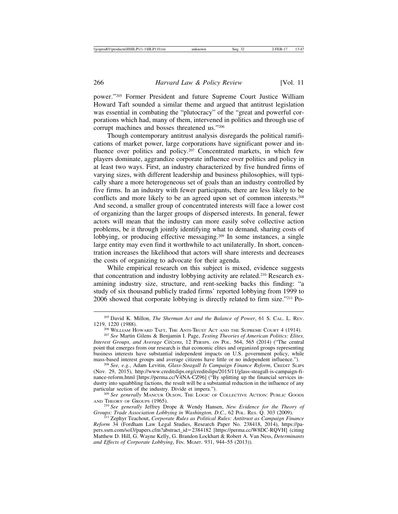power."205 Former President and future Supreme Court Justice William Howard Taft sounded a similar theme and argued that antitrust legislation was essential in combating the "plutocracy" of the "great and powerful corporations which had, many of them, intervened in politics and through use of corrupt machines and bosses threatened us."206

Though contemporary antitrust analysis disregards the political ramifications of market power, large corporations have significant power and influence over politics and policy.<sup>207</sup> Concentrated markets, in which few players dominate, aggrandize corporate influence over politics and policy in at least two ways. First, an industry characterized by five hundred firms of varying sizes, with different leadership and business philosophies, will typically share a more heterogeneous set of goals than an industry controlled by five firms. In an industry with fewer participants, there are less likely to be conflicts and more likely to be an agreed upon set of common interests.208 And second, a smaller group of concentrated interests will face a lower cost of organizing than the larger groups of dispersed interests. In general, fewer actors will mean that the industry can more easily solve collective action problems, be it through jointly identifying what to demand, sharing costs of lobbying, or producing effective messaging.209 In some instances, a single large entity may even find it worthwhile to act unilaterally. In short, concentration increases the likelihood that actors will share interests and decreases the costs of organizing to advocate for their agenda.

While empirical research on this subject is mixed, evidence suggests that concentration and industry lobbying activity are related.<sup>210</sup> Research examining industry size, structure, and rent-seeking backs this finding: "a study of six thousand publicly traded firms' reported lobbying from 1999 to 2006 showed that corporate lobbying is directly related to firm size."211 Po-

<sup>&</sup>lt;sup>205</sup> David K. Millon, *The Sherman Act and the Balance of Power*, 61 S. CAL. L. REV. 1219, 1220 (1988).

<sup>1219, 1220 (1988).</sup> <sup>206</sup> WILLIAM HOWARD TAFT, THE ANTI-TRUST ACT AND THE SUPREME COURT 4 (1914). <sup>207</sup> *See* Martin Gilens & Benjamin I. Page, *Testing Theories of American Politics: Elites, Interest Groups, and Average Citizens*, 12 PERSPS. ON POL. 564, 565 (2014) ("The central point that emerges from our research is that economic elites and organized groups representing business interests have substantial independent impacts on U.S. government policy, while mass-based interest groups and average citizens have little or no independent influence.").

<sup>&</sup>lt;sup>208</sup> See, e.g., Adam Levitin, *Glass-Steagall Is Campaign Finance Reform*, CREDIT SLIPS (Nov. 29, 2015), http://www.creditslips.org/creditslips/2015/11/glass-steagall-is-campaign-finance-reform.html [https://perma.cc/V4NA-CZ96] ("By splitting up the financial services industry into squabbling factions, the result will be a substantial reduction in the influence of any particular section of the industry. Divide et impera.").

<sup>&</sup>lt;sup>209</sup> See generally MANCUR OLSON, THE LOGIC OF COLLECTIVE ACTION: PUBLIC GOODS AND THEORY OF GROUPS (1965). <sup>210</sup> *See generally* Jeffrey Drope & Wendy Hansen, *New Evidence for the Theory of*

*Groups: Trade Association Lobbying in Washington, D.C.*, 62 POL. RES. Q. 303 (2009). <sup>211</sup> Zephyr Teachout, *Corporate Rules as Political Rules: Antitrust as Campaign Finance*

*Reform* 34 (Fordham Law Legal Studies, Research Paper No. 238418, 2014), https://papers.ssrn.com/sol3/papers.cfm?abstract\_id=2384182 [https://perma.cc/W8DC-RQVH] (citing Matthew D. Hill, G. Wayne Kelly, G. Brandon Lockhart & Robert A. Van Ness, *Determinants* and Effects of Corporate Lobbying, FIN. MGMT. 931, 944-55 (2013)).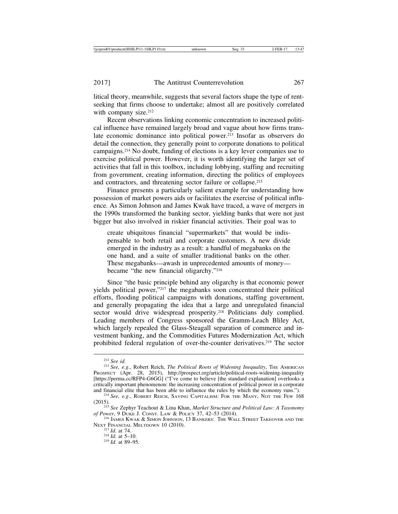litical theory, meanwhile, suggests that several factors shape the type of rentseeking that firms choose to undertake; almost all are positively correlated with company size.<sup>212</sup>

Recent observations linking economic concentration to increased political influence have remained largely broad and vague about how firms translate economic dominance into political power.<sup>213</sup> Insofar as observers do detail the connection, they generally point to corporate donations to political campaigns.214 No doubt, funding of elections is a key lever companies use to exercise political power. However, it is worth identifying the larger set of activities that fall in this toolbox, including lobbying, staffing and recruiting from government, creating information, directing the politics of employees and contractors, and threatening sector failure or collapse.215

Finance presents a particularly salient example for understanding how possession of market powers aids or facilitates the exercise of political influence. As Simon Johnson and James Kwak have traced, a wave of mergers in the 1990s transformed the banking sector, yielding banks that were not just bigger but also involved in riskier financial activities. Their goal was to

create ubiquitous financial "supermarkets" that would be indispensable to both retail and corporate customers. A new divide emerged in the industry as a result: a handful of megabanks on the one hand, and a suite of smaller traditional banks on the other. These megabanks—awash in unprecedented amounts of money became "the new financial oligarchy."216

Since "the basic principle behind any oligarchy is that economic power yields political power,"217 the megabanks soon concentrated their political efforts, flooding political campaigns with donations, staffing government, and generally propagating the idea that a large and unregulated financial sector would drive widespread prosperity.<sup>218</sup> Politicians duly complied. Leading members of Congress sponsored the Gramm-Leach Bliley Act, which largely repealed the Glass-Steagall separation of commerce and investment banking, and the Commodities Futures Modernization Act, which prohibited federal regulation of over-the-counter derivatives.219 The sector

<sup>212</sup> *See id.* <sup>213</sup> *See, e.g*., Robert Reich, *The Political Roots of Widening Inequality*, THE AMERICAN PROSPECT (Apr. 28, 2015), http://prospect.org/article/political-roots-widening-inequality [https://perma.cc/RFP4-G6GG] ("I've come to believe [the standard explanation] overlooks a critically important phenomenon: the increasing concentration of political power in a corporate

<sup>&</sup>lt;sup>214</sup> See, e.g., ROBERT REICH, SAVING CAPITALISM: FOR THE MANY, NOT THE FEW 168

<sup>(2015).</sup> <sup>215</sup> *See* Zephyr Teachout & Lina Khan, *Market Structure and Political Law: A Taxonomy*

<sup>&</sup>lt;sup>216</sup> JAMES KWAK & SIMON JOHNSON, 13 BANKERS: THE WALL STREET TAKEOVER AND THE NEXT FINANCIAL MELTDOWN 10 (2010).<br>
<sup>217</sup> *Id.* at 74.<br>
<sup>218</sup> *Id.* at 5–10.<br>
<sup>219</sup> *Id.* at 89–95.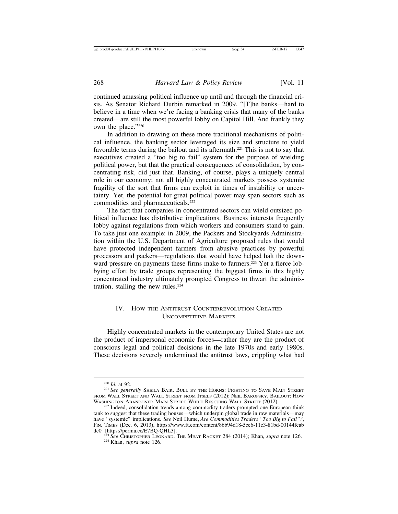continued amassing political influence up until and through the financial crisis. As Senator Richard Durbin remarked in 2009, "[T]he banks—hard to believe in a time when we're facing a banking crisis that many of the banks created—are still the most powerful lobby on Capitol Hill. And frankly they own the place."220

In addition to drawing on these more traditional mechanisms of political influence, the banking sector leveraged its size and structure to yield favorable terms during the bailout and its aftermath.<sup>221</sup> This is not to say that executives created a "too big to fail" system for the purpose of wielding political power, but that the practical consequences of consolidation, by concentrating risk, did just that. Banking, of course, plays a uniquely central role in our economy; not all highly concentrated markets possess systemic fragility of the sort that firms can exploit in times of instability or uncertainty. Yet, the potential for great political power may span sectors such as commodities and pharmaceuticals.222

The fact that companies in concentrated sectors can wield outsized political influence has distributive implications. Business interests frequently lobby against regulations from which workers and consumers stand to gain. To take just one example: in 2009, the Packers and Stockyards Administration within the U.S. Department of Agriculture proposed rules that would have protected independent farmers from abusive practices by powerful processors and packers—regulations that would have helped halt the downward pressure on payments these firms make to farmers.<sup>223</sup> Yet a fierce lobbying effort by trade groups representing the biggest firms in this highly concentrated industry ultimately prompted Congress to thwart the administration, stalling the new rules. $224$ 

#### IV. HOW THE ANTITRUST COUNTERREVOLUTION CREATED UNCOMPETITIVE MARKETS

Highly concentrated markets in the contemporary United States are not the product of impersonal economic forces—rather they are the product of conscious legal and political decisions in the late 1970s and early 1980s. These decisions severely undermined the antitrust laws, crippling what had

<sup>&</sup>lt;sup>220</sup> *Id.* at 92.<br><sup>221</sup> See generally Sheila Bair, Bull by the Horns: Fighting to Save Main Street FROM WALL STREET AND WALL STREET FROM ITSELF (2012); NEIL BAROFSKY, BAILOUT: HOW<br>WASHINGTON ABANDONED MAIN STREET WHILE RESCUING WALL STREET (2012).

<sup>&</sup>lt;sup>222</sup> Indeed, consolidation trends among commodity traders prompted one European think tank to suggest that these trading houses—which underpin global trade in raw materials—may have "systemic" implications. *See* Neil Hume, *Are Commodities Traders "Too Big to Fail"?*, FIN. TIMES (Dec. 6, 2013), https://www.ft.com/content/86b94d18-5ce6-11e3-81bd-00144feab

dc0 [https://perma.cc/E7BQ-QHL3]. <sup>223</sup> *See* CHRISTOPHER LEONARD, THE MEAT RACKET 284 (2014); Khan, *supra* note 126. <sup>224</sup> Khan, *supra* note 126.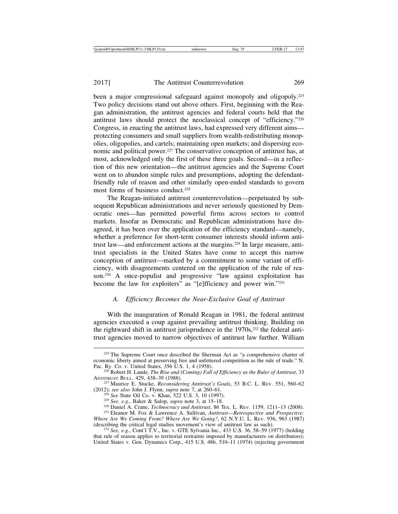been a major congressional safeguard against monopoly and oligopoly.225 Two policy decisions stand out above others. First, beginning with the Reagan administration, the antitrust agencies and federal courts held that the antitrust laws should protect the neoclassical concept of "efficiency."226 Congress, in enacting the antitrust laws, had expressed very different aims protecting consumers and small suppliers from wealth-redistributing monopolies, oligopolies, and cartels; maintaining open markets; and dispersing economic and political power.<sup>227</sup> The conservative conception of antitrust has, at most, acknowledged only the first of these three goals. Second—in a reflection of this new orientation—the antitrust agencies and the Supreme Court went on to abandon simple rules and presumptions, adopting the defendantfriendly rule of reason and other similarly open-ended standards to govern most forms of business conduct.228

The Reagan-initiated antitrust counterrevolution—perpetuated by subsequent Republican administrations and never seriously questioned by Democratic ones—has permitted powerful firms across sectors to control markets. Insofar as Democratic and Republican administrations have disagreed, it has been over the application of the efficiency standard—namely, whether a preference for short-term consumer interests should inform antitrust law—and enforcement actions at the margins.229 In large measure, antitrust specialists in the United States have come to accept this narrow conception of antitrust—marked by a commitment to some variant of efficiency, with disagreements centered on the application of the rule of reason.230 A once-populist and progressive "law against exploitation has become the law for exploiters" as "[e]fficiency and power win."231

#### *A. Efficiency Becomes the Near-Exclusive Goal of Antitrust*

With the inauguration of Ronald Reagan in 1981, the federal antitrust agencies executed a coup against prevailing antitrust thinking. Building on the rightward shift in antitrust jurisprudence in the 1970s,<sup>232</sup> the federal antitrust agencies moved to narrow objectives of antitrust law further. William

<sup>225</sup> The Supreme Court once described the Sherman Act as "a comprehensive charter of economic liberty aimed at preserving free and unfettered competition as the rule of trade." N. Pac. Ry. Co. v. United States, 356 U.S. 1, 4 (1958).

<sup>&</sup>lt;sup>226</sup> Robert H. Lande, *The Rise and (Coming) Fall of Efficiency as the Ruler of Antitrust*, 33<br>ANTITRUST BULL. 429, 438–39 (1988).

<sup>&</sup>lt;sup>227</sup> Maurice E. Stucke, *Reconsidering Antitrust's Goals*, 53 B.C. L. REV. 551, 560–62 (2012); *see also* John J. Flynn, *supra* note 7, at 260–61.

<sup>&</sup>lt;sup>228</sup> See State Oil Co. v. Khan, 522 U.S. 3, 10 (1997).<br><sup>229</sup> See, e.g., Baker & Salop, *supra* note 3, at 15–18.<br><sup>230</sup> Daniel A. Crane, *Technocracy and Antitrust*, 86 Tex. L. Rev. 1159, 1211–13 (2008).<br><sup>231</sup> Eleanor M.

*Where Are We Coming From? Where Are We Going?*, 62 N.Y.U. L. REV. 936, 963 (1987) (describing the critical legal studies movement's view of antitrust law as such).

<sup>&</sup>lt;sup>232</sup> *See, e.g.*, Cont'l T.V., Inc. v. GTE Sylvania Inc., 433 U.S. 36, 58–59 (1977) (holding that rule of reason applies to territorial restraints imposed by manufacturers on distributors); United States v. Gen. Dynamics Corp., 415 U.S. 486, 510–11 (1974) (rejecting government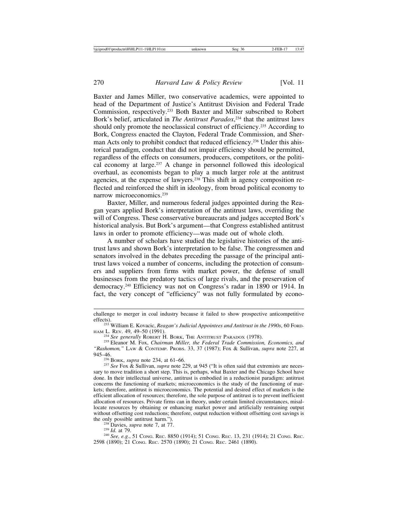Baxter and James Miller, two conservative academics, were appointed to head of the Department of Justice's Antitrust Division and Federal Trade Commission, respectively.233 Both Baxter and Miller subscribed to Robert Bork's belief, articulated in *The Antitrust Paradox*, 234 that the antitrust laws should only promote the neoclassical construct of efficiency.<sup>235</sup> According to Bork, Congress enacted the Clayton, Federal Trade Commission, and Sherman Acts only to prohibit conduct that reduced efficiency.<sup>236</sup> Under this ahistorical paradigm, conduct that did not impair efficiency should be permitted, regardless of the effects on consumers, producers, competitors, or the political economy at large.237 A change in personnel followed this ideological overhaul, as economists began to play a much larger role at the antitrust agencies, at the expense of lawyers.238 This shift in agency composition reflected and reinforced the shift in ideology, from broad political economy to narrow microeconomics.239

Baxter, Miller, and numerous federal judges appointed during the Reagan years applied Bork's interpretation of the antitrust laws, overriding the will of Congress. These conservative bureaucrats and judges accepted Bork's historical analysis. But Bork's argument—that Congress established antitrust laws in order to promote efficiency—was made out of whole cloth.

A number of scholars have studied the legislative histories of the antitrust laws and shown Bork's interpretation to be false. The congressmen and senators involved in the debates preceding the passage of the principal antitrust laws voiced a number of concerns, including the protection of consumers and suppliers from firms with market power, the defense of small businesses from the predatory tactics of large rivals, and the preservation of democracy.240 Efficiency was not on Congress's radar in 1890 or 1914. In fact, the very concept of "efficiency" was not fully formulated by econo-

2598 (1890); 21 CONG. REC. 2570 (1890); 21 CONG. REC. 2461 (1890).

challenge to merger in coal industry because it failed to show prospective anticompetitive

effects). <sup>233</sup> William E. Kovacic, *Reagan's Judicial Appointees and Antitrust in the 1990s*, 60 FORD-

<sup>&</sup>lt;sup>234</sup> See generally ROBERT H. BORK, THE ANTITRUST PARADOX (1978).<br><sup>235</sup> Eleanor M. Fox, *Chairman Miller, the Federal Trade Commission, Economics, and "Rashomon,"* LAW & CONTEMP. PROBS. 33, 37 (1987); Fox & Sullivan, *supra* note 227, at 945–46.<br><sup>236</sup> Bork, *supra* note 234, at 61–66.

<sup>&</sup>lt;sup>237</sup> See Fox & Sullivan, *supra* note 229, at 945 ("It is often said that extremists are necessary to move tradition a short step. This is, perhaps, what Baxter and the Chicago School have done. In their intellectual universe, antitrust is embodied in a reductionist paradigm: antitrust concerns the functioning of markets; microeconomics is the study of the functioning of markets; therefore, antitrust is microeconomics. The potential and desired effect of markets is the efficient allocation of resources; therefore, the sole purpose of antitrust is to prevent inefficient allocation of resources. Private firms can in theory, under certain limited circumstances, misallocate resources by obtaining or enhancing market power and artificially restraining output without offsetting cost reductions; therefore, output reduction without offsetting cost savings is the only possible antitrust harm.").<br>
<sup>238</sup> Davies, *supra* note 7, at 77.<br>
<sup>239</sup> *Id.* at 79.<br>
<sup>240</sup> *See, e.g.*, 51 Cong. Rec. 8850 (1914); 51 Cong. Rec. 13, 231 (1914); 21 Cong. Rec.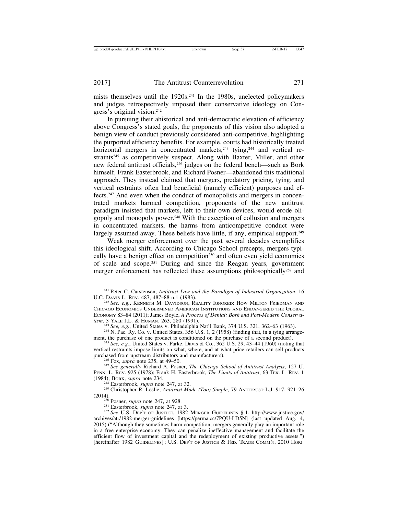mists themselves until the 1920s.<sup>241</sup> In the 1980s, unelected policymakers and judges retrospectively imposed their conservative ideology on Congress's original vision.242

In pursuing their ahistorical and anti-democratic elevation of efficiency above Congress's stated goals, the proponents of this vision also adopted a benign view of conduct previously considered anti-competitive, highlighting the purported efficiency benefits. For example, courts had historically treated horizontal mergers in concentrated markets, $243$  tying, $244$  and vertical restraints<sup>245</sup> as competitively suspect. Along with Baxter, Miller, and other new federal antitrust officials,246 judges on the federal bench—such as Bork himself, Frank Easterbrook, and Richard Posner—abandoned this traditional approach. They instead claimed that mergers, predatory pricing, tying, and vertical restraints often had beneficial (namely efficient) purposes and effects.247 And even when the conduct of monopolists and mergers in concentrated markets harmed competition, proponents of the new antitrust paradigm insisted that markets, left to their own devices, would erode oligopoly and monopoly power.248 With the exception of collusion and mergers in concentrated markets, the harms from anticompetitive conduct were largely assumed away. These beliefs have little, if any, empirical support.<sup>249</sup>

Weak merger enforcement over the past several decades exemplifies this ideological shift. According to Chicago School precepts, mergers typically have a benign effect on competition<sup>250</sup> and often even yield economies of scale and scope.251 During and since the Reagan years, government merger enforcement has reflected these assumptions philosophically<sup>252</sup> and

 $tism$ , 3 YALE J.L. & HUMAN. 263, 280 (1991).<br>
<sup>243</sup> *See*, *e.g.*, United States v. Philadelphia Nat'l Bank, 374 U.S. 321, 362–63 (1963).<br>
<sup>244</sup> N. Pac. Ry. Co. v. United States, 356 U.S. 1, 2 (1958) (finding that, in a ty

<sup>245</sup> *See, e.g.*, United States v. Parke, Davis & Co., 362 U.S. 29, 43-44 (1960) (noting that vertical restraints impose limits on what, where, and at what price retailers can sell products

purchased from upstream distributors and manufacturers). <sup>246</sup> Fox, *supra* note 235, at 49–50. <sup>247</sup> *See generally* Richard A. Posner, *The Chicago School of Antitrust Analysis*, 127 U. PENN. L. REV. 925 (1978); Frank H. Easterbrook, *The Limits of Antitrust*, 63 Tex. L. Rev. 1 (1984); Bork, *supra* note 234.

(1984); BORK, *supra* note 234. <sup>248</sup> Easterbrook, *supra* note 247, at 32. <sup>249</sup> Christopher R. Leslie, *Antitrust Made (Too) Simple*, 79 ANTITRUST L.J. 917, 921–<sup>26</sup> (2014). <sup>250</sup> Posner, *supra* note 247, at 928. <sup>251</sup> Easterbrook, *supra* note 247, at 3. <sup>252</sup> *See* U.S. DEP'T OF JUSTICE, 1982 MERGER GUIDELINES §1, http://www.justice.gov/

archives/atr/1982-merger-guidelines [https://perma.cc/7PQU-LD5N] (last updated Aug. 4, 2015) ("Although they sometimes harm competition, mergers generally play an important role in a free enterprise economy. They can penalize ineffective management and facilitate the efficient flow of investment capital and the redeployment of existing productive assets.") [hereinafter 1982 GUIDELINES]; U.S. DEP'T OF JUSTICE & FED. TRADE COMM'N, 2010 HORI-

<sup>241</sup> Peter C. Carstensen, *Antitrust Law and the Paradigm of Industrial Organization*, 16 U.C. DAVIS L. REV. 487, 487–88 n.1 (1983). <sup>242</sup> *See, e.g.*, KENNETH M. DAVIDSON, REALITY IGNORED: HOW MILTON FRIEDMAN AND

CHICAGO ECONOMICS UNDERMINED AMERICAN INSTITUTIONS AND ENDANGERED THE GLOBAL ECONOMY 83–84 (2011); James Boyle, *A Process of Denial: Bork and Post-Modern Conserva-*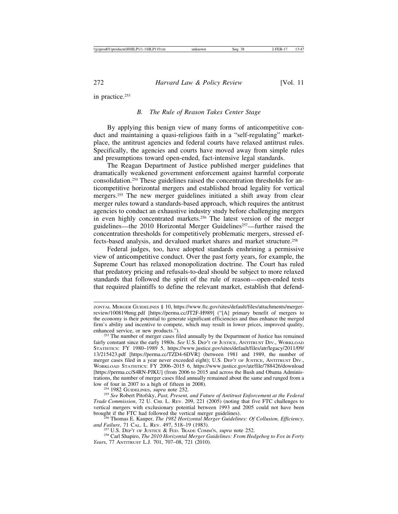in practice.253

#### *B. The Rule of Reason Takes Center Stage*

By applying this benign view of many forms of anticompetitive conduct and maintaining a quasi-religious faith in a "self-regulating" marketplace, the antitrust agencies and federal courts have relaxed antitrust rules. Specifically, the agencies and courts have moved away from simple rules and presumptions toward open-ended, fact-intensive legal standards.

The Reagan Department of Justice published merger guidelines that dramatically weakened government enforcement against harmful corporate consolidation.254 These guidelines raised the concentration thresholds for anticompetitive horizontal mergers and established broad legality for vertical mergers.255 The new merger guidelines initiated a shift away from clear merger rules toward a standards-based approach, which requires the antitrust agencies to conduct an exhaustive industry study before challenging mergers in even highly concentrated markets.256 The latest version of the merger guidelines—the 2010 Horizontal Merger Guidelines<sup>257</sup>—further raised the concentration thresholds for competitively problematic mergers, stressed effects-based analysis, and devalued market shares and market structure.258

Federal judges, too, have adopted standards enshrining a permissive view of anticompetitive conduct. Over the past forty years, for example, the Supreme Court has relaxed monopolization doctrine. The Court has ruled that predatory pricing and refusals-to-deal should be subject to more relaxed standards that followed the spirit of the rule of reason—open-ended tests that required plaintiffs to define the relevant market, establish that defend-

<sup>254</sup> 1982 GUIDELINES, *supra* note 252.<br><sup>255</sup> See Robert Pitofsky, *Past, Present, and Future of Antitrust Enforcement at the Federal Trade Commission*, 72 U. CHI. L. REV. 209, 221 (2005) (noting that five FTC challenges to vertical mergers with exclusionary potential between 1993 and 2005 could not have been

brought if the FTC had followed the vertical merger guidelines). <sup>256</sup> Thomas E. Kauper, *The 1982 Horizontal Merger Guidelines: Of Collusion, Efficiency,*

*and Failure*, 71 CAL. L. REV. 497, 518–19 (1983). <sup>257</sup> U.S. DEP'T OF JUSTICE & FED. TRADE COMM'N, *supra* note 252. <sup>258</sup> Carl Shapiro, *The 2010 Horizontal Merger Guidelines: From Hedgehog to Fox in Forty Years*, 77 ANTITRUST L.J. 701, 707–08, 721 (2010).

ZONTAL MERGER GUIDELINES § 10, https://www.ftc.gov/sites/default/files/attachments/mergerreview/100819hmg.pdf [https://perma.cc/JT2F-H989] ("[A] primary benefit of mergers to the economy is their potential to generate significant efficiencies and thus enhance the merged firm's ability and incentive to compete, which may result in lower prices, improved quality,

<sup>&</sup>lt;sup>253</sup> The number of merger cases filed annually by the Department of Justice has remained fairly constant since the early 1980s. *See* U.S. DEP'T OF JUSTICE, ANTITRUST DIV., WORKLOAD STATISTICS: FY 1980–1989 5, https://www.justice.gov/sites/default/files/atr/legacy/2011/09/ 13/215423.pdf [https://perma.cc/TZD4-6DVR] (between 1981 and 1989, the number of merger cases filed in a year never exceeded eight); U.S. DEP'T OF JUSTICE, ANTITRUST DIV., WORKLOAD STATISTICS: FY 2006–2015 6, https://www.justice.gov/atr/file/788426/download [https://perma.cc/S4RN-PJKU] (from 2006 to 2015 and across the Bush and Obama Administrations, the number of merger cases filed annually remained about the same and ranged from a low of four in 2007 to a high of fifteen in 2008).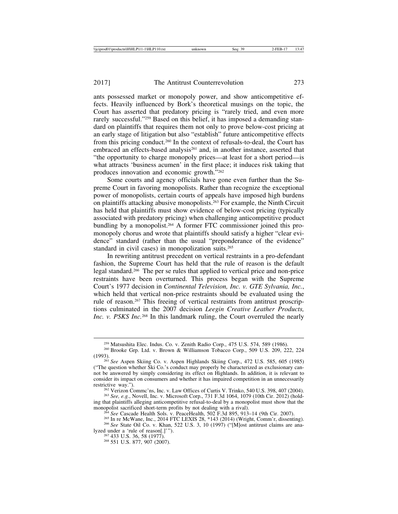ants possessed market or monopoly power, and show anticompetitive effects. Heavily influenced by Bork's theoretical musings on the topic, the Court has asserted that predatory pricing is "rarely tried, and even more rarely successful."<sup>259</sup> Based on this belief, it has imposed a demanding standard on plaintiffs that requires them not only to prove below-cost pricing at an early stage of litigation but also "establish" future anticompetitive effects from this pricing conduct.260 In the context of refusals-to-deal, the Court has embraced an effects-based analysis<sup>261</sup> and, in another instance, asserted that "the opportunity to charge monopoly prices—at least for a short period—is what attracts 'business acumen' in the first place; it induces risk taking that produces innovation and economic growth."262

Some courts and agency officials have gone even further than the Supreme Court in favoring monopolists. Rather than recognize the exceptional power of monopolists, certain courts of appeals have imposed high burdens on plaintiffs attacking abusive monopolists.263 For example, the Ninth Circuit has held that plaintiffs must show evidence of below-cost pricing (typically associated with predatory pricing) when challenging anticompetitive product bundling by a monopolist.<sup>264</sup> A former FTC commissioner joined this promonopoly chorus and wrote that plaintiffs should satisfy a higher "clear evidence" standard (rather than the usual "preponderance of the evidence" standard in civil cases) in monopolization suits.<sup>265</sup>

In rewriting antitrust precedent on vertical restraints in a pro-defendant fashion, the Supreme Court has held that the rule of reason is the default legal standard.266 The per se rules that applied to vertical price and non-price restraints have been overturned. This process began with the Supreme Court's 1977 decision in *Continental Television, Inc. v. GTE Sylvania, Inc.*, which held that vertical non-price restraints should be evaluated using the rule of reason.267 This freeing of vertical restraints from antitrust proscriptions culminated in the 2007 decision *Leegin Creative Leather Products, Inc. v. PSKS Inc.*<sup>268</sup> In this landmark ruling, the Court overruled the nearly

<sup>&</sup>lt;sup>259</sup> Matsushita Elec. Indus. Co. v. Zenith Radio Corp., 475 U.S. 574, 589 (1986). <sup>260</sup> Brooke Grp. Ltd. v. Brown & Williamson Tobacco Corp., 509 U.S. 209, 222, 224 (1993).

<sup>&</sup>lt;sup>261</sup> *See* Aspen Skiing Co. v. Aspen Highlands Skiing Corp., 472 U.S. 585, 605 (1985) ("The question whether Ski Co.'s conduct may properly be characterized as exclusionary cannot be answered by simply considering its effect on Highlands. In addition, it is relevant to consider its impact on consumers and whether it has impaired competition in an unnecessarily

restrictive way.").<br><sup>262</sup> Verizon Commc'ns, Inc. v. Law Offices of Curtis V. Trinko, 540 U.S. 398, 407 (2004).<br><sup>263</sup> *See, e.g.*, Novell, Inc. v. Microsoft Corp., 731 F.3d 1064, 1079 (10th Cir. 2012) (hold-

ing that plaintiffs alleging anticompetitive refusal-to-deal by a monopolist must show that the

 $^{264}$  See Cascade Health Sols. v. Peace Health, 502 F.3d 895, 913-14 (9th Cir. 2007).<br><sup>265</sup> In re McWane, Inc., 2014 FTC LEXIS 28, \*143 (2014) (Wright, Comm'r, dissenting).<br><sup>266</sup> See State Oil Co. v. Khan, 522 U.S. 3, 1

lyzed under a 'rule of reason[.]'").<br><sup>267</sup> 433 U.S. 36, 58 (1977).<br><sup>268</sup> 551 U.S. 877, 907 (2007).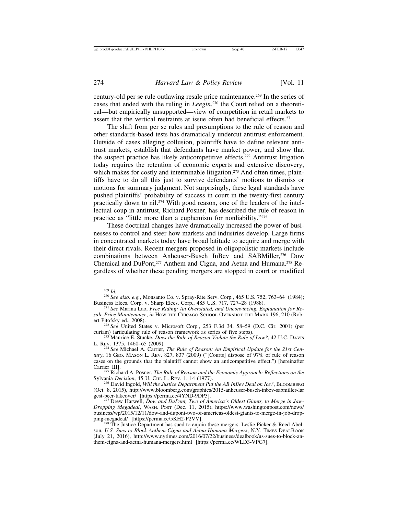century-old per se rule outlawing resale price maintenance.269 In the series of cases that ended with the ruling in *Leegin*, 270 the Court relied on a theoretical—but empirically unsupported—view of competition in retail markets to assert that the vertical restraints at issue often had beneficial effects.<sup>271</sup>

The shift from per se rules and presumptions to the rule of reason and other standards-based tests has dramatically undercut antitrust enforcement. Outside of cases alleging collusion, plaintiffs have to define relevant antitrust markets, establish that defendants have market power, and show that the suspect practice has likely anticompetitive effects.<sup>272</sup> Antitrust litigation today requires the retention of economic experts and extensive discovery, which makes for costly and interminable litigation.<sup>273</sup> And often times, plaintiffs have to do all this just to survive defendants' motions to dismiss or motions for summary judgment. Not surprisingly, these legal standards have pushed plaintiffs' probability of success in court in the twenty-first century practically down to nil.274 With good reason, one of the leaders of the intellectual coup in antitrust, Richard Posner, has described the rule of reason in practice as "little more than a euphemism for nonliability."275

These doctrinal changes have dramatically increased the power of businesses to control and steer how markets and industries develop. Large firms in concentrated markets today have broad latitude to acquire and merge with their direct rivals. Recent mergers proposed in oligopolistic markets include combinations between Anheuser-Busch InBev and SABMiller,<sup>276</sup> Dow Chemical and DuPont,<sup>277</sup> Anthem and Cigna, and Aetna and Humana.<sup>278</sup> Regardless of whether these pending mergers are stopped in court or modified

Carrier III].<br><sup>275</sup> Richard A. Posner, *The Rule of Reason and the Economic Approach: Reflections on the* Sylvania *Decision*, 45 U. CHI. L. REV. 1, 14 (1977).

<sup>276</sup> David Ingold, *Will the Justice Department Put the AB InBev Deal on Ice?*, BLOOMBERG (Oct. 8, 2015), http://www.bloomberg.com/graphics/2015-anheuser-busch-inbev-sabmiller-lar gest-beer-takeover/ [https://perma.cc/4YND-9DP3]. <sup>277</sup> Drew Harwell, *Dow and DuPont, Two of America's Oldest Giants, to Merge in Jaw-*

<sup>&</sup>lt;sup>269</sup> *Id.* 270 *See also, e.g.*, Monsanto Co. v. Spray-Rite Serv. Corp., 465 U.S. 752, 763–64 (1984); <br>Business Elecs. Corp. v. Sharp Elecs. Corp., 485 U.S. 717, 727–28 (1988).

<sup>&</sup>lt;sup>271</sup> See Marina Lao, Free Riding: An Overstated, and Unconvincing, Explanation for Re*sale Price Maintenance*, *in* HOW THE CHICAGO SCHOOL OVERSHOT THE MARK 196, 210 (Rob-

<sup>&</sup>lt;sup>272</sup> See United States v. Microsoft Corp., 253 F.3d 34, 58–59 (D.C. Cir. 2001) (per curiam) (articulating rule of reason framework as series of five steps).

<sup>&</sup>lt;sup>273</sup> Maurice E. Stucke, *Does the Rule of Reason Violate the Rule of Law?*, 42 U.C. DAVIS L. REV. 1375, 1460–65 (2009). <sup>274</sup> *See* Michael A. Carrier, *The Rule of Reason: An Empirical Update for the 21st Cen-*

*tury*, 16 GEO. MASON L. REV. 827, 837 (2009) ("[Courts] dispose of 97% of rule of reason cases on the grounds that the plaintiff cannot show an anticompetitive effect.") [hereinafter

*Dropping Megadeal*, WASH. POST (Dec. 11, 2015), https://www.washingtonpost.com/news/ business/wp/2015/12/11/dow-and-dupont-two-of-americas-oldest-giants-to-merge-in-job-drop-

<sup>&</sup>lt;sup>278</sup> The Justice Department has sued to enjoin these mergers. Leslie Picker & Reed Abelson, *U.S. Sues to Block Anthem-Cigna and Aetna-Humana Mergers*, N.Y. TIMES DEALBOOK (July 21, 2016), http://www.nytimes.com/2016/07/22/business/dealbook/us-sues-to-block-anthem-cigna-and-aetna-humana-mergers.html [https://perma.cc/WLD3-VPG7].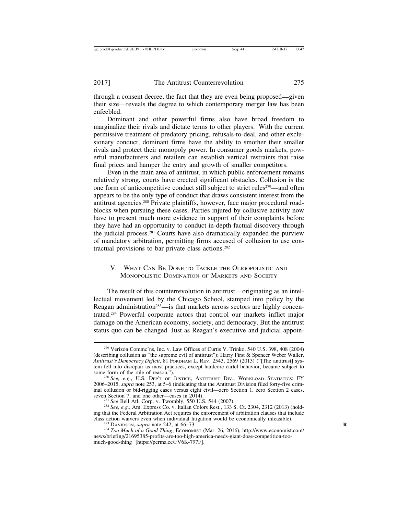through a consent decree, the fact that they are even being proposed—given their size—reveals the degree to which contemporary merger law has been enfeebled.

Dominant and other powerful firms also have broad freedom to marginalize their rivals and dictate terms to other players. With the current permissive treatment of predatory pricing, refusals-to-deal, and other exclusionary conduct, dominant firms have the ability to smother their smaller rivals and protect their monopoly power. In consumer goods markets, powerful manufacturers and retailers can establish vertical restraints that raise final prices and hamper the entry and growth of smaller competitors.

Even in the main area of antitrust, in which public enforcement remains relatively strong, courts have erected significant obstacles. Collusion is the one form of anticompetitive conduct still subject to strict rules<sup>279</sup>—and often appears to be the only type of conduct that draws consistent interest from the antitrust agencies.280 Private plaintiffs, however, face major procedural roadblocks when pursuing these cases. Parties injured by collusive activity now have to present much more evidence in support of their complaints before they have had an opportunity to conduct in-depth factual discovery through the judicial process.281 Courts have also dramatically expanded the purview of mandatory arbitration, permitting firms accused of collusion to use contractual provisions to bar private class actions.282

#### V. WHAT CAN BE DONE TO TACKLE THE OLIGOPOLISTIC AND MONOPOLISTIC DOMINATION OF MARKETS AND SOCIETY

The result of this counterrevolution in antitrust—originating as an intellectual movement led by the Chicago School, stamped into policy by the Reagan administration<sup>283</sup>—is that markets across sectors are highly concentrated.284 Powerful corporate actors that control our markets inflict major damage on the American economy, society, and democracy. But the antitrust status quo can be changed. Just as Reagan's executive and judicial appoin-

<sup>279</sup> Verizon Commc'ns, Inc. v. Law Offices of Curtis V. Trinko, 540 U.S. 398, 408 (2004) (describing collusion as "the supreme evil of antitrust"); Harry First & Spencer Weber Waller, *Antitrust's Democracy Deficit*, 81 FORDHAM L. REV. 2543, 2569 (2013) ("[The antitrust] system fell into disrepair as most practices, except hardcore cartel behavior, became subject to

<sup>&</sup>lt;sup>280</sup> See, e.g., U.S. DEP'T OF JUSTICE, ANTITRUST DIV., WORKLOAD STATISTICS: FY 2006–2015, *supra* note 253, at 5–6 (indicating that the Antitrust Division filed forty-five criminal collusion or bid-rigging cases versus eight civil—zero Section 1, zero Section 2 cases, seven Section 7, and one other—cases in 2014).

<sup>&</sup>lt;sup>281</sup> *See* Bell Atl. Corp. v. Twombly, 550 U.S. 544 (2007). <sup>282</sup> *See*, e.g., Am. Express Co. v. Italian Colors Rest., 133 S. Ct. 2304, 2312 (2013) (holding that the Federal Arbitration Act requires the enforcement of arbitration clauses that include class action waivers even when individual litigation would be economically infeasible).

 $^{283}$  DAVIDSON, *supra* note 242, at 66–73.<br><sup>284</sup> Too Much of a Good Thing, ECONOMIST (Mar. 26, 2016), http://www.economist.com/ news/briefing/21695385-profits-are-too-high-america-needs-giant-dose-competition-toomuch-good-thing [https://perma.cc/FV6K-797F].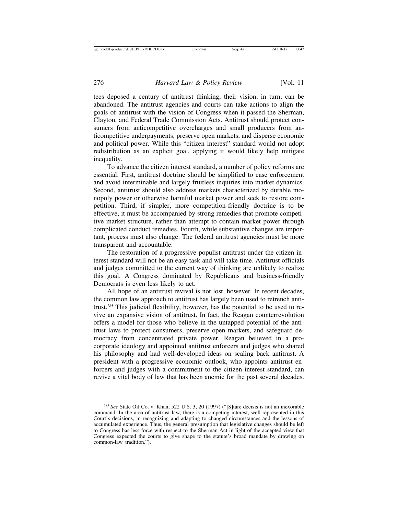tees deposed a century of antitrust thinking, their vision, in turn, can be abandoned. The antitrust agencies and courts can take actions to align the goals of antitrust with the vision of Congress when it passed the Sherman, Clayton, and Federal Trade Commission Acts. Antitrust should protect consumers from anticompetitive overcharges and small producers from anticompetitive underpayments, preserve open markets, and disperse economic and political power. While this "citizen interest" standard would not adopt redistribution as an explicit goal, applying it would likely help mitigate inequality.

To advance the citizen interest standard, a number of policy reforms are essential. First, antitrust doctrine should be simplified to ease enforcement and avoid interminable and largely fruitless inquiries into market dynamics. Second, antitrust should also address markets characterized by durable monopoly power or otherwise harmful market power and seek to restore competition. Third, if simpler, more competition-friendly doctrine is to be effective, it must be accompanied by strong remedies that promote competitive market structure, rather than attempt to contain market power through complicated conduct remedies. Fourth, while substantive changes are important, process must also change. The federal antitrust agencies must be more transparent and accountable.

The restoration of a progressive-populist antitrust under the citizen interest standard will not be an easy task and will take time. Antitrust officials and judges committed to the current way of thinking are unlikely to realize this goal. A Congress dominated by Republicans and business-friendly Democrats is even less likely to act.

All hope of an antitrust revival is not lost, however. In recent decades, the common law approach to antitrust has largely been used to retrench antitrust.285 This judicial flexibility, however, has the potential to be used to revive an expansive vision of antitrust. In fact, the Reagan counterrevolution offers a model for those who believe in the untapped potential of the antitrust laws to protect consumers, preserve open markets, and safeguard democracy from concentrated private power. Reagan believed in a procorporate ideology and appointed antitrust enforcers and judges who shared his philosophy and had well-developed ideas on scaling back antitrust. A president with a progressive economic outlook, who appoints antitrust enforcers and judges with a commitment to the citizen interest standard, can revive a vital body of law that has been anemic for the past several decades.

<sup>&</sup>lt;sup>285</sup> See State Oil Co. v. Khan, 522 U.S. 3, 20 (1997) ("[S]tare decisis is not an inexorable command. In the area of antitrust law, there is a competing interest, well-represented in this Court's decisions, in recognizing and adapting to changed circumstances and the lessons of accumulated experience. Thus, the general presumption that legislative changes should be left to Congress has less force with respect to the Sherman Act in light of the accepted view that Congress expected the courts to give shape to the statute's broad mandate by drawing on common-law tradition.").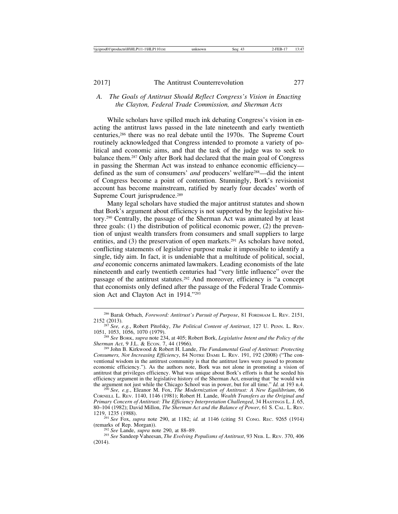#### *A. The Goals of Antitrust Should Reflect Congress's Vision in Enacting the Clayton, Federal Trade Commission, and Sherman Acts*

While scholars have spilled much ink debating Congress's vision in enacting the antitrust laws passed in the late nineteenth and early twentieth centuries,286 there was no real debate until the 1970s. The Supreme Court routinely acknowledged that Congress intended to promote a variety of political and economic aims, and that the task of the judge was to seek to balance them.287 Only after Bork had declared that the main goal of Congress in passing the Sherman Act was instead to enhance economic efficiency defined as the sum of consumers' *and* producers' welfare288—did the intent of Congress become a point of contention. Stunningly, Bork's revisionist account has become mainstream, ratified by nearly four decades' worth of Supreme Court jurisprudence.<sup>289</sup>

Many legal scholars have studied the major antitrust statutes and shown that Bork's argument about efficiency is not supported by the legislative history.290 Centrally, the passage of the Sherman Act was animated by at least three goals: (1) the distribution of political economic power, (2) the prevention of unjust wealth transfers from consumers and small suppliers to large entities, and (3) the preservation of open markets.<sup>291</sup> As scholars have noted, conflicting statements of legislative purpose make it impossible to identify a single, tidy aim. In fact, it is undeniable that a multitude of political, social, *and* economic concerns animated lawmakers. Leading economists of the late nineteenth and early twentieth centuries had "very little influence" over the passage of the antitrust statutes.<sup>292</sup> And moreover, efficiency is "a concept that economists only defined after the passage of the Federal Trade Commission Act and Clayton Act in 1914."293

<sup>286</sup> Barak Orbach, *Foreword: Antitrust's Pursuit of Purpose*, 81 FORDHAM L. REV. 2151,

<sup>2152 (2013).</sup> <sup>287</sup> *See, e.g.*, Robert Pitofsky, *The Political Content of Antitrust*, 127 U. PENN. L. REV.

<sup>&</sup>lt;sup>288</sup> *See* Bork, *supra* note 234, at 405; Robert Bork, *Legislative Intent and the Policy of the Sherman Act*, 9 J.L. & Econ. 7, 44 (1966).

<sup>&</sup>lt;sup>289</sup> John B. Kirkwood & Robert H. Lande, *The Fundamental Goal of Antitrust: Protecting Consumers, Not Increasing Efficiency*, 84 NOTRE DAME L. REV. 191, 192 (2008) ("The conventional wisdom in the antitrust community is that the antitrust laws were passed to promote economic efficiency."). As the authors note, Bork was not alone in promoting a vision of antitrust that privileges efficiency. What was unique about Bork's efforts is that he seeded his efficiency argument in the legislative history of the Sherman Act, ensuring that "he would win the argument not just while the Chicago School was in power, but for all time."  $Id$ . at 193 n.4.

 $\delta$  See, e.g., Eleanor M. Fox, *The Modernization of Antitrust: A New Equilibrium*, 66 CORNELL L. REV. 1140, 1146 (1981); Robert H. Lande, *Wealth Transfers as the Original and Primary Concern of Antitrust: The Efficiency Interpretation Challenged*, 34 HASTINGS L. J. 65, 80–104 (1982); David Millon, *The Sherman Act and the Balance of Power*, 61 S. CAL. L. REV.

<sup>1219, 1235 (1988).</sup> <sup>291</sup> *See* Fox, *supra* note 290, at 1182; *id.* at 1146 (citing 51 CONG. REC. 9265 (1914)

<sup>(</sup>remarks of Rep. Morgan)). <sup>292</sup> *See* Lande, *supra* note 290, at 88–89. <sup>293</sup> *See* Sandeep Vaheesan, *The Evolving Populisms of Antitrust*, 93 NEB. L. REV. 370, 406 (2014).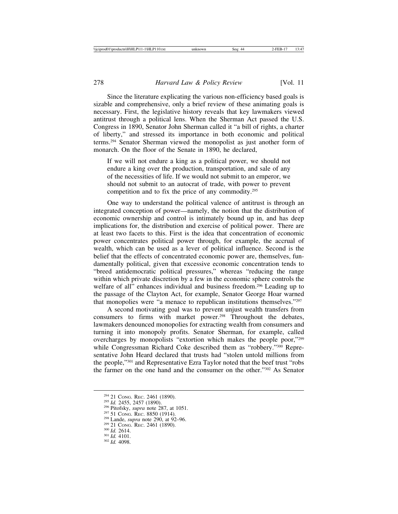Since the literature explicating the various non-efficiency based goals is sizable and comprehensive, only a brief review of these animating goals is necessary. First, the legislative history reveals that key lawmakers viewed antitrust through a political lens. When the Sherman Act passed the U.S. Congress in 1890, Senator John Sherman called it "a bill of rights, a charter of liberty," and stressed its importance in both economic and political terms.294 Senator Sherman viewed the monopolist as just another form of monarch. On the floor of the Senate in 1890, he declared,

If we will not endure a king as a political power, we should not endure a king over the production, transportation, and sale of any of the necessities of life. If we would not submit to an emperor, we should not submit to an autocrat of trade, with power to prevent competition and to fix the price of any commodity.295

One way to understand the political valence of antitrust is through an integrated conception of power—namely, the notion that the distribution of economic ownership and control is intimately bound up in, and has deep implications for, the distribution and exercise of political power. There are at least two facets to this. First is the idea that concentration of economic power concentrates political power through, for example, the accrual of wealth, which can be used as a lever of political influence. Second is the belief that the effects of concentrated economic power are, themselves, fundamentally political, given that excessive economic concentration tends to "breed antidemocratic political pressures," whereas "reducing the range within which private discretion by a few in the economic sphere controls the welfare of all" enhances individual and business freedom.<sup>296</sup> Leading up to the passage of the Clayton Act, for example, Senator George Hoar warned that monopolies were "a menace to republican institutions themselves."297

A second motivating goal was to prevent unjust wealth transfers from consumers to firms with market power.298 Throughout the debates, lawmakers denounced monopolies for extracting wealth from consumers and turning it into monopoly profits. Senator Sherman, for example, called overcharges by monopolists "extortion which makes the people poor,"299 while Congressman Richard Coke described them as "robbery."<sup>300</sup> Representative John Heard declared that trusts had "stolen untold millions from the people,"301 and Representative Ezra Taylor noted that the beef trust "robs the farmer on the one hand and the consumer on the other."302 As Senator

<sup>&</sup>lt;sup>294</sup> 21 Cong. Rec. 2461 (1890).<br>
<sup>295</sup> *Id.* 2455, 2457 (1890).<br>
<sup>296</sup> Pitofsky, *supra* note 287, at 1051.<br>
<sup>297</sup> 51 Cong. Rec. 8850 (1914).<br>
<sup>298</sup> Lande, *supra* note 290, at 92–96.<br>
<sup>299</sup> 21 Cong. Rec. 2461 (1890).<br>
<sup></sup>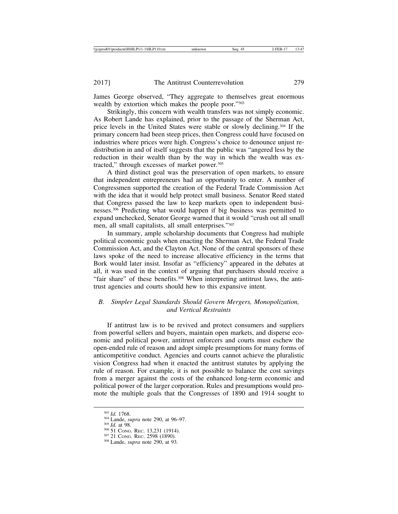James George observed, "They aggregate to themselves great enormous wealth by extortion which makes the people poor."303

Strikingly, this concern with wealth transfers was not simply economic. As Robert Lande has explained, prior to the passage of the Sherman Act, price levels in the United States were stable or slowly declining.304 If the primary concern had been steep prices, then Congress could have focused on industries where prices were high. Congress's choice to denounce unjust redistribution in and of itself suggests that the public was "angered less by the reduction in their wealth than by the way in which the wealth was extracted," through excesses of market power.<sup>305</sup>

A third distinct goal was the preservation of open markets, to ensure that independent entrepreneurs had an opportunity to enter. A number of Congressmen supported the creation of the Federal Trade Commission Act with the idea that it would help protect small business. Senator Reed stated that Congress passed the law to keep markets open to independent businesses.306 Predicting what would happen if big business was permitted to expand unchecked, Senator George warned that it would "crush out all small men, all small capitalists, all small enterprises."307

In summary, ample scholarship documents that Congress had multiple political economic goals when enacting the Sherman Act, the Federal Trade Commission Act, and the Clayton Act. None of the central sponsors of these laws spoke of the need to increase allocative efficiency in the terms that Bork would later insist. Insofar as "efficiency" appeared in the debates at all, it was used in the context of arguing that purchasers should receive a "fair share" of these benefits.<sup>308</sup> When interpreting antitrust laws, the antitrust agencies and courts should hew to this expansive intent.

#### *B. Simpler Legal Standards Should Govern Mergers, Monopolization, and Vertical Restraints*

If antitrust law is to be revived and protect consumers and suppliers from powerful sellers and buyers, maintain open markets, and disperse economic and political power, antitrust enforcers and courts must eschew the open-ended rule of reason and adopt simple presumptions for many forms of anticompetitive conduct. Agencies and courts cannot achieve the pluralistic vision Congress had when it enacted the antitrust statutes by applying the rule of reason. For example, it is not possible to balance the cost savings from a merger against the costs of the enhanced long-term economic and political power of the larger corporation. Rules and presumptions would promote the multiple goals that the Congresses of 1890 and 1914 sought to

<sup>&</sup>lt;sup>303</sup> *Id.* 1768.<br><sup>304</sup> Lande, *supra* note 290, at 96–97.<br><sup>305</sup> *Id.* at 98.<br><sup>306</sup> 51 Cong. Rec. 2598 (1890).<br><sup>307</sup> 21 Cong. Rec. 2598 (1890).<br><sup>308</sup> Lande, *supra* note 290, at 93.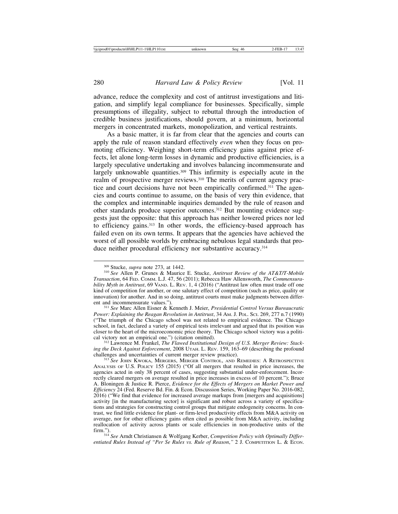advance, reduce the complexity and cost of antitrust investigations and litigation, and simplify legal compliance for businesses. Specifically, simple presumptions of illegality, subject to rebuttal through the introduction of credible business justifications, should govern, at a minimum, horizontal mergers in concentrated markets, monopolization, and vertical restraints.

As a basic matter, it is far from clear that the agencies and courts can apply the rule of reason standard effectively *even* when they focus on promoting efficiency. Weighing short-term efficiency gains against price effects, let alone long-term losses in dynamic and productive efficiencies, is a largely speculative undertaking and involves balancing incommensurate and largely unknowable quantities.<sup>309</sup> This infirmity is especially acute in the realm of prospective merger reviews.<sup>310</sup> The merits of current agency practice and court decisions have not been empirically confirmed.<sup>311</sup> The agencies and courts continue to assume, on the basis of very thin evidence, that the complex and interminable inquiries demanded by the rule of reason and other standards produce superior outcomes.312 But mounting evidence suggests just the opposite: that this approach has neither lowered prices nor led to efficiency gains.313 In other words, the efficiency-based approach has failed even on its own terms. It appears that the agencies have achieved the worst of all possible worlds by embracing nebulous legal standards that produce neither procedural efficiency nor substantive accuracy.<sup>314</sup>

<sup>311</sup> See Marc Allen Eisner & Kenneth J. Meier, *Presidential Control Versus Bureaucratic Power: Explaining the Reagan Revolution in Antitrust*, 34 Am. J. Pol. Sci. 269, 277 n.7 (1990) ("The triumph of the Chicago school was not related to empirical evidence. The Chicago school, in fact, declared a variety of empirical tests irrelevant and argued that its position was closer to the heart of the microeconomic price theory. The Chicago school victory was a politi-<br>cal victory not an empirical one.") (citation omitted).

<sup>312</sup> Lawrence M. Frankel, *The Flawed Institutional Design of U.S. Merger Review: Stacking the Deck Against Enforcement*, 2008 UTAH. L. REV. 159, 163–69 (describing the profound challenges and uncertainties of current merger review practice).

See JOHN KWOKA, MERGERS, MERGER CONTROL, AND REMEDIES: A RETROSPECTIVE ANALYSIS OF U.S. POLICY 155 (2015) ("Of all mergers that resulted in price increases, the agencies acted in only 38 percent of cases, suggesting substantial under-enforcement. Incorrectly cleared mergers on average resulted in price increases in excess of 10 percent."); Bruce A. Bloningen & Justice R. Pierce, *Evidence for the Effects of Mergers on Market Power and Efficiency* 24 (Fed. Reserve Bd. Fin. & Econ. Discussion Series, Working Paper No. 2016-082, 2016) ("We find that evidence for increased average markups from [mergers and acquisitions] activity [in the manufacturing sector] is significant and robust across a variety of specifications and strategies for constructing control groups that mitigate endogeneity concerns. In contrast, we find little evidence for plant- or firm-level productivity effects from M&A activity on average, nor for other efficiency gains often cited as possible from M&A activity, including reallocation of activity across plants or scale efficiencies in non-productive units of the firm.").

314 See Arndt Christiansen & Wolfgang Kerber, *Competition Policy with Optimally Differentiated Rules Instead of "Per Se Rules vs. Rule of Reason," 2 J. COMPETITION L. & ECON.* 

<sup>309</sup> Stucke, *supra* note 273, at 1442. <sup>310</sup> *See* Allen P. Grunes & Maurice E. Stucke, *Antitrust Review of the AT&T/T-Mobile Transaction*, 64 FED. COMM. L.J. 47, 56 (2011); Rebecca Haw Allensworth, *The Commensurability Myth in Antitrust*, 69 VAND. L. REV. 1, 4 (2016) ("Antitrust law often must trade off one kind of competition for another, or one salutary effect of competition (such as price, quality or innovation) for another. And in so doing, antitrust courts must make judgments between different and incommensurate values.").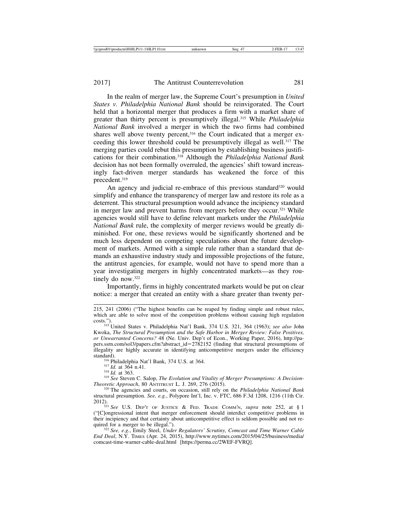In the realm of merger law, the Supreme Court's presumption in *United States v. Philadelphia National Bank* should be reinvigorated. The Court held that a horizontal merger that produces a firm with a market share of greater than thirty percent is presumptively illegal.315 While *Philadelphia National Bank* involved a merger in which the two firms had combined shares well above twenty percent,<sup>316</sup> the Court indicated that a merger exceeding this lower threshold could be presumptively illegal as well.<sup>317</sup> The merging parties could rebut this presumption by establishing business justifications for their combination.318 Although the *Philadelphia National Bank* decision has not been formally overruled, the agencies' shift toward increasingly fact-driven merger standards has weakened the force of this precedent.319

An agency and judicial re-embrace of this previous standard<sup>320</sup> would simplify and enhance the transparency of merger law and restore its role as a deterrent. This structural presumption would advance the incipiency standard in merger law and prevent harms from mergers before they occur.<sup>321</sup> While agencies would still have to define relevant markets under the *Philadelphia National Bank* rule, the complexity of merger reviews would be greatly diminished. For one, these reviews would be significantly shortened and be much less dependent on competing speculations about the future development of markets. Armed with a simple rule rather than a standard that demands an exhaustive industry study and impossible projections of the future, the antitrust agencies, for example, would not have to spend more than a year investigating mergers in highly concentrated markets—as they routinely do now.<sup>322</sup>

Importantly, firms in highly concentrated markets would be put on clear notice: a merger that created an entity with a share greater than twenty per-

<sup>316</sup> Philadelphia Nat'l Bank, 374 U.S. at 364.<br><sup>317</sup> *Id.* at 364 n.41.<br><sup>318</sup> *Id.* at 363.<br><sup>319</sup> *See* Steven C. Salop, *The Evolution and Vitality of Merger Presumptions: A Decision-<br><i>Theoretic Approach*, 80 ANTITRUST L *Theoretic Approach*, 80 ANTITRUST L. J. 269, 276 (2015). <sup>320</sup> The agencies and courts, on occasion, still rely on the *Philadelphia National Bank* 

<sup>215, 241 (2006) (&</sup>quot;The highest benefits can be reaped by finding simple and robust rules, which are able to solve most of the competition problems without causing high regulation costs."). <sup>315</sup> United States v. Philadelphia Nat'l Bank, 374 U.S. 321, 364 (1963); *see also* John

Kwoka, *The Structural Presumption and the Safe Harbor in Merger Review: False Positives, or Unwarranted Concerns?* 48 (Ne. Univ. Dep't of Econ., Working Paper, 2016), http://papers.ssrn.com/sol3/papers.cfm?abstract\_id=2782152 (finding that structural presumptions of illegality are highly accurate in identifying anticompetitive mergers under the efficiency

structural presumption. *See, e.g.*, Polypore Int'l, Inc. v. FTC, 686 F.3d 1208, 1216 (11th Cir. 2012). <sup>321</sup> *See* U.S. DEP'T OF JUSTICE & FED. TRADE COMM'N, *supra* note 252, at § 1

<sup>(&</sup>quot;[C]ongressional intent that merger enforcement should interdict competitive problems in their incipiency and that certainty about anticompetitive effect is seldom possible and not required for a merger to be illegal.").

<sup>&</sup>lt;sup>322</sup> See, e.g., Emily Steel, *Under Regulators' Scrutiny, Comcast and Time Warner Cable End Deal*, N.Y. TIMES (Apr. 24, 2015), http://www.nytimes.com/2015/04/25/business/media/ comcast-time-warner-cable-deal.html [https://perma.cc/2WEF-FVRQ].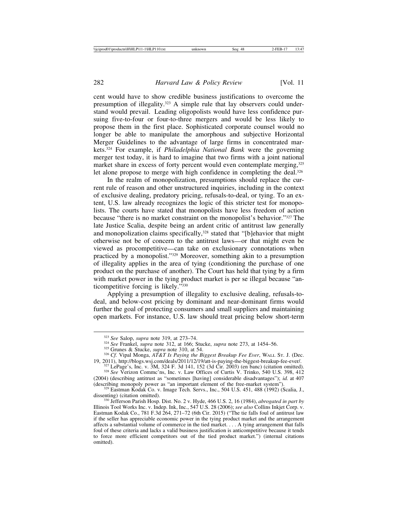cent would have to show credible business justifications to overcome the presumption of illegality.<sup>323</sup> A simple rule that lay observers could understand would prevail. Leading oligopolists would have less confidence pursuing five-to-four or four-to-three mergers and would be less likely to propose them in the first place. Sophisticated corporate counsel would no longer be able to manipulate the amorphous and subjective Horizontal Merger Guidelines to the advantage of large firms in concentrated markets.324 For example, if *Philadelphia National Bank* were the governing merger test today, it is hard to imagine that two firms with a joint national market share in excess of forty percent would even contemplate merging, 325 let alone propose to merge with high confidence in completing the deal.<sup>326</sup>

In the realm of monopolization, presumptions should replace the current rule of reason and other unstructured inquiries, including in the context of exclusive dealing, predatory pricing, refusals-to-deal, or tying. To an extent, U.S. law already recognizes the logic of this stricter test for monopolists. The courts have stated that monopolists have less freedom of action because "there is no market constraint on the monopolist's behavior."327 The late Justice Scalia, despite being an ardent critic of antitrust law generally and monopolization claims specifically,<sup>328</sup> stated that "[b]ehavior that might otherwise not be of concern to the antitrust laws—or that might even be viewed as procompetitive—can take on exclusionary connotations when practiced by a monopolist."329 Moreover, something akin to a presumption of illegality applies in the area of tying (conditioning the purchase of one product on the purchase of another). The Court has held that tying by a firm with market power in the tying product market is per se illegal because "anticompetitive forcing is likely."330

Applying a presumption of illegality to exclusive dealing, refusals-todeal, and below-cost pricing by dominant and near-dominant firms would further the goal of protecting consumers and small suppliers and maintaining open markets. For instance, U.S. law should treat pricing below short-term

<sup>&</sup>lt;sup>323</sup> See Salop, *supra* note 319, at 273–74.<br><sup>324</sup> See Frankel, *supra* note 312, at 166; Stucke, *supra* note 273, at 1454–56.<br><sup>325</sup> Grunes & Stucke, *supra* note 310, at 54.<br><sup>326</sup> Cf. Vipal Monga, AT&T Is Paying the Bi

 $^{327}$  LePage's, Inc. v. 3M, 324 F. 3d 141, 152 (3d Cir. 2003) (en banc) (citation omitted).<br><sup>328</sup> See Verizon Comme'ns, Inc. v. Law Offices of Curtis V. Trinko, 540 U.S. 398, 412 (2004) (describing antitrust as "sometimes [having] considerable disadvantages"); *id.* at 407

 $\frac{329}{329}$  Eastman Kodak Co. v. Image Tech. Servs., Inc., 504 U.S. 451, 488 (1992) (Scalia, J., dissenting) (citation omitted).

<sup>&</sup>lt;sup>330</sup> Jefferson Parish Hosp. Dist. No. 2 v. Hyde, 466 U.S. 2, 16 (1984), *abrogated in part by* Illinois Tool Works Inc. v. Indep. Ink, Inc., 547 U.S. 28 (2006); *see also* Collins Inkjet Corp. v. Eastman Kodak Co., 781 F.3d 264, 271–72 (6th Cir. 2015) ("The tie falls foul of antitrust law if the seller has appreciable economic power in the tying product market and the arrangement affects a substantial volume of commerce in the tied market. . . . A tying arrangement that falls foul of these criteria and lacks a valid business justification is anticompetitive because it tends to force more efficient competitors out of the tied product market.") (internal citations omitted).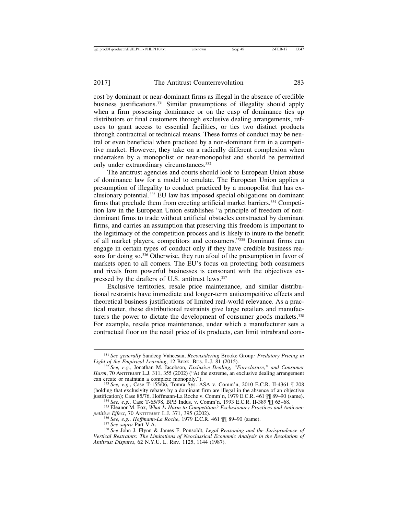cost by dominant or near-dominant firms as illegal in the absence of credible business justifications.331 Similar presumptions of illegality should apply when a firm possessing dominance or on the cusp of dominance ties up distributors or final customers through exclusive dealing arrangements, refuses to grant access to essential facilities, or ties two distinct products through contractual or technical means. These forms of conduct may be neutral or even beneficial when practiced by a non-dominant firm in a competitive market. However, they take on a radically different complexion when undertaken by a monopolist or near-monopolist and should be permitted only under extraordinary circumstances.<sup>332</sup>

The antitrust agencies and courts should look to European Union abuse of dominance law for a model to emulate. The European Union applies a presumption of illegality to conduct practiced by a monopolist that has exclusionary potential.333 EU law has imposed special obligations on dominant firms that preclude them from erecting artificial market barriers.334 Competition law in the European Union establishes "a principle of freedom of nondominant firms to trade without artificial obstacles constructed by dominant firms, and carries an assumption that preserving this freedom is important to the legitimacy of the competition process and is likely to inure to the benefit of all market players, competitors and consumers."335 Dominant firms can engage in certain types of conduct only if they have credible business reasons for doing so.336 Otherwise, they run afoul of the presumption in favor of markets open to all comers. The EU's focus on protecting both consumers and rivals from powerful businesses is consonant with the objectives expressed by the drafters of U.S. antitrust laws.337

Exclusive territories, resale price maintenance, and similar distributional restraints have immediate and longer-term anticompetitive effects and theoretical business justifications of limited real-world relevance. As a practical matter, these distributional restraints give large retailers and manufacturers the power to dictate the development of consumer goods markets.<sup>338</sup> For example, resale price maintenance, under which a manufacturer sets a contractual floor on the retail price of its products, can limit intrabrand com-

<sup>334</sup> See, e.g., Case T-65/98, BPB Indus. v. Comm'n, 1993 E.C.R. II-389  $\int$  65–68.<br><sup>335</sup> Eleanor M. Fox, *What Is Harm to Competition? Exclusionary Practices and Anticompetitive Effect*, 70 ANTITRUST L.J. 371, 395 (2002)

<sup>&</sup>lt;sup>331</sup> *See generally* Sandeep Vaheesan, *Reconsidering* Brooke Group: *Predatory Pricing in Light of the Empirical Learning*, 12 BERK. Bus. L.J. 81 (2015).

*Light of the Empirical Learning*, 12 BERK. BUS. L.J. 81 (2015). <sup>332</sup> *See, e.g.*, Jonathan M. Jacobson, *Exclusive Dealing, "Foreclosure," and Consumer Harm*, 70 ANTITRUST L.J. 311, 355 (2002) ("At the extreme, an exclusive dealing arrangement can create or maintain a complete monopoly.").

<sup>&</sup>lt;sup>333</sup> See, e.g., Case T-155/06, Tomra Sys. ASA v. Comm'n, 2010 E.C.R. II-4361 ¶ 208 (holding that exclusivity rebates by a dominant firm are illegal in the absence of an objective justification); Case 85/76, Hoffmann-La Roche v. Comm'n, 1979 E.C.R. 461  $\mathbb{I}\{9\}$  89–90 (same).

<sup>&</sup>lt;sup>336</sup> See, e.g., Hoffmann-La Roche, 1979 E.C.R. 461  $\mathbb{I}\{$  89–90 (same).<br><sup>337</sup> See supra Part V.A.<br><sup>338</sup> See John J. Flynn & James F. Ponsoldt, *Legal Reasoning and the Jurisprudence of Vertical Restraints: The Limitations of Neoclassical Economic Analysis in the Resolution of Antitrust Disputes*, 62 N.Y.U. L. REV. 1125, 1144 (1987).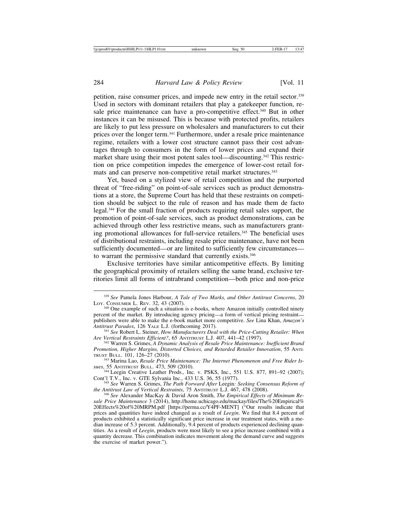petition, raise consumer prices, and impede new entry in the retail sector.339 Used in sectors with dominant retailers that play a gatekeeper function, resale price maintenance can have a pro-competitive effect.<sup>340</sup> But in other instances it can be misused. This is because with protected profits, retailers are likely to put less pressure on wholesalers and manufacturers to cut their prices over the longer term.341 Furthermore, under a resale price maintenance regime, retailers with a lower cost structure cannot pass their cost advantages through to consumers in the form of lower prices and expand their market share using their most potent sales tool—discounting.<sup>342</sup> This restriction on price competition impedes the emergence of lower-cost retail formats and can preserve non-competitive retail market structures.<sup>343</sup>

Yet, based on a stylized view of retail competition and the purported threat of "free-riding" on point-of-sale services such as product demonstrations at a store, the Supreme Court has held that these restraints on competition should be subject to the rule of reason and has made them de facto legal.344 For the small fraction of products requiring retail sales support, the promotion of point-of-sale services, such as product demonstrations, can be achieved through other less restrictive means, such as manufacturers granting promotional allowances for full-service retailers.<sup>345</sup> The beneficial uses of distributional restraints, including resale price maintenance, have not been sufficiently documented—or are limited to sufficiently few circumstances to warrant the permissive standard that currently exists.346

Exclusive territories have similar anticompetitive effects. By limiting the geographical proximity of retailers selling the same brand, exclusive territories limit all forms of intrabrand competition—both price and non-price

<sup>339</sup> *See* Pamela Jones Harbour, *A Tale of Two Marks, and Other Antitrust Concerns*, 20 LOY. CONSUMER L. REV. 32, 43 (2007).<br><sup>340</sup> One example of such a situation is e-books, where Amazon initially controlled ninety

percent of the market. By introducing agency pricing—a form of vertical pricing restraint publishers were able to make the e-book market more competitive. *See* Lina Khan, *Amazon's*

<sup>&</sup>lt;sup>341</sup> See Robert L. Steiner, *How Manufacturers Deal with the Price-Cutting Retailer: When Are Vertical Restraints Efficient?, 65 ANTITRUST L.J. 407, 441–42 (1997).* 

<sup>&</sup>lt;sup>342</sup> Warren S. Grimes, *A Dynamic Analysis of Resale Price Maintenance: Inefficient Brand Promotion, Higher Margins, Distorted Choices, and Retarded Retailer Innovation*, 55 ANTI-TRUST BULL. 101, 126-27 (2010).

<sup>&</sup>lt;sup>343</sup> Marina Lao, *Resale Price Maintenance: The Internet Phenomenon and Free Rider Issues*, 55 ANTITRUST BULL. 473, 509 (2010).

<sup>&</sup>lt;sup>344</sup> Leegin Creative Leather Prods., Inc. v. PSKS, Inc., 551 U.S. 877, 891-92 (2007);

Cont'l T.V., Inc. v. GTE Sylvania Inc., 433 U.S. 36, 55 (1977). <sup>345</sup> *See* Warren S. Grimes, *The Path Forward After* Leegin*: Seeking Consensus Reform of*

<sup>&</sup>lt;sup>346</sup> See Alexander MacKay & David Aron Smith, *The Empirical Effects of Minimum Resale Price Maintenance* 3 (2014), http://home.uchicago.edu/mackay/files/The%20Empirical% 20Effects%20of%20MRPM.pdf [https://perma.cc/Y4PF-MENT] ("Our results indicate that prices and quantities have indeed changed as a result of *Leegin*. We find that 8.4 percent of products exhibited a statistically significant price increase in our treatment states, with a median increase of 5.3 percent. Additionally, 9.4 percent of products experienced declining quantities. As a result of *Leegin*, products were most likely to see a price increase combined with a quantity decrease. This combination indicates movement along the demand curve and suggests the exercise of market power.").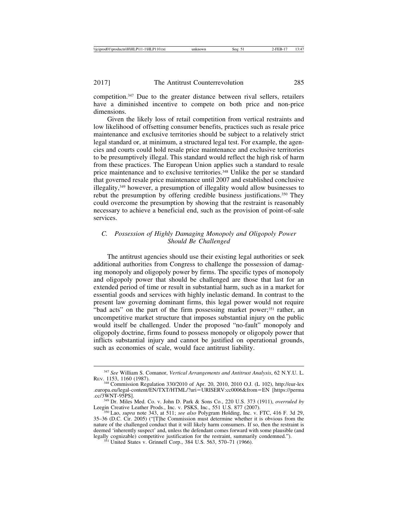competition.347 Due to the greater distance between rival sellers, retailers have a diminished incentive to compete on both price and non-price dimensions.

Given the likely loss of retail competition from vertical restraints and low likelihood of offsetting consumer benefits, practices such as resale price maintenance and exclusive territories should be subject to a relatively strict legal standard or, at minimum, a structured legal test. For example, the agencies and courts could hold resale price maintenance and exclusive territories to be presumptively illegal. This standard would reflect the high risk of harm from these practices. The European Union applies such a standard to resale price maintenance and to exclusive territories.348 Unlike the per se standard that governed resale price maintenance until 2007 and established conclusive illegality,349 however, a presumption of illegality would allow businesses to rebut the presumption by offering credible business justifications.350 They could overcome the presumption by showing that the restraint is reasonably necessary to achieve a beneficial end, such as the provision of point-of-sale services.

#### *C. Possession of Highly Damaging Monopoly and Oligopoly Power Should Be Challenged*

The antitrust agencies should use their existing legal authorities or seek additional authorities from Congress to challenge the possession of damaging monopoly and oligopoly power by firms. The specific types of monopoly and oligopoly power that should be challenged are those that last for an extended period of time or result in substantial harm, such as in a market for essential goods and services with highly inelastic demand. In contrast to the present law governing dominant firms, this legal power would not require "bad acts" on the part of the firm possessing market power;<sup>351</sup> rather, an uncompetitive market structure that imposes substantial injury on the public would itself be challenged. Under the proposed "no-fault" monopoly and oligopoly doctrine, firms found to possess monopoly or oligopoly power that inflicts substantial injury and cannot be justified on operational grounds, such as economies of scale, would face antitrust liability.

<sup>347</sup> *See* William S. Comanor, *Vertical Arrangements and Antitrust Analysis*, 62 N.Y.U. L. REV. 1153, 1160 (1987).

<sup>348</sup> Commission Regulation 330/2010 of Apr. 20, 2010, 2010 O.J. (L 102), http://eur-lex .europa.eu/legal-content/EN/TXT/HTML/?uri=URISERV:cc0006&from=EN [https://perma

<sup>&</sup>lt;sup>349</sup> Dr. Miles Med. Co. v. John D. Park & Sons Co., 220 U.S. 373 (1911), *overruled by* Leegin Creative Leather Prods., Inc. v. PSKS, Inc., 551 U.S. 877 (2007). <sup>350</sup> Lao, *supra* note 343, at 511; *see also* Polygram Holding, Inc. v. FTC, 416 F. 3d 29,

<sup>35</sup>–36 (D.C. Cir. 2005) ("[T]he Commission must determine whether it is obvious from the nature of the challenged conduct that it will likely harm consumers. If so, then the restraint is deemed 'inherently suspect' and, unless the defendant comes forward with some plausible (and legally cognizable) competitive justification for the restraint, summarily condemned."). <sup>351</sup> United States v. Grinnell Corp., 384 U.S. 563, 570–71 (1966).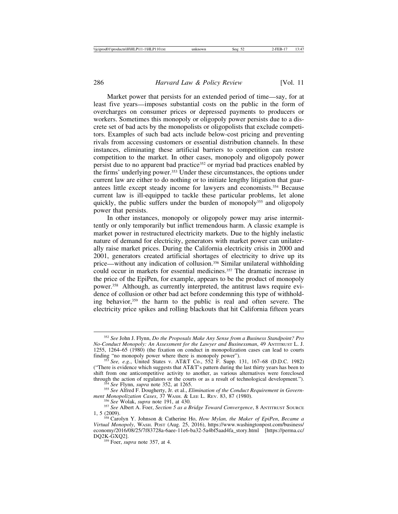Market power that persists for an extended period of time—say, for at least five years—imposes substantial costs on the public in the form of overcharges on consumer prices or depressed payments to producers or workers. Sometimes this monopoly or oligopoly power persists due to a discrete set of bad acts by the monopolists or oligopolists that exclude competitors. Examples of such bad acts include below-cost pricing and preventing rivals from accessing customers or essential distribution channels. In these instances, eliminating these artificial barriers to competition can restore competition to the market. In other cases, monopoly and oligopoly power persist due to no apparent bad practice352 or myriad bad practices enabled by the firms' underlying power.353 Under these circumstances, the options under current law are either to do nothing or to initiate lengthy litigation that guarantees little except steady income for lawyers and economists.354 Because current law is ill-equipped to tackle these particular problems, let alone quickly, the public suffers under the burden of monopoly<sup>355</sup> and oligopoly power that persists.

In other instances, monopoly or oligopoly power may arise intermittently or only temporarily but inflict tremendous harm. A classic example is market power in restructured electricity markets. Due to the highly inelastic nature of demand for electricity, generators with market power can unilaterally raise market prices. During the California electricity crisis in 2000 and 2001, generators created artificial shortages of electricity to drive up its price—without any indication of collusion.356 Similar unilateral withholding could occur in markets for essential medicines.<sup>357</sup> The dramatic increase in the price of the EpiPen, for example, appears to be the product of monopoly power.358 Although, as currently interpreted, the antitrust laws require evidence of collusion or other bad act before condemning this type of withholding behavior,359 the harm to the public is real and often severe. The electricity price spikes and rolling blackouts that hit California fifteen years

 $354$  See Flynn, supra note 352, at 1265.<br> $355$  See Alfred F. Dougherty, Jr. et al., *Elimination of the Conduct Requirement in Government Monopolization Cases*, 37 WASH. & LEE L. REV. 83, 87 (1980).

<sup>352</sup> *See* John J. Flynn, *Do the Proposals Make Any Sense from a Business Standpoint? Pro No-Conduct Monopoly: An Assessment for the Lawyer and Businessman*, 49 ANTITRUST L. J. 1255, 1264–65 (1980) (the fixation on conduct in monopolization cases can lead to courts finding "no monopoly power where there is monopoly power"). <sup>353</sup> *See, e.g.*, United States v. AT&T Co., 552 F. Supp. 131, 167–68 (D.D.C. 1982)

<sup>(&</sup>quot;There is evidence which suggests that AT&T's pattern during the last thirty years has been to shift from one anticompetitive activity to another, as various alternatives were foreclosed through the action of regulators or the courts or as a result of technological development.").

<sup>&</sup>lt;sup>356</sup> See Wolak, *supra* note 191, at 430.<br><sup>357</sup> See Albert A. Foer, *Section 5 as a Bridge Toward Convergence*, 8 ANTITRUST SOURCE<br>1, 5 (2009).

<sup>&</sup>lt;sup>558</sup> Carolyn Y. Johnson & Catherine Ho, *How Mylan, the Maker of EpiPen, Became a Virtual Monopoly*, WASH. POST (Aug. 25, 2016), https://www.washingtonpost.com/business/ economy/2016/08/25/7f83728a-6aee-11e6-ba32-5a4bf5aad4fa\_story.html [https://perma.cc/<br>DQ2K-GXQ2].

<sup>&</sup>lt;sup>359</sup> Foer, *supra* note 357, at 4.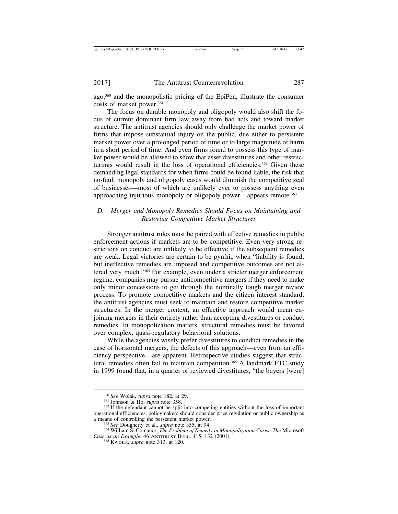ago,360 and the monopolistic pricing of the EpiPen, illustrate the consumer costs of market power.361

The focus on durable monopoly and oligopoly would also shift the focus of current dominant firm law away from bad acts and toward market structure. The antitrust agencies should only challenge the market power of firms that impose substantial injury on the public, due either to persistent market power over a prolonged period of time or to large magnitude of harm in a short period of time. And even firms found to possess this type of market power would be allowed to show that asset divestitures and other restructurings would result in the loss of operational efficiencies.362 Given these demanding legal standards for when firms could be found liable, the risk that no-fault monopoly and oligopoly cases would diminish the competitive zeal of businesses—most of which are unlikely ever to possess anything even approaching injurious monopoly or oligopoly power—appears remote.<sup>363</sup>

#### *D. Merger and Monopoly Remedies Should Focus on Maintaining and Restoring Competitive Market Structures*

Stronger antitrust rules must be paired with effective remedies in public enforcement actions if markets are to be competitive. Even very strong restrictions on conduct are unlikely to be effective if the subsequent remedies are weak. Legal victories are certain to be pyrrhic when "liability is found; but ineffective remedies are imposed and competitive outcomes are not altered very much."364 For example, even under a stricter merger enforcement regime, companies may pursue anticompetitive mergers if they need to make only minor concessions to get through the nominally tough merger review process. To promote competitive markets and the citizen interest standard, the antitrust agencies must seek to maintain and restore competitive market structures. In the merger context, an effective approach would mean enjoining mergers in their entirety rather than accepting divestitures or conduct remedies. In monopolization matters, structural remedies must be favored over complex, quasi-regulatory behavioral solutions.

While the agencies wisely prefer divestitures to conduct remedies in the case of horizontal mergers, the defects of this approach—even from an efficiency perspective—are apparent. Retrospective studies suggest that structural remedies often fail to maintain competition.<sup>365</sup> A landmark FTC study in 1999 found that, in a quarter of reviewed divestitures, "the buyers [were]

<sup>&</sup>lt;sup>360</sup> *See* Wolak, *supra* note 182, at 29.<br><sup>361</sup> Johnson & Ho, *supra* note 358.<br><sup>362</sup> If the defendant cannot be split into competing entities without the loss of important operational efficiencies, policymakers should consider price regulation or public ownership as

<sup>&</sup>lt;sup>363</sup> See Dougherty et al., *supra* note 355, at 94.<br><sup>364</sup> William S. Comanor, *The Problem of Remedy in Monopolization Cases: The Microsoft Case as an Example*, 46 ANTITRUST BULL. 115, 132 (2001). <sup>365</sup> KWOKA, *supra* note 313, at 120.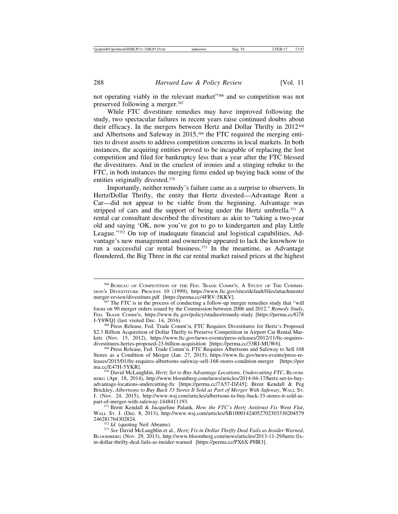not operating viably in the relevant market"366 and so competition was not preserved following a merger.367

While FTC divestiture remedies may have improved following the study, two spectacular failures in recent years raise continued doubts about their efficacy. In the mergers between Hertz and Dollar Thrifty in 2012368 and Albertsons and Safeway in 2015,<sup>369</sup> the FTC required the merging entities to divest assets to address competition concerns in local markets. In both instances, the acquiring entities proved to be incapable of replacing the lost competition and filed for bankruptcy less than a year after the FTC blessed the divestitures. And in the cruelest of ironies and a stinging rebuke to the FTC, in both instances the merging firms ended up buying back some of the entities originally divested.370

Importantly, neither remedy's failure came as a surprise to observers. In Hertz/Dollar Thrifty, the entity that Hertz divested—Advantage Rent a Car—did not appear to be viable from the beginning. Advantage was stripped of cars and the support of being under the Hertz umbrella.<sup>371</sup> A rental car consultant described the divestiture as akin to "taking a two-year old and saying 'OK, now you've got to go to kindergarten and play Little League."372 On top of inadequate financial and logistical capabilities, Advantage's new management and ownership appeared to lack the knowhow to run a successful car rental business.373 In the meantime, as Advantage floundered, the Big Three in the car rental market raised prices at the highest

BLOOMBERG (Nov. 29, 2013), http://www.bloomberg.com/news/articles/2013-11-29/hertz-fixin-dollar-thrifty-deal-fails-as-insider-warned [https://perma.cc/PX6X-PHR3].

<sup>366</sup> BUREAU OF COMPETITION OF THE FED. TRADE COMM'N, A STUDY OF THE COMMIS-SION'S DIVESTITURE PROCESS 10 (1999), https://www.ftc.gov/sites/default/files/attachments/

 $^{367}$  The FTC is in the process of conducting a follow-up merger remedies study that "will focus on 90 merger orders issued by the Commission between 2006 and 2012." *Remedy Study*, FED. TRADE COMM'N, https://www.ftc.gov/policy/studies/remedy-study [https://perma.cc/G78 J-Y8WO] (last visited Dec. 14, 2016).

<sup>&</sup>lt;sup>368</sup> Press Release, Fed. Trade Comm'n, FTC Requires Divestitures for Hertz's Proposed \$2.3 Billion Acquisition of Dollar Thrifty to Preserve Competition in Airport Car Rental Markets (Nov. 15, 2012), https://www.ftc.gov/news-events/press-releases/2012/11/ftc-requires-<br>divestitures-hertzs-proposed-23-billion-acquisition [https://perma.cc/33RJ-MUW6].

<sup>&</sup>lt;sup>369</sup> Press Release, Fed. Trade Comm'n, FTC Requires Albertsons and Safeway to Sell 168 Stores as a Condition of Merger (Jan. 27, 2015), https://www.ftc.gov/news-events/press-releases/2015/01/ftc-requires-albertsons-safeway-sell-168-stores-condition-merger [https://per ma.cc/E47H-5YKR].

<sup>370</sup> David McLaughlin, *Hertz Set to Buy Advantage Locations, Undercutting FTC*, BLOOM-BERG (Apr. 18, 2014), http://www.bloomberg.com/news/articles/2014-04-17/hertz-set-to-buyadvantage-locations-undercutting-ftc [https://perma.cc/7A57-DZ45]; Brent Kendall & Peg Brickley, *Albertsons to Buy Back 33 Stores It Sold as Part of Merger With Safeway*, WALL ST. J. (Nov. 24, 2015), http://www.wsj.com/articles/albertsons-to-buy-back-33-stores-it-sold-as-

<sup>&</sup>lt;sup>371</sup> Brent Kendall & Jacqueline Palank, *How the FTC's Hertz Antitrust Fix Went Flat*, WALL ST. J. (Dec. 8, 2013), http://www.wsj.com/articles/SB10001424052702303330204579 246281764302824. <sup>372</sup> *Id.* (quoting Neil Abrams). <sup>373</sup> *See* David McLaughlin et al., *Hertz Fix in Dollar Thrifty Deal Fails as Insider Warned*,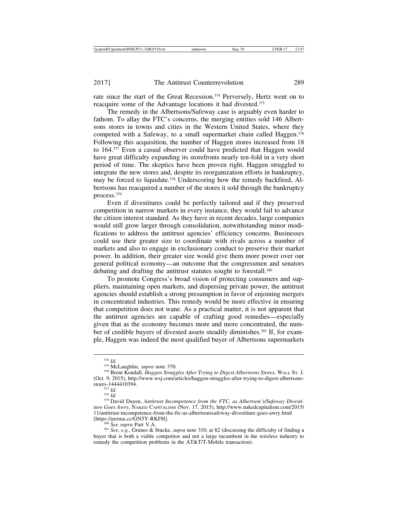rate since the start of the Great Recession.<sup>374</sup> Perversely, Hertz went on to reacquire some of the Advantage locations it had divested.<sup>375</sup>

The remedy in the Albertsons/Safeway case is arguably even harder to fathom. To allay the FTC's concerns, the merging entities sold 146 Albertsons stores in towns and cities in the Western United States, where they competed with a Safeway, to a small supermarket chain called Haggen.<sup>376</sup> Following this acquisition, the number of Haggen stores increased from 18 to 164.377 Even a casual observer could have predicted that Haggen would have great difficulty expanding its storefronts nearly ten-fold in a very short period of time. The skeptics have been proven right. Haggen struggled to integrate the new stores and, despite its reorganization efforts in bankruptcy, may be forced to liquidate.<sup>378</sup> Underscoring how the remedy backfired, Albertsons has reacquired a number of the stores it sold through the bankruptcy process.379

Even if divestitures could be perfectly tailored and if they preserved competition in narrow markets in every instance, they would fail to advance the citizen interest standard. As they have in recent decades, large companies would still grow larger through consolidation, notwithstanding minor modifications to address the antitrust agencies' efficiency concerns. Businesses could use their greater size to coordinate with rivals across a number of markets and also to engage in exclusionary conduct to preserve their market power. In addition, their greater size would give them more power over our general political economy—an outcome that the congressmen and senators debating and drafting the antitrust statutes sought to forestall.<sup>380</sup>

To promote Congress's broad vision of protecting consumers and suppliers, maintaining open markets, and dispersing private power, the antitrust agencies should establish a strong presumption in favor of enjoining mergers in concentrated industries. This remedy would be more effective in ensuring that competition does not wane. As a practical matter, it is not apparent that the antitrust agencies are capable of crafting good remedies—especially given that as the economy becomes more and more concentrated, the number of credible buyers of divested assets steadily diminishes.<sup>381</sup> If, for example, Haggen was indeed the most qualified buyer of Albertsons supermarkets

<sup>380</sup> *See supra* Part V.A. **380** *See supra* Part V.A. *Sampra* note 310, at 82 (discussing the difficulty of finding a 381 *See, e.g.*, Grunes & Stucke, *supra* note 310, at 82 (discussing the difficulty of finding a buyer that is both a viable competitor and not a large incumbent in the wireless industry to remedy the competition problems in the AT&T/T-Mobile transaction).

<sup>&</sup>lt;sup>374</sup> *Id.*<br><sup>375</sup> McLaughlin, *supra* note 370.<br><sup>376</sup> Brent Kendall, *Haggen Struggles After Trying to Digest Albertsons Stores*, WALL ST. J. (Oct. 9, 2015), http://www.wsj.com/articles/haggen-struggles-after-trying-to-digest-albertsons-

<sup>&</sup>lt;sup>377</sup> *Id.* <sup>378</sup> *Id.* Dayen, *Antitrust Incompetence from the FTC, as Albertson's/Safeway Divesti-*<br><sup>379</sup> David Dayen, *Antitrust Incompetence from the FTC, as Albertson's/Safeway Divestiture Goes Awry*, NAKED CAPITALISM (Nov. 17, 2015), http://www.nakedcapitalism.com/2015/ 11/antitrust-incompetence-from-the-ftc-as-albertsonssafeway-divestiture-goes-awry.html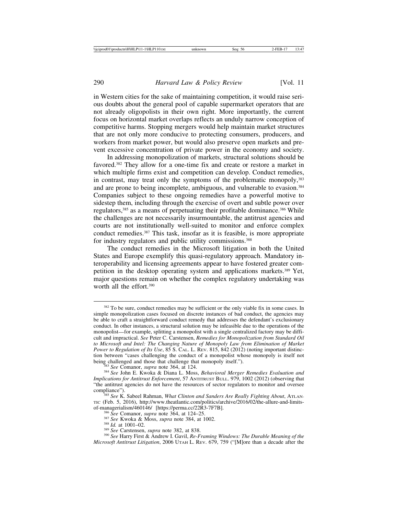in Western cities for the sake of maintaining competition, it would raise serious doubts about the general pool of capable supermarket operators that are not already oligopolists in their own right. More importantly, the current focus on horizontal market overlaps reflects an unduly narrow conception of competitive harms. Stopping mergers would help maintain market structures that are not only more conducive to protecting consumers, producers, and workers from market power, but would also preserve open markets and prevent excessive concentration of private power in the economy and society.

In addressing monopolization of markets, structural solutions should be favored.382 They allow for a one-time fix and create or restore a market in which multiple firms exist and competition can develop. Conduct remedies, in contrast, may treat only the symptoms of the problematic monopoly,383 and are prone to being incomplete, ambiguous, and vulnerable to evasion.384 Companies subject to these ongoing remedies have a powerful motive to sidestep them, including through the exercise of overt and subtle power over regulators,385 as a means of perpetuating their profitable dominance.386 While the challenges are not necessarily insurmountable, the antitrust agencies and courts are not institutionally well-suited to monitor and enforce complex conduct remedies.387 This task, insofar as it is feasible, is more appropriate for industry regulators and public utility commissions.<sup>388</sup>

The conduct remedies in the Microsoft litigation in both the United States and Europe exemplify this quasi-regulatory approach. Mandatory interoperability and licensing agreements appear to have fostered greater competition in the desktop operating system and applications markets.389 Yet, major questions remain on whether the complex regulatory undertaking was worth all the effort.390

<sup>&</sup>lt;sup>382</sup> To be sure, conduct remedies may be sufficient or the only viable fix in some cases. In simple monopolization cases focused on discrete instances of bad conduct, the agencies may be able to craft a straightforward conduct remedy that addresses the defendant's exclusionary conduct. In other instances, a structural solution may be infeasible due to the operations of the monopolist—for example, splitting a monopolist with a single centralized factory may be difficult and impractical. *See* Peter C. Carstensen, *Remedies for Monopolization from Standard Oil to Microsoft and Intel: The Changing Nature of Monopoly Law from Elimination of Market Power to Regulation of Its Use*, 85 S. CAL. L. REV. 815, 842 (2012) (noting important distinction between "cases challenging the conduct of a monopolist whose monopoly is itself not being challenged and those that challenge that monopoly itself.").

<sup>&</sup>lt;sup>383</sup> See Comanor, *supra* note 364, at 124. **383 384** *See Comanor, supra See John E. Kwoka & Diana L. Moss, Behavioral Merger Remedies Evaluation and Implications for Antitrust Enforcement*, 57 ANTITRUST BULL. 979, 1002 (2012) (observing that "the antitrust agencies do not have the resources of sector regulators to monitor and oversee compliance").

<sup>&</sup>lt;sup>385</sup> See K. Sabeel Rahman, *What Clinton and Sanders Are Really Fighting About*, ATLAN-TIC (Feb. 5, 2016), http://www.theatlantic.com/politics/archive/2016/02/the-allure-and-limits-<br>of-managerialism/460146/ [https://perma.cc/22R3-7F7B].

<sup>&</sup>lt;sup>386</sup> See Comanor, *supra* note 364, at 124–25.<br><sup>387</sup> See Kwoka & Moss, *supra* note 384, at 1002.<br><sup>388</sup> Id. at 1001–02.<br><sup>389</sup> See Carstensen, *supra* note 382, at 838.<br><sup>390</sup> See Harry First & Andrew I. Gavil, *Re-Framing Microsoft Antitrust Litigation*, 2006 UTAH L. REV. 679, 759 ("[M]ore than a decade after the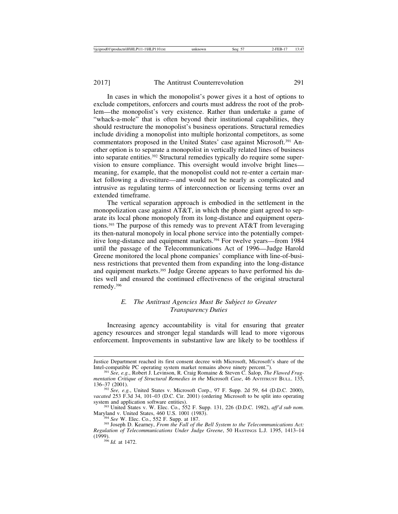In cases in which the monopolist's power gives it a host of options to exclude competitors, enforcers and courts must address the root of the problem—the monopolist's very existence. Rather than undertake a game of "whack-a-mole" that is often beyond their institutional capabilities, they should restructure the monopolist's business operations. Structural remedies include dividing a monopolist into multiple horizontal competitors, as some commentators proposed in the United States' case against Microsoft.<sup>391</sup> Another option is to separate a monopolist in vertically related lines of business into separate entities.392 Structural remedies typically do require some supervision to ensure compliance. This oversight would involve bright lines meaning, for example, that the monopolist could not re-enter a certain market following a divestiture—and would not be nearly as complicated and intrusive as regulating terms of interconnection or licensing terms over an extended timeframe.

The vertical separation approach is embodied in the settlement in the monopolization case against AT&T, in which the phone giant agreed to separate its local phone monopoly from its long-distance and equipment operations.393 The purpose of this remedy was to prevent AT&T from leveraging its then-natural monopoly in local phone service into the potentially competitive long-distance and equipment markets.394 For twelve years—from 1984 until the passage of the Telecommunications Act of 1996—Judge Harold Greene monitored the local phone companies' compliance with line-of-business restrictions that prevented them from expanding into the long-distance and equipment markets.<sup>395</sup> Judge Greene appears to have performed his duties well and ensured the continued effectiveness of the original structural remedy.396

#### *E. The Antitrust Agencies Must Be Subject to Greater Transparency Duties*

Increasing agency accountability is vital for ensuring that greater agency resources and stronger legal standards will lead to more vigorous enforcement. Improvements in substantive law are likely to be toothless if

Justice Department reached its first consent decree with Microsoft, Microsoft's share of the

<sup>&</sup>lt;sup>391</sup> See, e.g., Robert J. Levinson, R. Craig Romaine & Steven C. Salop, *The Flawed Fragmentation Critique of Structural Remedies in the* Microsoft *Case*, 46 ANTITRUST BULL. 135, 136–37 (2001).

<sup>392</sup> *See, e.g.*, United States v. Microsoft Corp., 97 F. Supp. 2d 59, 64 (D.D.C. 2000), *vacated* 253 F.3d 34, 101–03 (D.C. Cir. 2001) (ordering Microsoft to be split into operating

system and application software entities).<br><sup>393</sup> United States v. W. Elec. Co., 552 F. Supp. 131, 226 (D.D.C. 1982), *aff'd sub nom*.<br>Maryland v. United States, 460 U.S. 1001 (1983).

<sup>&</sup>lt;sup>394</sup> See W. Elec. Co., 552 F. Supp. at 187. **395** *See* W. Elec. Co., 552 F. Supp. at 187. **395** Joseph D. Kearney, *From the Fall of the Bell System to the Telecommunications Act: Regulation of Telecommunications Under Judge Greene*, 50 HASTINGS L.J. 1395, 1413–14  $(1999)$ .<br><sup>396</sup> *Id.* at 1472.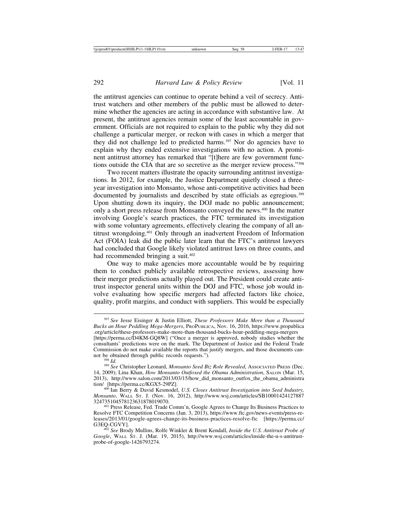the antitrust agencies can continue to operate behind a veil of secrecy. Antitrust watchers and other members of the public must be allowed to determine whether the agencies are acting in accordance with substantive law. At present, the antitrust agencies remain some of the least accountable in government. Officials are not required to explain to the public why they did not challenge a particular merger, or reckon with cases in which a merger that they did not challenge led to predicted harms.397 Nor do agencies have to explain why they ended extensive investigations with no action. A prominent antitrust attorney has remarked that "[t]here are few government functions outside the CIA that are so secretive as the merger review process."398

Two recent matters illustrate the opacity surrounding antitrust investigations. In 2012, for example, the Justice Department quietly closed a threeyear investigation into Monsanto, whose anti-competitive activities had been documented by journalists and described by state officials as egregious.<sup>399</sup> Upon shutting down its inquiry, the DOJ made no public announcement; only a short press release from Monsanto conveyed the news.400 In the matter involving Google's search practices, the FTC terminated its investigation with some voluntary agreements, effectively clearing the company of all antitrust wrongdoing.401 Only through an inadvertent Freedom of Information Act (FOIA) leak did the public later learn that the FTC's antitrust lawyers had concluded that Google likely violated antitrust laws on three counts, and had recommended bringing a suit.<sup>402</sup>

One way to make agencies more accountable would be by requiring them to conduct publicly available retrospective reviews, assessing how their merger predictions actually played out. The President could create antitrust inspector general units within the DOJ and FTC, whose job would involve evaluating how specific mergers had affected factors like choice, quality, profit margins, and conduct with suppliers. This would be especially

<sup>397</sup> *See* Jesse Eisinger & Justin Elliott, *These Professors Make More than a Thousand Bucks an Hour Peddling Mega-Mergers*, PROPUBLICA, Nov. 16, 2016, https://www.propublica .org/article/these-professors-make-more-than-thousand-bucks-hour-peddling-mega-mergers [https://perma.cc/D4KM-GQ8W] ("Once a merger is approved, nobody studies whether the consultants' predictions were on the mark. The Department of Justice and the Federal Trade Commission do not make available the reports that justify mergers, and those documents cannot be obtained through public records requests.").

<sup>&</sup>lt;sup>398</sup> *Id.* 399 *Id.* 399 *Id.* 399 *See* Christopher Leonard, *Monsanto Seed Biz Role Revealed*, Associated Press (Dec. 14, 2009); Lina Khan, *How Monsanto Outfoxed the Obama Administration*, SALON (Mar. 15, 2013), http://www.salon.com/2013/03/15/how\_did\_monsanto\_outfox\_the\_obama\_administra tion/ [https://perma.cc/KGX5-29PZ]. <sup>400</sup> Ian Berry & David Kesmodel, *U.S. Closes Antitrust Investigation into Seed Industry,*

*Monsanto*, WALL ST. J. (Nov. 16, 2012), http://www.wsj.com/articles/SB10001424127887

<sup>324735104578123631878019070.</sup> <sup>401</sup> Press Release, Fed. Trade Comm'n, Google Agrees to Change Its Business Practices to Resolve FTC Competition Concerns (Jan. 3, 2013), https://www.ftc.gov/news-events/press-releases/2013/01/google-agrees-change-its-business-practices-resolve-ftc [https://perma.cc/

<sup>&</sup>lt;sup>402</sup> See Brody Mullins, Rolfe Winkler & Brent Kendall, *Inside the U.S. Antitrust Probe of Google*, WALL ST. J. (Mar. 19, 2015), http://www.wsj.com/articles/inside-the-u-s-antitrustprobe-of-google-1426793274.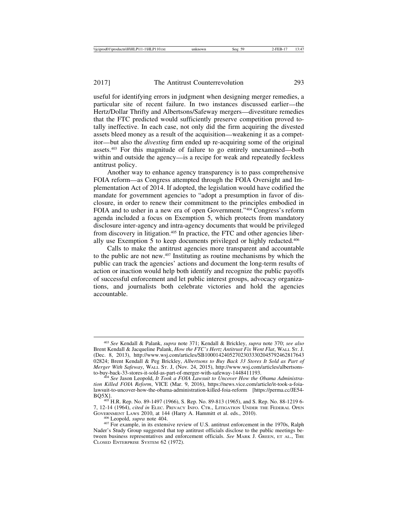useful for identifying errors in judgment when designing merger remedies, a particular site of recent failure. In two instances discussed earlier—the Hertz/Dollar Thrifty and Albertsons/Safeway mergers—divestiture remedies that the FTC predicted would sufficiently preserve competition proved totally ineffective. In each case, not only did the firm acquiring the divested assets bleed money as a result of the acquisition—weakening it as a competitor—but also the *divesting* firm ended up re-acquiring some of the original assets.403 For this magnitude of failure to go entirely unexamined—both within and outside the agency—is a recipe for weak and repeatedly feckless antitrust policy.

Another way to enhance agency transparency is to pass comprehensive FOIA reform—as Congress attempted through the FOIA Oversight and Implementation Act of 2014. If adopted, the legislation would have codified the mandate for government agencies to "adopt a presumption in favor of disclosure, in order to renew their commitment to the principles embodied in FOIA and to usher in a new era of open Government."404 Congress's reform agenda included a focus on Exemption 5, which protects from mandatory disclosure inter-agency and intra-agency documents that would be privileged from discovery in litigation.405 In practice, the FTC and other agencies liberally use Exemption 5 to keep documents privileged or highly redacted.406

Calls to make the antitrust agencies more transparent and accountable to the public are not new.407 Instituting as routine mechanisms by which the public can track the agencies' actions and document the long-term results of action or inaction would help both identify and recognize the public payoffs of successful enforcement and let public interest groups, advocacy organizations, and journalists both celebrate victories and hold the agencies accountable.

<sup>403</sup> *See* Kendall & Palank, *supra* note 371; Kendall & Brickley, *supra* note 370; *see also* Brent Kendall & Jacqueline Palank, *How the FTC's Hertz Antitrust Fix Went Flat*, WALL ST. J. (Dec. 8, 2013), http://www.wsj.com/articles/SB100014240527023033302045792462817643 02824; Brent Kendall & Peg Brickley, *Albertsons to Buy Back 33 Stores It Sold as Part of Merger With Safeway*, WALL ST. J, (Nov. 24, 2015), http://www.wsj.com/articles/albertsons-to-buy-back-33-stores-it-sold-as-part-of-merger-with-safeway-1448411193.

<sup>&</sup>lt;sup>4</sup> See Jason Leopold, It Took a FOIA Lawsuit to Uncover How the Obama Administra*tion Killed FOIA Reform*, VICE (Mar. 9, 2016), https://news.vice.com/article/it-took-a-foialawsuit-to-uncover-how-the-obama-administration-killed-foia-reform [https://perma.cc/JE54- BQ5X]. <sup>405</sup> H.R. Rep. No. 89-1497 (1966), S. Rep. No. 89-813 (1965), and S. Rep. No. 88-1219 6-

<sup>7, 12-14 (1964),</sup> *cited in* ELEC. PRIVACY INFO. CTR., LITIGATION UNDER THE FEDERAL OPEN

<sup>&</sup>lt;sup>406</sup> Leopold, *supra* note 404. **A. Hammitt et al. edge.** 407 For example, in its extensive review of U.S. antitrust enforcement in the 1970s, Ralph Nader's Study Group suggested that top antitrust officials disclose to the public meetings between business representatives and enforcement officials. *See* MARK J. GREEN, ET AL., THE CLOSED ENTERPRISE SYSTEM 62 (1972).